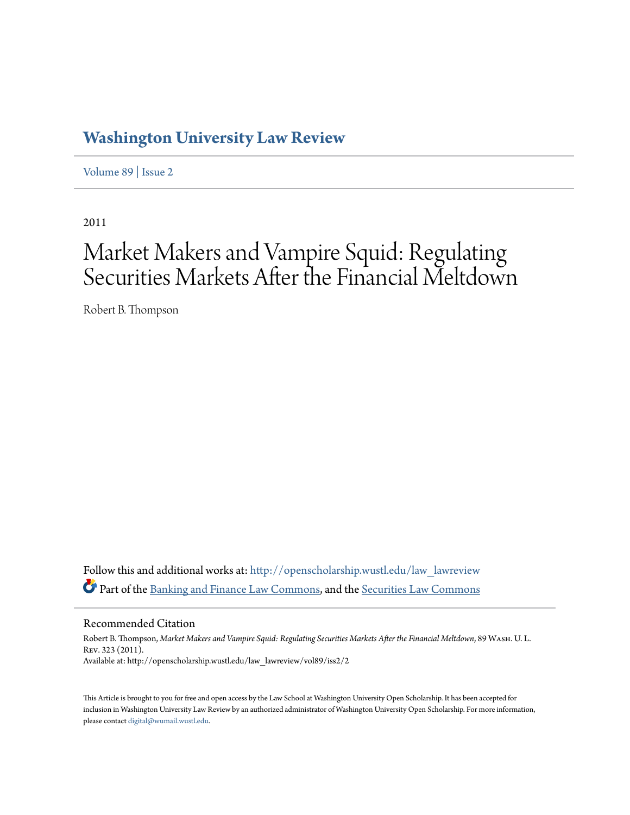# **[Washington University Law Review](http://openscholarship.wustl.edu/law_lawreview?utm_source=openscholarship.wustl.edu%2Flaw_lawreview%2Fvol89%2Fiss2%2F2&utm_medium=PDF&utm_campaign=PDFCoverPages)**

[Volume 89](http://openscholarship.wustl.edu/law_lawreview/vol89?utm_source=openscholarship.wustl.edu%2Flaw_lawreview%2Fvol89%2Fiss2%2F2&utm_medium=PDF&utm_campaign=PDFCoverPages) | [Issue 2](http://openscholarship.wustl.edu/law_lawreview/vol89/iss2?utm_source=openscholarship.wustl.edu%2Flaw_lawreview%2Fvol89%2Fiss2%2F2&utm_medium=PDF&utm_campaign=PDFCoverPages)

2011

# Market Makers and Vampire Squid: Regulating Securities Markets After the Financial Meltdown

Robert B. Thompson

Follow this and additional works at: [http://openscholarship.wustl.edu/law\\_lawreview](http://openscholarship.wustl.edu/law_lawreview?utm_source=openscholarship.wustl.edu%2Flaw_lawreview%2Fvol89%2Fiss2%2F2&utm_medium=PDF&utm_campaign=PDFCoverPages) Part of the [Banking and Finance Law Commons](http://network.bepress.com/hgg/discipline/833?utm_source=openscholarship.wustl.edu%2Flaw_lawreview%2Fvol89%2Fiss2%2F2&utm_medium=PDF&utm_campaign=PDFCoverPages), and the [Securities Law Commons](http://network.bepress.com/hgg/discipline/619?utm_source=openscholarship.wustl.edu%2Flaw_lawreview%2Fvol89%2Fiss2%2F2&utm_medium=PDF&utm_campaign=PDFCoverPages)

Recommended Citation

Robert B. Thompson, *Market Makers and Vampire Squid: Regulating Securities Markets After the Financial Meltdown*, 89 Wash. U. L. Rev. 323 (2011). Available at: http://openscholarship.wustl.edu/law\_lawreview/vol89/iss2/2

This Article is brought to you for free and open access by the Law School at Washington University Open Scholarship. It has been accepted for inclusion in Washington University Law Review by an authorized administrator of Washington University Open Scholarship. For more information, please contact [digital@wumail.wustl.edu.](mailto:digital@wumail.wustl.edu)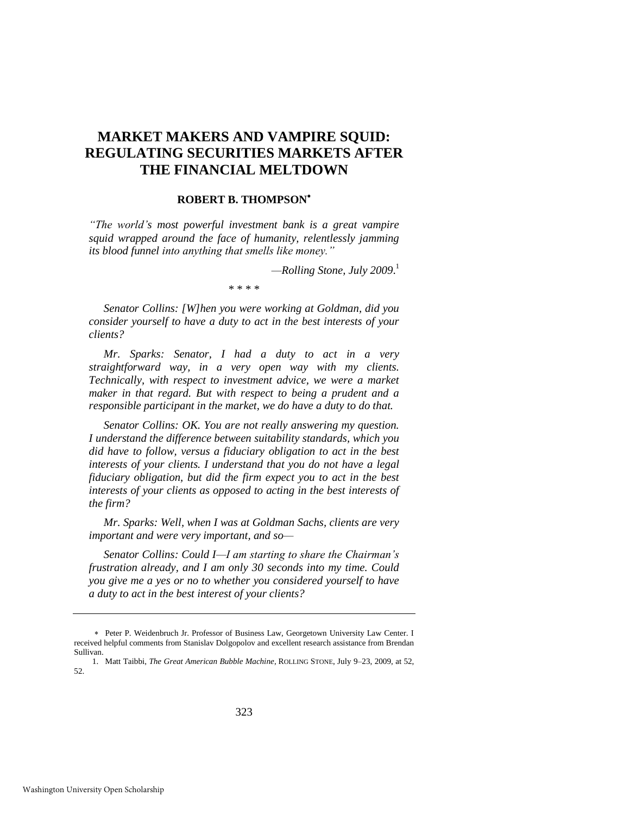# **MARKET MAKERS AND VAMPIRE SQUID: REGULATING SECURITIES MARKETS AFTER THE FINANCIAL MELTDOWN**

# **ROBERT B. THOMPSON**

*"The world"s most powerful investment bank is a great vampire squid wrapped around the face of humanity, relentlessly jamming its blood funnel into anything that smells like money."*

*—Rolling Stone, July 2009*. 1

\* \* \* \*

 *Senator Collins: [W]hen you were working at Goldman, did you consider yourself to have a duty to act in the best interests of your clients?* 

 *Mr. Sparks: Senator, I had a duty to act in a very straightforward way, in a very open way with my clients. Technically, with respect to investment advice, we were a market maker in that regard. But with respect to being a prudent and a responsible participant in the market, we do have a duty to do that.* 

 *Senator Collins: OK. You are not really answering my question. I understand the difference between suitability standards, which you did have to follow, versus a fiduciary obligation to act in the best interests of your clients. I understand that you do not have a legal fiduciary obligation, but did the firm expect you to act in the best interests of your clients as opposed to acting in the best interests of the firm?* 

 *Mr. Sparks: Well, when I was at Goldman Sachs, clients are very important and were very important, and so—*

 *Senator Collins: Could I—I am starting to share the Chairman"s frustration already, and I am only 30 seconds into my time. Could you give me a yes or no to whether you considered yourself to have a duty to act in the best interest of your clients?* 

Peter P. Weidenbruch Jr. Professor of Business Law, Georgetown University Law Center. I received helpful comments from Stanislav Dolgopolov and excellent research assistance from Brendan Sullivan.

<sup>1.</sup> Matt Taibbi, *The Great American Bubble Machine*, ROLLING STONE, July 9–23, 2009, at 52, 52.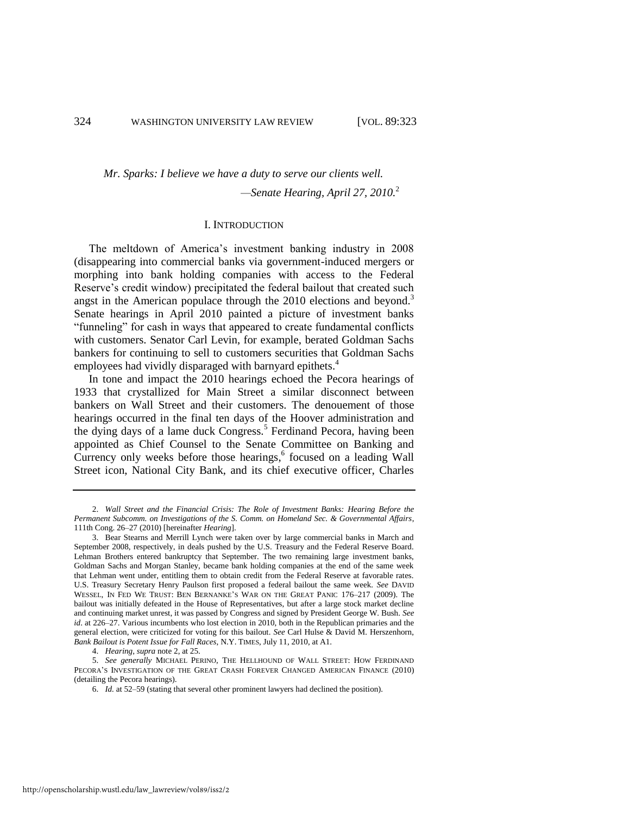# *Mr. Sparks: I believe we have a duty to serve our clients well.*

<span id="page-2-1"></span><span id="page-2-0"></span>*—Senate Hearing, April 27, 2010.*<sup>2</sup>

# I. INTRODUCTION

The meltdown of America's investment banking industry in 2008 (disappearing into commercial banks via government-induced mergers or morphing into bank holding companies with access to the Federal Reserve's credit window) precipitated the federal bailout that created such angst in the American populace through the 2010 elections and beyond.<sup>3</sup> Senate hearings in April 2010 painted a picture of investment banks "funneling" for cash in ways that appeared to create fundamental conflicts with customers. Senator Carl Levin, for example, berated Goldman Sachs bankers for continuing to sell to customers securities that Goldman Sachs employees had vividly disparaged with barnyard epithets.<sup>4</sup>

<span id="page-2-2"></span>In tone and impact the 2010 hearings echoed the Pecora hearings of 1933 that crystallized for Main Street a similar disconnect between bankers on Wall Street and their customers. The denouement of those hearings occurred in the final ten days of the Hoover administration and the dying days of a lame duck Congress.<sup>5</sup> Ferdinand Pecora, having been appointed as Chief Counsel to the Senate Committee on Banking and Currency only weeks before those hearings, $6$  focused on a leading Wall Street icon, National City Bank, and its chief executive officer, Charles

4. *Hearing*, *supra* not[e 2,](#page-2-0) at 25.

5. *See generally* MICHAEL PERINO, THE HELLHOUND OF WALL STREET: HOW FERDINAND PECORA'S INVESTIGATION OF THE GREAT CRASH FOREVER CHANGED AMERICAN FINANCE (2010) (detailing the Pecora hearings).

<sup>2.</sup> *Wall Street and the Financial Crisis: The Role of Investment Banks: Hearing Before the Permanent Subcomm. on Investigations of the S. Comm. on Homeland Sec. & Governmental Affairs*, 111th Cong. 26–27 (2010) [hereinafter *Hearing*].

<sup>3.</sup> Bear Stearns and Merrill Lynch were taken over by large commercial banks in March and September 2008, respectively, in deals pushed by the U.S. Treasury and the Federal Reserve Board. Lehman Brothers entered bankruptcy that September. The two remaining large investment banks, Goldman Sachs and Morgan Stanley, became bank holding companies at the end of the same week that Lehman went under, entitling them to obtain credit from the Federal Reserve at favorable rates. U.S. Treasury Secretary Henry Paulson first proposed a federal bailout the same week. *See* DAVID WESSEL, IN FED WE TRUST: BEN BERNANKE'S WAR ON THE GREAT PANIC 176–217 (2009). The bailout was initially defeated in the House of Representatives, but after a large stock market decline and continuing market unrest, it was passed by Congress and signed by President George W. Bush. *See id*. at 226–27. Various incumbents who lost election in 2010, both in the Republican primaries and the general election, were criticized for voting for this bailout. *See* Carl Hulse & David M. Herszenhorn, *Bank Bailout is Potent Issue for Fall Races*, N.Y. TIMES, July 11, 2010, at A1.

<sup>6.</sup> *Id.* at 52–59 (stating that several other prominent lawyers had declined the position).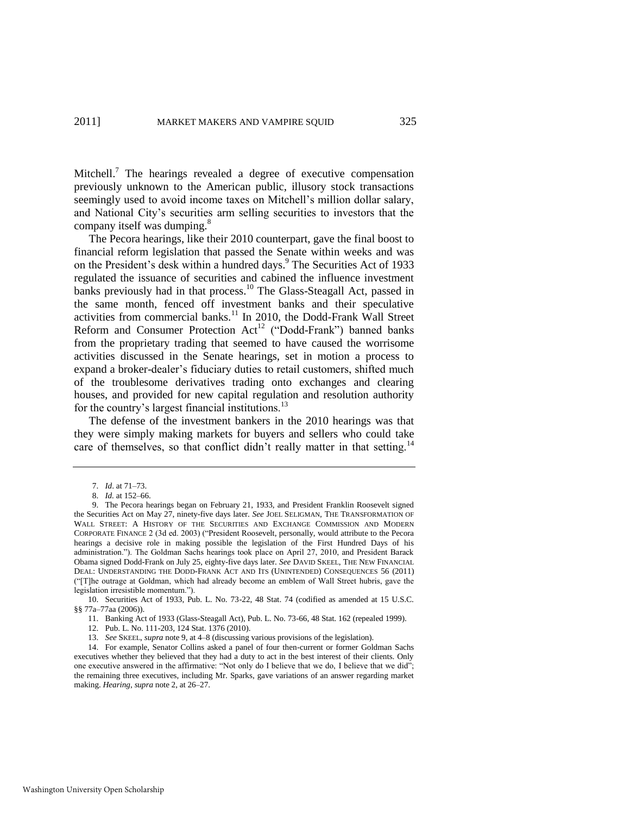Mitchell.<sup>7</sup> The hearings revealed a degree of executive compensation previously unknown to the American public, illusory stock transactions seemingly used to avoid income taxes on Mitchell's million dollar salary, and National City's securities arm selling securities to investors that the company itself was dumping.<sup>8</sup>

<span id="page-3-0"></span>The Pecora hearings, like their 2010 counterpart, gave the final boost to financial reform legislation that passed the Senate within weeks and was on the President's desk within a hundred days.<sup>9</sup> The Securities Act of 1933 regulated the issuance of securities and cabined the influence investment banks previously had in that process.<sup>10</sup> The Glass-Steagall Act, passed in the same month, fenced off investment banks and their speculative activities from commercial banks.<sup>11</sup> In 2010, the Dodd-Frank Wall Street Reform and Consumer Protection  $Act^{12}$  ("Dodd-Frank") banned banks from the proprietary trading that seemed to have caused the worrisome activities discussed in the Senate hearings, set in motion a process to expand a broker-dealer's fiduciary duties to retail customers, shifted much of the troublesome derivatives trading onto exchanges and clearing houses, and provided for new capital regulation and resolution authority for the country's largest financial institutions.<sup>13</sup>

The defense of the investment bankers in the 2010 hearings was that they were simply making markets for buyers and sellers who could take care of themselves, so that conflict didn't really matter in that setting.<sup>14</sup>

<span id="page-3-2"></span><span id="page-3-1"></span><sup>7.</sup> *Id*. at 71–73.

<sup>8.</sup> *Id.* at 152–66.

<sup>9.</sup> The Pecora hearings began on February 21, 1933, and President Franklin Roosevelt signed the Securities Act on May 27, ninety-five days later. *See* JOEL SELIGMAN, THE TRANSFORMATION OF WALL STREET: A HISTORY OF THE SECURITIES AND EXCHANGE COMMISSION AND MODERN CORPORATE FINANCE 2 (3d ed. 2003) ("President Roosevelt, personally, would attribute to the Pecora hearings a decisive role in making possible the legislation of the First Hundred Days of his administration."). The Goldman Sachs hearings took place on April 27, 2010, and President Barack Obama signed Dodd-Frank on July 25, eighty-five days later. *See* DAVID SKEEL, THE NEW FINANCIAL DEAL: UNDERSTANDING THE DODD-FRANK ACT AND ITS (UNINTENDED) CONSEQUENCES 56 (2011) (―[T]he outrage at Goldman, which had already become an emblem of Wall Street hubris, gave the legislation irresistible momentum.").

<sup>10.</sup> Securities Act of 1933, Pub. L. No. 73-22, 48 Stat. 74 (codified as amended at 15 U.S.C. §§ 77a–77aa (2006)).

<sup>11.</sup> Banking Act of 1933 (Glass-Steagall Act), Pub. L. No. 73-66, 48 Stat. 162 (repealed 1999).

<sup>12.</sup> Pub. L. No. 111-203, 124 Stat. 1376 (2010).

<sup>13.</sup> *See* SKEEL, *supra* not[e 9,](#page-3-0) at 4–8 (discussing various provisions of the legislation).

<sup>14.</sup> For example, Senator Collins asked a panel of four then-current or former Goldman Sachs executives whether they believed that they had a duty to act in the best interest of their clients. Only one executive answered in the affirmative: "Not only do I believe that we do, I believe that we did"; the remaining three executives, including Mr. Sparks, gave variations of an answer regarding market making. *Hearing*, *supra* not[e 2,](#page-2-0) at 26–27.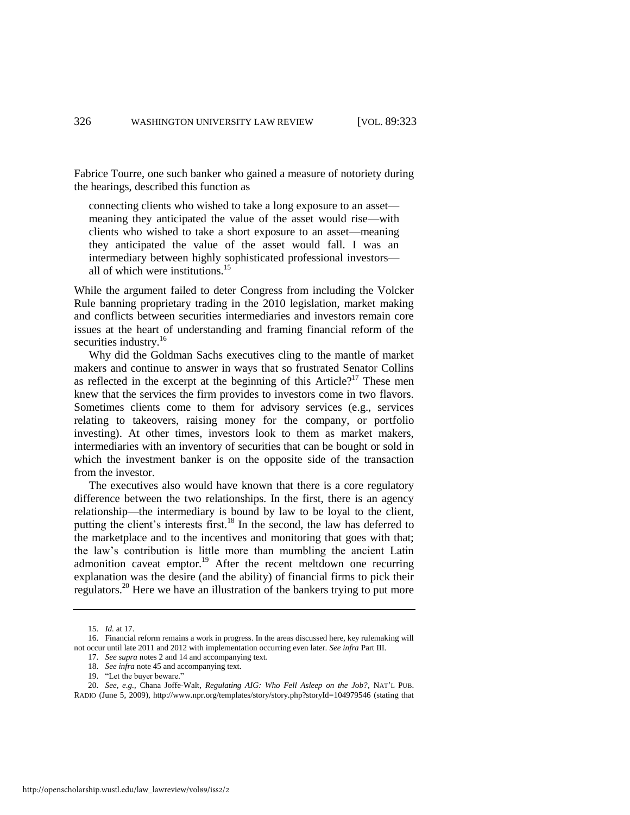Fabrice Tourre, one such banker who gained a measure of notoriety during the hearings, described this function as

connecting clients who wished to take a long exposure to an asset meaning they anticipated the value of the asset would rise—with clients who wished to take a short exposure to an asset—meaning they anticipated the value of the asset would fall. I was an intermediary between highly sophisticated professional investors all of which were institutions.<sup>15</sup>

While the argument failed to deter Congress from including the Volcker Rule banning proprietary trading in the 2010 legislation, market making and conflicts between securities intermediaries and investors remain core issues at the heart of understanding and framing financial reform of the securities industry.<sup>16</sup>

Why did the Goldman Sachs executives cling to the mantle of market makers and continue to answer in ways that so frustrated Senator Collins as reflected in the excerpt at the beginning of this Article?<sup>17</sup> These men knew that the services the firm provides to investors come in two flavors. Sometimes clients come to them for advisory services (e.g., services relating to takeovers, raising money for the company, or portfolio investing). At other times, investors look to them as market makers, intermediaries with an inventory of securities that can be bought or sold in which the investment banker is on the opposite side of the transaction from the investor.

The executives also would have known that there is a core regulatory difference between the two relationships. In the first, there is an agency relationship—the intermediary is bound by law to be loyal to the client, putting the client's interests first.<sup>18</sup> In the second, the law has deferred to the marketplace and to the incentives and monitoring that goes with that; the law's contribution is little more than mumbling the ancient Latin admonition caveat emptor.<sup>19</sup> After the recent meltdown one recurring explanation was the desire (and the ability) of financial firms to pick their regulators.<sup>20</sup> Here we have an illustration of the bankers trying to put more

<sup>15.</sup> *Id.* at 17.

<sup>16.</sup> Financial reform remains a work in progress. In the areas discussed here, key rulemaking will not occur until late 2011 and 2012 with implementation occurring even later. *See infra* Part III.

<sup>17.</sup> *See supra* note[s 2 a](#page-2-0)n[d 14](#page-3-1) and accompanying text.

<sup>18.</sup> *See infra* not[e 45 a](#page-10-0)nd accompanying text.

<sup>19. &</sup>quot;Let the buyer beware."

<sup>20.</sup> *See, e.g.*, Chana Joffe-Walt, *Regulating AIG: Who Fell Asleep on the Job?*, NAT'L PUB. RADIO (June 5, 2009), http://www.npr.org/templates/story/story.php?storyId=104979546 (stating that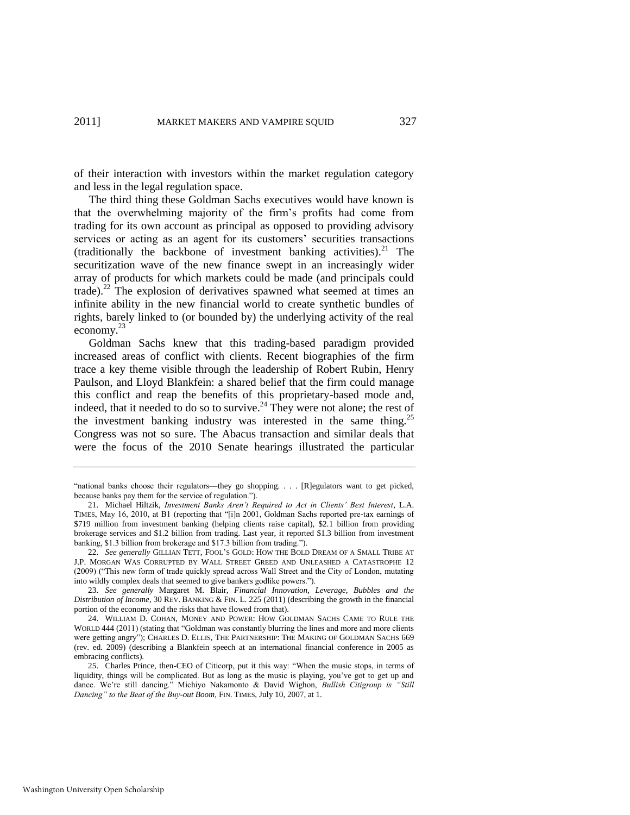of their interaction with investors within the market regulation category and less in the legal regulation space.

The third thing these Goldman Sachs executives would have known is that the overwhelming majority of the firm's profits had come from trading for its own account as principal as opposed to providing advisory services or acting as an agent for its customers' securities transactions (traditionally the backbone of investment banking activities).<sup>21</sup> The securitization wave of the new finance swept in an increasingly wider array of products for which markets could be made (and principals could trade).<sup>22</sup> The explosion of derivatives spawned what seemed at times an infinite ability in the new financial world to create synthetic bundles of rights, barely linked to (or bounded by) the underlying activity of the real economy.<sup>23</sup>

<span id="page-5-1"></span><span id="page-5-0"></span>Goldman Sachs knew that this trading-based paradigm provided increased areas of conflict with clients. Recent biographies of the firm trace a key theme visible through the leadership of Robert Rubin, Henry Paulson, and Lloyd Blankfein: a shared belief that the firm could manage this conflict and reap the benefits of this proprietary-based mode and, indeed, that it needed to do so to survive.<sup>24</sup> They were not alone; the rest of the investment banking industry was interested in the same thing.<sup>25</sup> Congress was not so sure. The Abacus transaction and similar deals that were the focus of the 2010 Senate hearings illustrated the particular

<span id="page-5-2"></span><sup>&</sup>quot;national banks choose their regulators—they go shopping. . . . [R]egulators want to get picked, because banks pay them for the service of regulation.").

<sup>21.</sup> Michael Hiltzik, *Investment Banks Aren"t Required to Act in Clients" Best Interest*, L.A. TIMES, May 16, 2010, at B1 (reporting that "[i]n 2001, Goldman Sachs reported pre-tax earnings of \$719 million from investment banking (helping clients raise capital), \$2.1 billion from providing brokerage services and \$1.2 billion from trading. Last year, it reported \$1.3 billion from investment banking, \$1.3 billion from brokerage and \$17.3 billion from trading.").

<sup>22.</sup> *See generally* GILLIAN TETT, FOOL'S GOLD: HOW THE BOLD DREAM OF A SMALL TRIBE AT J.P. MORGAN WAS CORRUPTED BY WALL STREET GREED AND UNLEASHED A CATASTROPHE 12 (2009) ("This new form of trade quickly spread across Wall Street and the City of London, mutating into wildly complex deals that seemed to give bankers godlike powers.").

<sup>23.</sup> *See generally* Margaret M. Blair, *Financial Innovation, Leverage, Bubbles and the Distribution of Income*, 30 REV. BANKING & FIN. L. 225 (2011) (describing the growth in the financial portion of the economy and the risks that have flowed from that).

<sup>24.</sup> WILLIAM D. COHAN, MONEY AND POWER: HOW GOLDMAN SACHS CAME TO RULE THE WORLD 444 (2011) (stating that "Goldman was constantly blurring the lines and more and more clients were getting angry"); CHARLES D. ELLIS, THE PARTNERSHIP: THE MAKING OF GOLDMAN SACHS 669 (rev. ed. 2009) (describing a Blankfein speech at an international financial conference in 2005 as embracing conflicts).

<sup>25.</sup> Charles Prince, then-CEO of Citicorp, put it this way: "When the music stops, in terms of liquidity, things will be complicated. But as long as the music is playing, you've got to get up and dance. We're still dancing." Michiyo Nakamonto & David Wighon, *Bullish Citigroup is "Still Dancing" to the Beat of the Buy-out Boom*, FIN. TIMES, July 10, 2007, at 1.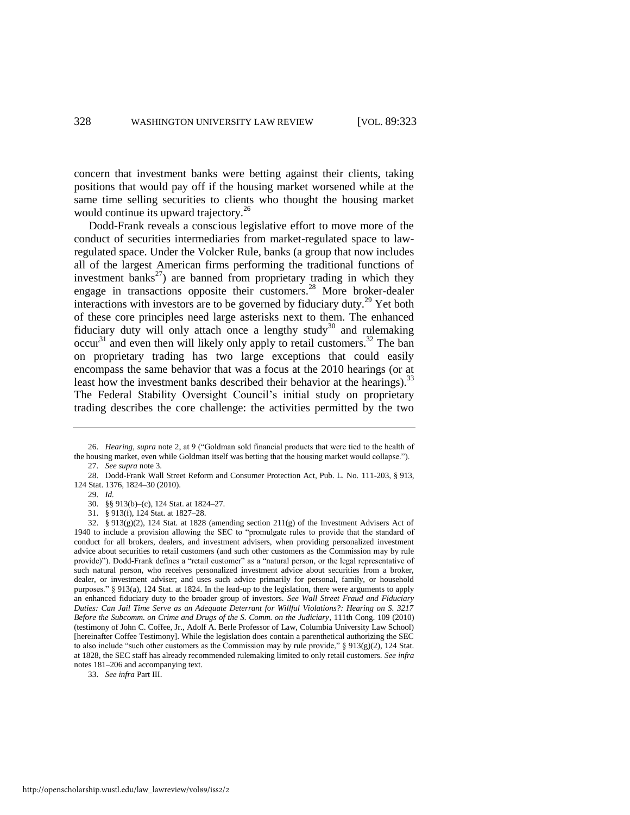concern that investment banks were betting against their clients, taking positions that would pay off if the housing market worsened while at the same time selling securities to clients who thought the housing market would continue its upward trajectory.<sup>26</sup>

Dodd-Frank reveals a conscious legislative effort to move more of the conduct of securities intermediaries from market-regulated space to lawregulated space. Under the Volcker Rule, banks (a group that now includes all of the largest American firms performing the traditional functions of investment banks<sup>27</sup>) are banned from proprietary trading in which they engage in transactions opposite their customers.<sup>28</sup> More broker-dealer interactions with investors are to be governed by fiduciary duty.<sup>29</sup> Yet both of these core principles need large asterisks next to them. The enhanced fiduciary duty will only attach once a lengthy study<sup>30</sup> and rulemaking  $\mathrm{occur}^{31}$  and even then will likely only apply to retail customers.<sup>32</sup> The ban on proprietary trading has two large exceptions that could easily encompass the same behavior that was a focus at the 2010 hearings (or at least how the investment banks described their behavior at the hearings).<sup>33</sup> The Federal Stability Oversight Council's initial study on proprietary trading describes the core challenge: the activities permitted by the two

29. *Id.*

<span id="page-6-0"></span><sup>26.</sup> *Hearing*, *supra* note [2,](#page-2-0) at 9 ("Goldman sold financial products that were tied to the health of the housing market, even while Goldman itself was betting that the housing market would collapse."). 27. *See supra* not[e 3.](#page-2-1) 

<sup>28.</sup> Dodd-Frank Wall Street Reform and Consumer Protection Act, Pub. L. No. 111-203, § 913, 124 Stat. 1376, 1824–30 (2010).

<sup>30. §§ 913(</sup>b)–(c), 124 Stat. at 1824–27.

<sup>31. § 913(</sup>f), 124 Stat. at 1827–28.

<sup>32. § 913(</sup>g)(2), 124 Stat. at 1828 (amending section 211(g) of the Investment Advisers Act of 1940 to include a provision allowing the SEC to "promulgate rules to provide that the standard of conduct for all brokers, dealers, and investment advisers, when providing personalized investment advice about securities to retail customers (and such other customers as the Commission may by rule provide)"). Dodd-Frank defines a "retail customer" as a "natural person, or the legal representative of such natural person, who receives personalized investment advice about securities from a broker, dealer, or investment adviser; and uses such advice primarily for personal, family, or household purposes." § 913(a), 124 Stat. at 1824. In the lead-up to the legislation, there were arguments to apply an enhanced fiduciary duty to the broader group of investors. *See Wall Street Fraud and Fiduciary Duties: Can Jail Time Serve as an Adequate Deterrant for Willful Violations?: Hearing on S. 3217 Before the Subcomm. on Crime and Drugs of the S. Comm. on the Judiciary*, 111th Cong. 109 (2010) (testimony of John C. Coffee, Jr., Adolf A. Berle Professor of Law, Columbia University Law School) [hereinafter Coffee Testimony]. While the legislation does contain a parenthetical authorizing the SEC to also include "such other customers as the Commission may by rule provide,"  $\S$  913(g)(2), 124 Stat. at 1828, the SEC staff has already recommended rulemaking limited to only retail customers. *See infra* notes [181–](#page-37-0)[206 a](#page-41-0)nd accompanying text.

<sup>33.</sup> *See infra* Part III.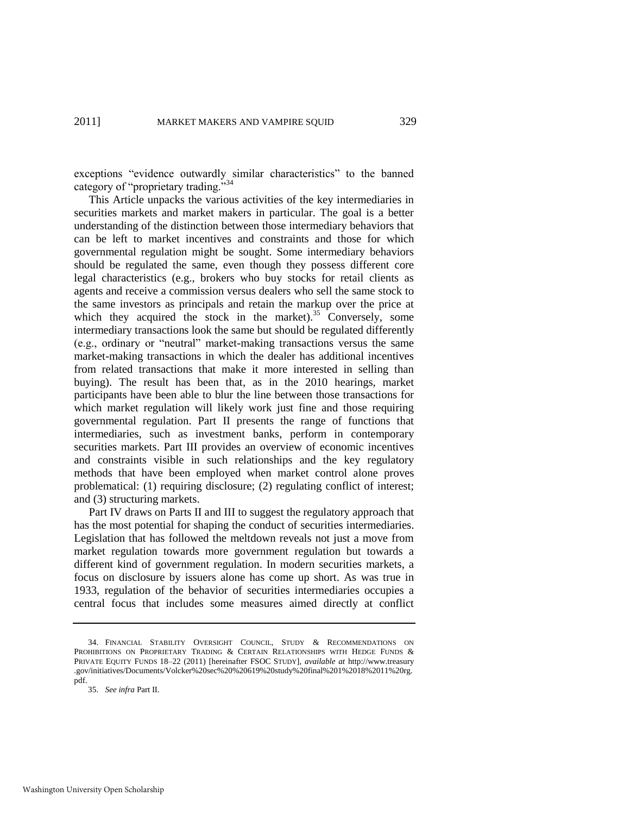<span id="page-7-0"></span>exceptions "evidence outwardly similar characteristics" to the banned category of "proprietary trading."<sup>34</sup>

This Article unpacks the various activities of the key intermediaries in securities markets and market makers in particular. The goal is a better understanding of the distinction between those intermediary behaviors that can be left to market incentives and constraints and those for which governmental regulation might be sought. Some intermediary behaviors should be regulated the same, even though they possess different core legal characteristics (e.g., brokers who buy stocks for retail clients as agents and receive a commission versus dealers who sell the same stock to the same investors as principals and retain the markup over the price at which they acquired the stock in the market).<sup>35</sup> Conversely, some intermediary transactions look the same but should be regulated differently (e.g., ordinary or "neutral" market-making transactions versus the same market-making transactions in which the dealer has additional incentives from related transactions that make it more interested in selling than buying). The result has been that, as in the 2010 hearings, market participants have been able to blur the line between those transactions for which market regulation will likely work just fine and those requiring governmental regulation. Part II presents the range of functions that intermediaries, such as investment banks, perform in contemporary securities markets. Part III provides an overview of economic incentives and constraints visible in such relationships and the key regulatory methods that have been employed when market control alone proves problematical: (1) requiring disclosure; (2) regulating conflict of interest; and (3) structuring markets.

Part IV draws on Parts II and III to suggest the regulatory approach that has the most potential for shaping the conduct of securities intermediaries. Legislation that has followed the meltdown reveals not just a move from market regulation towards more government regulation but towards a different kind of government regulation. In modern securities markets, a focus on disclosure by issuers alone has come up short. As was true in 1933, regulation of the behavior of securities intermediaries occupies a central focus that includes some measures aimed directly at conflict

<sup>34.</sup> FINANCIAL STABILITY OVERSIGHT COUNCIL, STUDY & RECOMMENDATIONS ON PROHIBITIONS ON PROPRIETARY TRADING & CERTAIN RELATIONSHIPS WITH HEDGE FUNDS & PRIVATE EQUITY FUNDS 18–22 (2011) [hereinafter FSOC STUDY], *available at* http://www.treasury .gov/initiatives/Documents/Volcker%20sec%20%20619%20study%20final%201%2018%2011%20rg. pdf.

<sup>35.</sup> *See infra* Part II.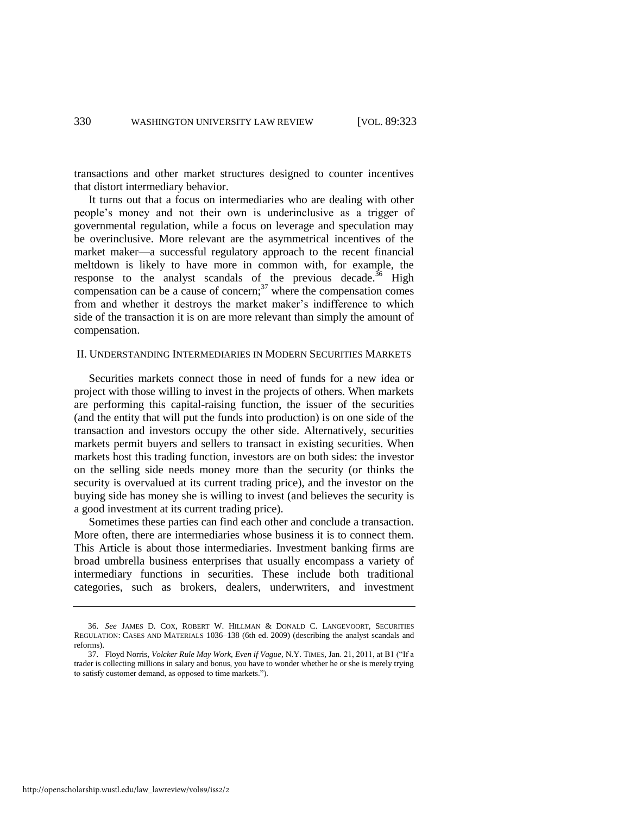transactions and other market structures designed to counter incentives that distort intermediary behavior.

It turns out that a focus on intermediaries who are dealing with other people's money and not their own is underinclusive as a trigger of governmental regulation, while a focus on leverage and speculation may be overinclusive. More relevant are the asymmetrical incentives of the market maker—a successful regulatory approach to the recent financial meltdown is likely to have more in common with, for example, the response to the analyst scandals of the previous decade.<sup>36</sup> High compensation can be a cause of concern; $37$  where the compensation comes from and whether it destroys the market maker's indifference to which side of the transaction it is on are more relevant than simply the amount of compensation.

# <span id="page-8-0"></span>II. UNDERSTANDING INTERMEDIARIES IN MODERN SECURITIES MARKETS

Securities markets connect those in need of funds for a new idea or project with those willing to invest in the projects of others. When markets are performing this capital-raising function, the issuer of the securities (and the entity that will put the funds into production) is on one side of the transaction and investors occupy the other side. Alternatively, securities markets permit buyers and sellers to transact in existing securities. When markets host this trading function, investors are on both sides: the investor on the selling side needs money more than the security (or thinks the security is overvalued at its current trading price), and the investor on the buying side has money she is willing to invest (and believes the security is a good investment at its current trading price).

Sometimes these parties can find each other and conclude a transaction. More often, there are intermediaries whose business it is to connect them. This Article is about those intermediaries. Investment banking firms are broad umbrella business enterprises that usually encompass a variety of intermediary functions in securities. These include both traditional categories, such as brokers, dealers, underwriters, and investment

<sup>36.</sup> *See* JAMES D. COX, ROBERT W. HILLMAN & DONALD C. LANGEVOORT, SECURITIES REGULATION: CASES AND MATERIALS 1036–138 (6th ed. 2009) (describing the analyst scandals and reforms).

<sup>37.</sup> Floyd Norris, *Volcker Rule May Work, Even if Vague*, N.Y. TIMES, Jan. 21, 2011, at B1 ("If a trader is collecting millions in salary and bonus, you have to wonder whether he or she is merely trying to satisfy customer demand, as opposed to time markets.").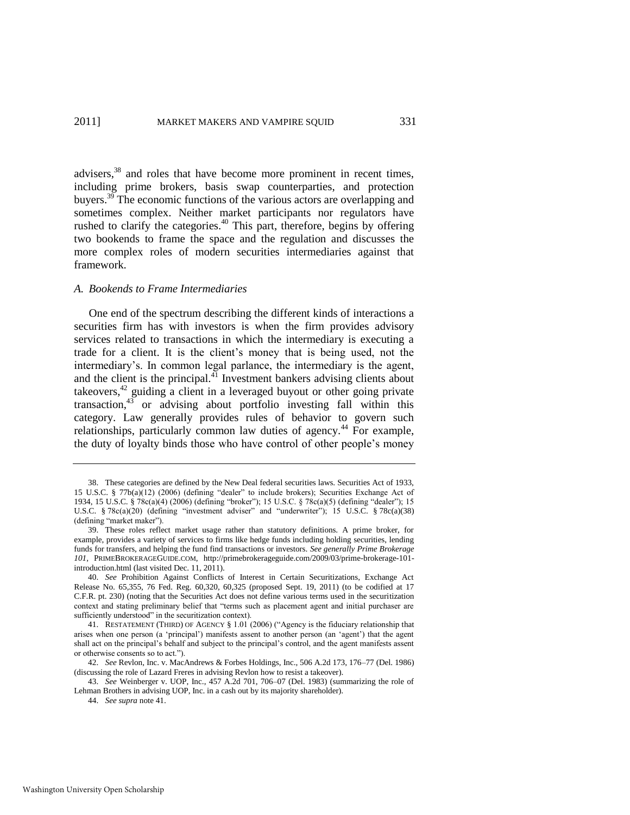advisers,<sup>38</sup> and roles that have become more prominent in recent times, including prime brokers, basis swap counterparties, and protection buyers.<sup>39</sup> The economic functions of the various actors are overlapping and sometimes complex. Neither market participants nor regulators have rushed to clarify the categories.<sup>40</sup> This part, therefore, begins by offering two bookends to frame the space and the regulation and discusses the more complex roles of modern securities intermediaries against that framework.

# *A. Bookends to Frame Intermediaries*

<span id="page-9-0"></span>One end of the spectrum describing the different kinds of interactions a securities firm has with investors is when the firm provides advisory services related to transactions in which the intermediary is executing a trade for a client. It is the client's money that is being used, not the intermediary's. In common legal parlance, the intermediary is the agent, and the client is the principal. $^{41}$  Investment bankers advising clients about takeovers,<sup>42</sup> guiding a client in a leveraged buyout or other going private transaction, $43$  or advising about portfolio investing fall within this category. Law generally provides rules of behavior to govern such relationships, particularly common law duties of agency.<sup>44</sup> For example, the duty of loyalty binds those who have control of other people's money

<sup>38.</sup> These categories are defined by the New Deal federal securities laws. Securities Act of 1933, 15 U.S.C. § 77b(a)(12) (2006) (defining "dealer" to include brokers); Securities Exchange Act of 1934, 15 U.S.C. § 78c(a)(4) (2006) (defining "broker"); 15 U.S.C. § 78c(a)(5) (defining "dealer"); 15 U.S.C. § 78c(a)(20) (defining "investment adviser" and "underwriter"); 15 U.S.C. § 78c(a)(38) (defining "market maker").

<sup>39.</sup> These roles reflect market usage rather than statutory definitions. A prime broker, for example, provides a variety of services to firms like hedge funds including holding securities, lending funds for transfers, and helping the fund find transactions or investors. *See generally Prime Brokerage 101*, PRIMEBROKERAGEGUIDE.COM, http://primebrokerageguide.com/2009/03/prime-brokerage-101 introduction.html (last visited Dec. 11, 2011).

<sup>40.</sup> *See* Prohibition Against Conflicts of Interest in Certain Securitizations, Exchange Act Release No. 65,355, 76 Fed. Reg. 60,320, 60,325 (proposed Sept. 19, 2011) (to be codified at 17 C.F.R. pt. 230) (noting that the Securities Act does not define various terms used in the securitization context and stating preliminary belief that "terms such as placement agent and initial purchaser are sufficiently understood" in the securitization context).

<sup>41.</sup> RESTATEMENT (THIRD) OF AGENCY § 1.01 (2006) ("Agency is the fiduciary relationship that arises when one person (a 'principal') manifests assent to another person (an 'agent') that the agent shall act on the principal's behalf and subject to the principal's control, and the agent manifests assent or otherwise consents so to act.").

<sup>42.</sup> *See* Revlon, Inc. v. MacAndrews & Forbes Holdings, Inc., 506 A.2d 173, 176–77 (Del. 1986) (discussing the role of Lazard Freres in advising Revlon how to resist a takeover).

<sup>43.</sup> *See* Weinberger v. UOP, Inc., 457 A.2d 701, 706–07 (Del. 1983) (summarizing the role of Lehman Brothers in advising UOP, Inc. in a cash out by its majority shareholder).

<sup>44.</sup> *See supra* not[e 41.](#page-9-0)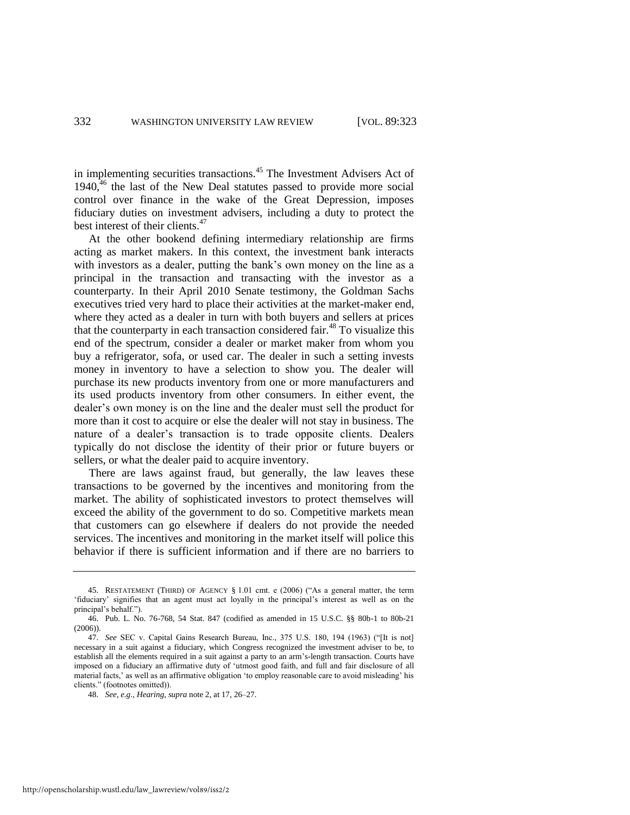<span id="page-10-0"></span>in implementing securities transactions.<sup>45</sup> The Investment Advisers Act of  $1940<sup>46</sup>$ , the last of the New Deal statutes passed to provide more social control over finance in the wake of the Great Depression, imposes fiduciary duties on investment advisers, including a duty to protect the best interest of their clients.<sup>47</sup>

At the other bookend defining intermediary relationship are firms acting as market makers. In this context, the investment bank interacts with investors as a dealer, putting the bank's own money on the line as a principal in the transaction and transacting with the investor as a counterparty. In their April 2010 Senate testimony, the Goldman Sachs executives tried very hard to place their activities at the market-maker end, where they acted as a dealer in turn with both buyers and sellers at prices that the counterparty in each transaction considered fair.<sup>48</sup> To visualize this end of the spectrum, consider a dealer or market maker from whom you buy a refrigerator, sofa, or used car. The dealer in such a setting invests money in inventory to have a selection to show you. The dealer will purchase its new products inventory from one or more manufacturers and its used products inventory from other consumers. In either event, the dealer's own money is on the line and the dealer must sell the product for more than it cost to acquire or else the dealer will not stay in business. The nature of a dealer's transaction is to trade opposite clients. Dealers typically do not disclose the identity of their prior or future buyers or sellers, or what the dealer paid to acquire inventory.

There are laws against fraud, but generally, the law leaves these transactions to be governed by the incentives and monitoring from the market. The ability of sophisticated investors to protect themselves will exceed the ability of the government to do so. Competitive markets mean that customers can go elsewhere if dealers do not provide the needed services. The incentives and monitoring in the market itself will police this behavior if there is sufficient information and if there are no barriers to

<sup>45.</sup> RESTATEMENT (THIRD) OF AGENCY  $\S 1.01$  cmt. e (2006) ("As a general matter, the term ‗fiduciary' signifies that an agent must act loyally in the principal's interest as well as on the principal's behalf.").

<sup>46.</sup> Pub. L. No. 76-768, 54 Stat. 847 (codified as amended in 15 U.S.C. §§ 80b-1 to 80b-21 (2006)).

<sup>47.</sup> *See* SEC v. Capital Gains Research Bureau, Inc., 375 U.S. 180, 194 (1963) ("[It is not] necessary in a suit against a fiduciary, which Congress recognized the investment adviser to be, to establish all the elements required in a suit against a party to an arm's-length transaction. Courts have imposed on a fiduciary an affirmative duty of 'utmost good faith, and full and fair disclosure of all material facts,' as well as an affirmative obligation 'to employ reasonable care to avoid misleading' his clients." (footnotes omitted)).

<sup>48.</sup> *See, e.g*., *Hearing*, *supra* not[e 2,](#page-2-0) at 17, 26–27.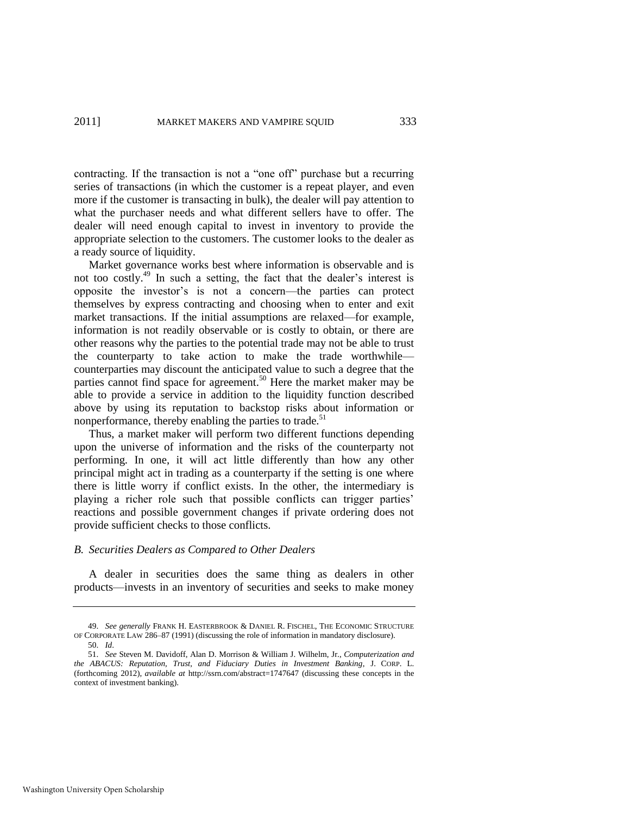contracting. If the transaction is not a "one off" purchase but a recurring series of transactions (in which the customer is a repeat player, and even more if the customer is transacting in bulk), the dealer will pay attention to what the purchaser needs and what different sellers have to offer. The dealer will need enough capital to invest in inventory to provide the appropriate selection to the customers. The customer looks to the dealer as a ready source of liquidity.

Market governance works best where information is observable and is not too costly.<sup>49</sup> In such a setting, the fact that the dealer's interest is opposite the investor's is not a concern—the parties can protect themselves by express contracting and choosing when to enter and exit market transactions. If the initial assumptions are relaxed—for example, information is not readily observable or is costly to obtain, or there are other reasons why the parties to the potential trade may not be able to trust the counterparty to take action to make the trade worthwhile counterparties may discount the anticipated value to such a degree that the parties cannot find space for agreement.<sup>50</sup> Here the market maker may be able to provide a service in addition to the liquidity function described above by using its reputation to backstop risks about information or nonperformance, thereby enabling the parties to trade.<sup>51</sup>

<span id="page-11-0"></span>Thus, a market maker will perform two different functions depending upon the universe of information and the risks of the counterparty not performing. In one, it will act little differently than how any other principal might act in trading as a counterparty if the setting is one where there is little worry if conflict exists. In the other, the intermediary is playing a richer role such that possible conflicts can trigger parties' reactions and possible government changes if private ordering does not provide sufficient checks to those conflicts.

# *B. Securities Dealers as Compared to Other Dealers*

A dealer in securities does the same thing as dealers in other products—invests in an inventory of securities and seeks to make money

<sup>49.</sup> *See generally* FRANK H. EASTERBROOK & DANIEL R. FISCHEL, THE ECONOMIC STRUCTURE OF CORPORATE LAW 286–87 (1991) (discussing the role of information in mandatory disclosure). 50. *Id*.

<sup>51.</sup> *See* Steven M. Davidoff, Alan D. Morrison & William J. Wilhelm, Jr., *Computerization and the ABACUS: Reputation, Trust, and Fiduciary Duties in Investment Banking*, J. CORP. L. (forthcoming 2012), *available at* http://ssrn.com/abstract=1747647 (discussing these concepts in the context of investment banking).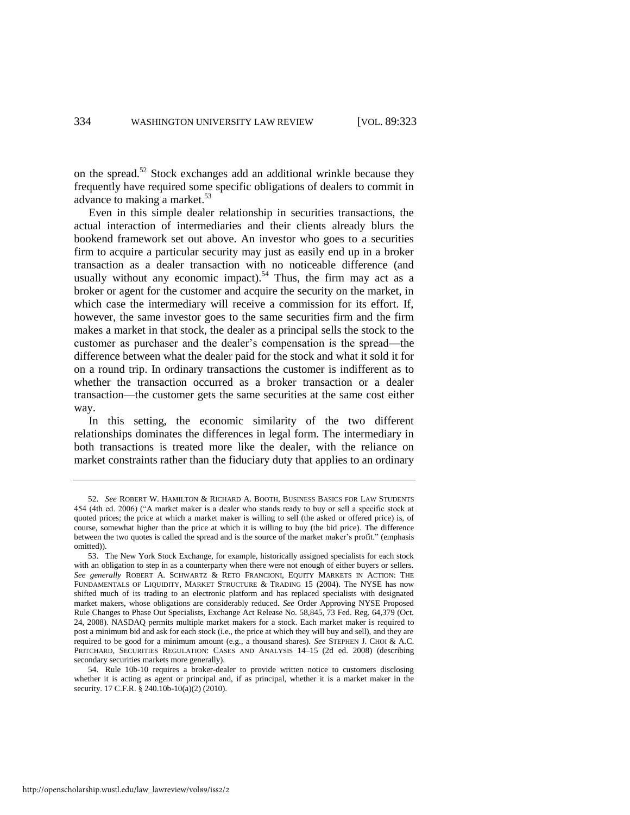<span id="page-12-1"></span>on the spread.<sup>52</sup> Stock exchanges add an additional wrinkle because they frequently have required some specific obligations of dealers to commit in advance to making a market.<sup>53</sup>

<span id="page-12-0"></span>Even in this simple dealer relationship in securities transactions, the actual interaction of intermediaries and their clients already blurs the bookend framework set out above. An investor who goes to a securities firm to acquire a particular security may just as easily end up in a broker transaction as a dealer transaction with no noticeable difference (and usually without any economic impact).<sup>54</sup> Thus, the firm may act as a broker or agent for the customer and acquire the security on the market, in which case the intermediary will receive a commission for its effort. If, however, the same investor goes to the same securities firm and the firm makes a market in that stock, the dealer as a principal sells the stock to the customer as purchaser and the dealer's compensation is the spread—the difference between what the dealer paid for the stock and what it sold it for on a round trip. In ordinary transactions the customer is indifferent as to whether the transaction occurred as a broker transaction or a dealer transaction—the customer gets the same securities at the same cost either way.

In this setting, the economic similarity of the two different relationships dominates the differences in legal form. The intermediary in both transactions is treated more like the dealer, with the reliance on market constraints rather than the fiduciary duty that applies to an ordinary

<sup>52.</sup> *See* ROBERT W. HAMILTON & RICHARD A. BOOTH, BUSINESS BASICS FOR LAW STUDENTS 454 (4th ed. 2006) ("A market maker is a dealer who stands ready to buy or sell a specific stock at quoted prices; the price at which a market maker is willing to sell (the asked or offered price) is, of course, somewhat higher than the price at which it is willing to buy (the bid price). The difference between the two quotes is called the spread and is the source of the market maker's profit." (emphasis omitted)).

<sup>53.</sup> The New York Stock Exchange, for example, historically assigned specialists for each stock with an obligation to step in as a counterparty when there were not enough of either buyers or sellers. *See generally* ROBERT A. SCHWARTZ & RETO FRANCIONI, EQUITY MARKETS IN ACTION: THE FUNDAMENTALS OF LIQUIDITY, MARKET STRUCTURE & TRADING 15 (2004). The NYSE has now shifted much of its trading to an electronic platform and has replaced specialists with designated market makers, whose obligations are considerably reduced. *See* Order Approving NYSE Proposed Rule Changes to Phase Out Specialists, Exchange Act Release No. 58,845, 73 Fed. Reg. 64,379 (Oct. 24, 2008). NASDAQ permits multiple market makers for a stock. Each market maker is required to post a minimum bid and ask for each stock (i.e., the price at which they will buy and sell), and they are required to be good for a minimum amount (e.g., a thousand shares). *See* STEPHEN J. CHOI & A.C. PRITCHARD, SECURITIES REGULATION: CASES AND ANALYSIS 14–15 (2d ed. 2008) (describing secondary securities markets more generally).

<sup>54.</sup> Rule 10b-10 requires a broker-dealer to provide written notice to customers disclosing whether it is acting as agent or principal and, if as principal, whether it is a market maker in the security. 17 C.F.R. § 240.10b-10(a)(2) (2010).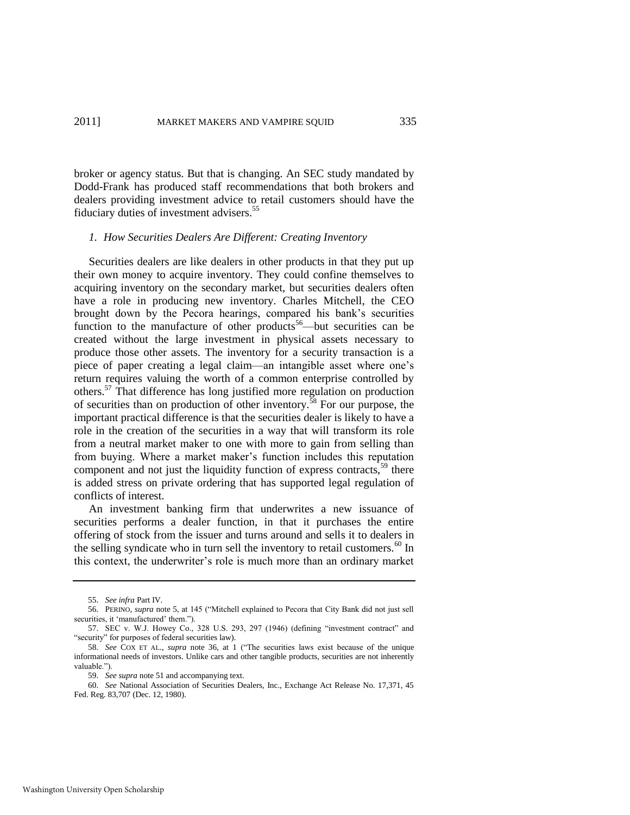broker or agency status. But that is changing. An SEC study mandated by Dodd-Frank has produced staff recommendations that both brokers and dealers providing investment advice to retail customers should have the fiduciary duties of investment advisers.<sup>55</sup>

# *1. How Securities Dealers Are Different: Creating Inventory*

Securities dealers are like dealers in other products in that they put up their own money to acquire inventory. They could confine themselves to acquiring inventory on the secondary market, but securities dealers often have a role in producing new inventory. Charles Mitchell, the CEO brought down by the Pecora hearings, compared his bank's securities function to the manufacture of other products<sup>56</sup>—but securities can be created without the large investment in physical assets necessary to produce those other assets. The inventory for a security transaction is a piece of paper creating a legal claim—an intangible asset where one's return requires valuing the worth of a common enterprise controlled by others.<sup>57</sup> That difference has long justified more regulation on production of securities than on production of other inventory.<sup>58</sup> For our purpose, the important practical difference is that the securities dealer is likely to have a role in the creation of the securities in a way that will transform its role from a neutral market maker to one with more to gain from selling than from buying. Where a market maker's function includes this reputation component and not just the liquidity function of express contracts,<sup>59</sup> there is added stress on private ordering that has supported legal regulation of conflicts of interest.

An investment banking firm that underwrites a new issuance of securities performs a dealer function, in that it purchases the entire offering of stock from the issuer and turns around and sells it to dealers in the selling syndicate who in turn sell the inventory to retail customers.<sup>60</sup> In this context, the underwriter's role is much more than an ordinary market

<sup>55.</sup> *See infra* Part IV.

<sup>56.</sup> PERINO, *supra* note [5,](#page-2-2) at 145 ("Mitchell explained to Pecora that City Bank did not just sell securities, it 'manufactured' them.").

<sup>57.</sup> SEC v. W.J. Howey Co., 328 U.S. 293, 297 (1946) (defining "investment contract" and "security" for purposes of federal securities law).

<sup>58.</sup> *See* COX ET AL., *supra* note [36,](#page-8-0) at 1 ("The securities laws exist because of the unique informational needs of investors. Unlike cars and other tangible products, securities are not inherently valuable.").

<sup>59.</sup> *See supra* not[e 51 a](#page-11-0)nd accompanying text.

<sup>60.</sup> *See* National Association of Securities Dealers, Inc., Exchange Act Release No. 17,371, 45 Fed. Reg. 83,707 (Dec. 12, 1980).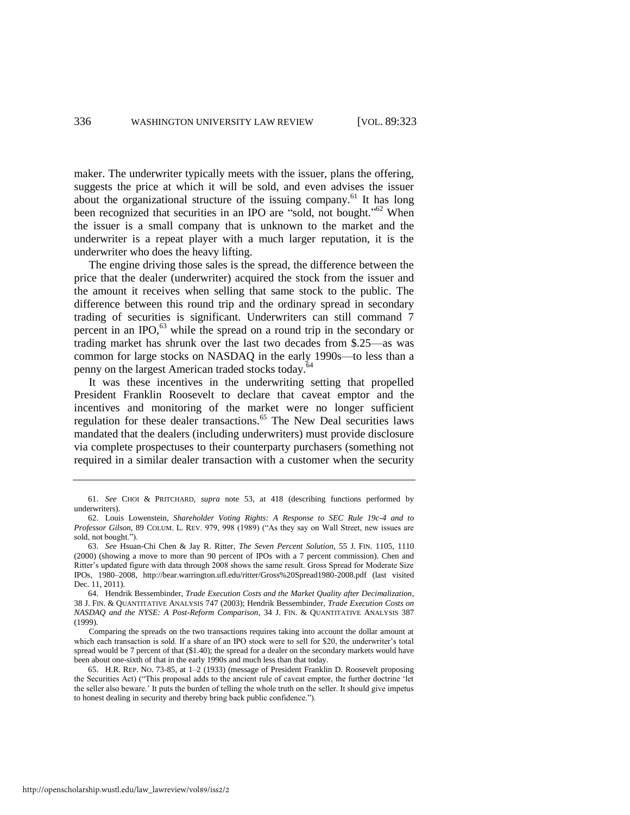maker. The underwriter typically meets with the issuer, plans the offering, suggests the price at which it will be sold, and even advises the issuer about the organizational structure of the issuing company.<sup>61</sup> It has long been recognized that securities in an IPO are "sold, not bought."<sup>62</sup> When the issuer is a small company that is unknown to the market and the underwriter is a repeat player with a much larger reputation, it is the underwriter who does the heavy lifting.

The engine driving those sales is the spread, the difference between the price that the dealer (underwriter) acquired the stock from the issuer and the amount it receives when selling that same stock to the public. The difference between this round trip and the ordinary spread in secondary trading of securities is significant. Underwriters can still command 7 percent in an IPO, $^{63}$  while the spread on a round trip in the secondary or trading market has shrunk over the last two decades from \$.25—as was common for large stocks on NASDAQ in the early 1990s—to less than a penny on the largest American traded stocks today.<sup>6</sup>

<span id="page-14-0"></span>It was these incentives in the underwriting setting that propelled President Franklin Roosevelt to declare that caveat emptor and the incentives and monitoring of the market were no longer sufficient regulation for these dealer transactions.<sup>65</sup> The New Deal securities laws mandated that the dealers (including underwriters) must provide disclosure via complete prospectuses to their counterparty purchasers (something not required in a similar dealer transaction with a customer when the security

<sup>61.</sup> *See* CHOI & PRITCHARD, *supra* note [53,](#page-12-0) at 418 (describing functions performed by underwriters).

<sup>62.</sup> Louis Lowenstein, *Shareholder Voting Rights: A Response to SEC Rule 19c-4 and to Professor Gilson*, 89 COLUM. L. REV. 979, 998 (1989) ("As they say on Wall Street, new issues are sold, not bought.").

<sup>63.</sup> *See* Hsuan-Chi Chen & Jay R. Ritter, *The Seven Percent Solution*, 55 J. FIN. 1105, 1110 (2000) (showing a move to more than 90 percent of IPOs with a 7 percent commission). Chen and Ritter's updated figure with data through 2008 shows the same result. Gross Spread for Moderate Size IPOs, 1980–2008, http://bear.warrington.ufl.edu/ritter/Gross%20Spread1980-2008.pdf (last visited Dec. 11, 2011).

<sup>64.</sup> Hendrik Bessembinder, *Trade Execution Costs and the Market Quality after Decimalization*, 38 J. FIN. & QUANTITATIVE ANALYSIS 747 (2003); Hendrik Bessembinder, *Trade Execution Costs on NASDAQ and the NYSE: A Post-Reform Comparison*, 34 J. FIN. & QUANTITATIVE ANALYSIS 387 (1999).

Comparing the spreads on the two transactions requires taking into account the dollar amount at which each transaction is sold. If a share of an IPO stock were to sell for \$20, the underwriter's total spread would be 7 percent of that (\$1.40); the spread for a dealer on the secondary markets would have been about one-sixth of that in the early 1990s and much less than that today.

<sup>65.</sup> H.R. REP. NO. 73-85, at 1–2 (1933) (message of President Franklin D. Roosevelt proposing the Securities Act) ("This proposal adds to the ancient rule of caveat emptor, the further doctrine 'let the seller also beware.' It puts the burden of telling the whole truth on the seller. It should give impetus to honest dealing in security and thereby bring back public confidence.").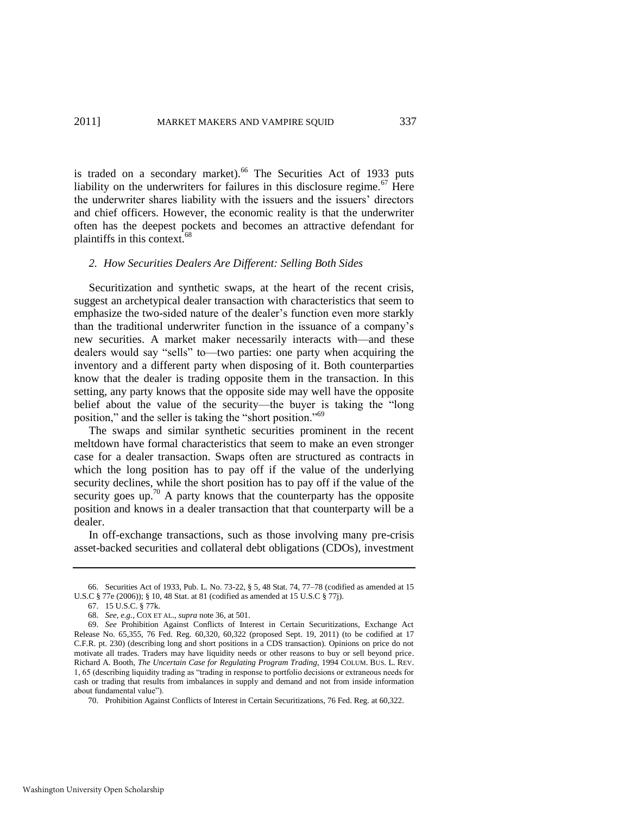is traded on a secondary market).<sup>66</sup> The Securities Act of 1933 puts liability on the underwriters for failures in this disclosure regime.<sup>67</sup> Here the underwriter shares liability with the issuers and the issuers' directors and chief officers. However, the economic reality is that the underwriter often has the deepest pockets and becomes an attractive defendant for plaintiffs in this context.<sup>68</sup>

#### *2. How Securities Dealers Are Different: Selling Both Sides*

Securitization and synthetic swaps, at the heart of the recent crisis, suggest an archetypical dealer transaction with characteristics that seem to emphasize the two-sided nature of the dealer's function even more starkly than the traditional underwriter function in the issuance of a company's new securities. A market maker necessarily interacts with—and these dealers would say "sells" to—two parties: one party when acquiring the inventory and a different party when disposing of it. Both counterparties know that the dealer is trading opposite them in the transaction. In this setting, any party knows that the opposite side may well have the opposite belief about the value of the security—the buyer is taking the "long position," and the seller is taking the "short position."<sup>69</sup>

The swaps and similar synthetic securities prominent in the recent meltdown have formal characteristics that seem to make an even stronger case for a dealer transaction. Swaps often are structured as contracts in which the long position has to pay off if the value of the underlying security declines, while the short position has to pay off if the value of the security goes up.<sup>70</sup> A party knows that the counterparty has the opposite position and knows in a dealer transaction that that counterparty will be a dealer.

In off-exchange transactions, such as those involving many pre-crisis asset-backed securities and collateral debt obligations (CDOs), investment

<sup>66.</sup> Securities Act of 1933, Pub. L. No. 73-22, § 5, 48 Stat. 74, 77–78 (codified as amended at 15 U.S.C § 77e (2006)); § 10, 48 Stat. at 81 (codified as amended at 15 U.S.C § 77j).

<sup>67. 15</sup> U.S.C. § 77k.

<sup>68.</sup> *See, e.g*., COX ET AL., *supra* not[e 36,](#page-8-0) at 501.

<sup>69.</sup> *See* Prohibition Against Conflicts of Interest in Certain Securitizations, Exchange Act Release No. 65,355, 76 Fed. Reg. 60,320, 60,322 (proposed Sept. 19, 2011) (to be codified at 17 C.F.R. pt. 230) (describing long and short positions in a CDS transaction). Opinions on price do not motivate all trades. Traders may have liquidity needs or other reasons to buy or sell beyond price. Richard A. Booth, *The Uncertain Case for Regulating Program Trading*, 1994 COLUM. BUS. L. REV. 1, 65 (describing liquidity trading as "trading in response to portfolio decisions or extraneous needs for cash or trading that results from imbalances in supply and demand and not from inside information about fundamental value").

<sup>70.</sup> Prohibition Against Conflicts of Interest in Certain Securitizations, 76 Fed. Reg. at 60,322.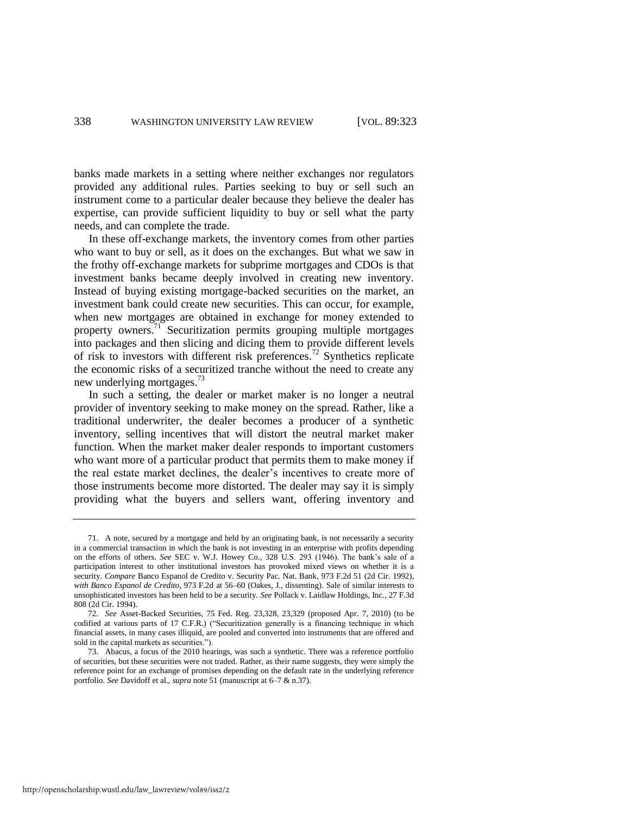banks made markets in a setting where neither exchanges nor regulators provided any additional rules. Parties seeking to buy or sell such an instrument come to a particular dealer because they believe the dealer has expertise, can provide sufficient liquidity to buy or sell what the party needs, and can complete the trade.

In these off-exchange markets, the inventory comes from other parties who want to buy or sell, as it does on the exchanges. But what we saw in the frothy off-exchange markets for subprime mortgages and CDOs is that investment banks became deeply involved in creating new inventory. Instead of buying existing mortgage-backed securities on the market, an investment bank could create new securities. This can occur, for example, when new mortgages are obtained in exchange for money extended to property owners.<sup>71</sup> Securitization permits grouping multiple mortgages into packages and then slicing and dicing them to provide different levels of risk to investors with different risk preferences.<sup>72</sup> Synthetics replicate the economic risks of a securitized tranche without the need to create any new underlying mortgages.<sup>73</sup>

<span id="page-16-0"></span>In such a setting, the dealer or market maker is no longer a neutral provider of inventory seeking to make money on the spread. Rather, like a traditional underwriter, the dealer becomes a producer of a synthetic inventory, selling incentives that will distort the neutral market maker function. When the market maker dealer responds to important customers who want more of a particular product that permits them to make money if the real estate market declines, the dealer's incentives to create more of those instruments become more distorted. The dealer may say it is simply providing what the buyers and sellers want, offering inventory and

<sup>71.</sup> A note, secured by a mortgage and held by an originating bank, is not necessarily a security in a commercial transaction in which the bank is not investing in an enterprise with profits depending on the efforts of others. *See* SEC v. W.J. Howey Co., 328 U.S. 293 (1946). The bank's sale of a participation interest to other institutional investors has provoked mixed views on whether it is a security. *Compare* Banco Espanol de Credito v. Security Pac. Nat. Bank, 973 F.2d 51 (2d Cir. 1992), *with Banco Espanol de Credito*, 973 F.2d at 56–60 (Oakes, J., dissenting). Sale of similar interests to unsophisticated investors has been held to be a security. *See* Pollack v. Laidlaw Holdings, Inc., 27 F.3d 808 (2d Cir. 1994).

<sup>72.</sup> *See* Asset-Backed Securities, 75 Fed. Reg. 23,328, 23,329 (proposed Apr. 7, 2010) (to be codified at various parts of 17 C.F.R.) ("Securitization generally is a financing technique in which financial assets, in many cases illiquid, are pooled and converted into instruments that are offered and sold in the capital markets as securities.").

<sup>73.</sup> Abacus, a focus of the 2010 hearings, was such a synthetic. There was a reference portfolio of securities, but these securities were not traded. Rather, as their name suggests, they were simply the reference point for an exchange of promises depending on the default rate in the underlying reference portfolio. *See* Davidoff et al., *supra* not[e 51 \(](#page-11-0)manuscript at 6–7 & n.37).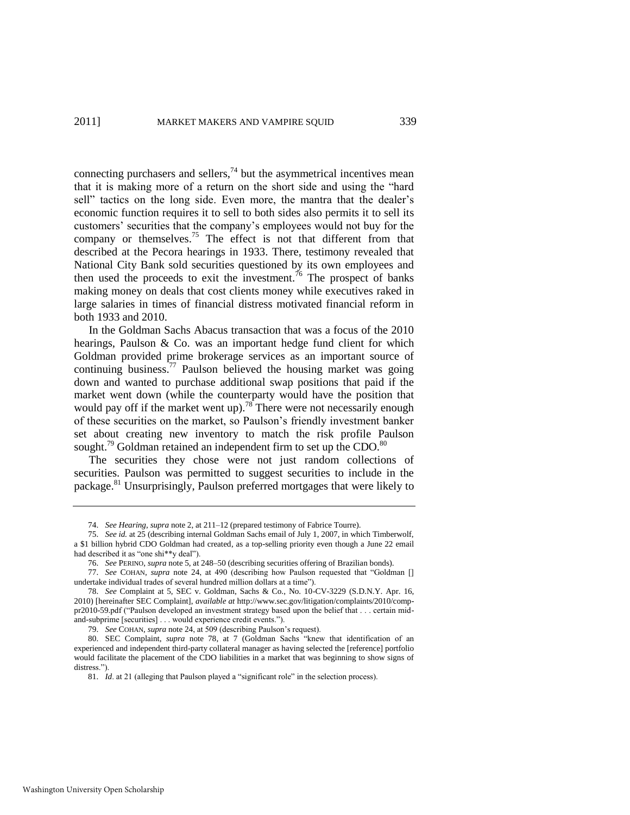<span id="page-17-1"></span>connecting purchasers and sellers, $74$  but the asymmetrical incentives mean that it is making more of a return on the short side and using the "hard sell" tactics on the long side. Even more, the mantra that the dealer's economic function requires it to sell to both sides also permits it to sell its customers' securities that the company's employees would not buy for the company or themselves.<sup>75</sup> The effect is not that different from that described at the Pecora hearings in 1933. There, testimony revealed that National City Bank sold securities questioned by its own employees and then used the proceeds to exit the investment.<sup>76</sup> The prospect of banks making money on deals that cost clients money while executives raked in large salaries in times of financial distress motivated financial reform in both 1933 and 2010.

In the Goldman Sachs Abacus transaction that was a focus of the 2010 hearings, Paulson & Co. was an important hedge fund client for which Goldman provided prime brokerage services as an important source of continuing business. $\frac{77}{2}$  Paulson believed the housing market was going down and wanted to purchase additional swap positions that paid if the market went down (while the counterparty would have the position that would pay off if the market went up).<sup>78</sup> There were not necessarily enough of these securities on the market, so Paulson's friendly investment banker set about creating new inventory to match the risk profile Paulson sought.<sup>79</sup> Goldman retained an independent firm to set up the CDO. $80$ 

<span id="page-17-0"></span>The securities they chose were not just random collections of securities. Paulson was permitted to suggest securities to include in the package.<sup>81</sup> Unsurprisingly, Paulson preferred mortgages that were likely to

79. *See* COHAN, *supra* not[e 24,](#page-5-0) at 509 (describing Paulson's request).

<sup>74.</sup> *See Hearing*, *supra* not[e 2,](#page-2-0) at 211–12 (prepared testimony of Fabrice Tourre).

<sup>75.</sup> *See id.* at 25 (describing internal Goldman Sachs email of July 1, 2007, in which Timberwolf, a \$1 billion hybrid CDO Goldman had created, as a top-selling priority even though a June 22 email had described it as "one shi\*\*y deal").

<sup>76.</sup> *See* PERINO, *supra* not[e 5,](#page-2-2) at 248–50 (describing securities offering of Brazilian bonds).

<sup>77.</sup> *See* COHAN, *supra* note [24,](#page-5-0) at 490 (describing how Paulson requested that "Goldman [] undertake individual trades of several hundred million dollars at a time").

<sup>78.</sup> *See* Complaint at 5, SEC v. Goldman, Sachs & Co., No. 10-CV-3229 (S.D.N.Y. Apr. 16, 2010) [hereinafter SEC Complaint], *available at* http://www.sec.gov/litigation/complaints/2010/comppr2010-59.pdf ("Paulson developed an investment strategy based upon the belief that . . . certain midand-subprime [securities] . . . would experience credit events.").

<sup>80.</sup> SEC Complaint, *supra* note [78,](#page-17-0) at 7 (Goldman Sachs "knew that identification of an experienced and independent third-party collateral manager as having selected the [reference] portfolio would facilitate the placement of the CDO liabilities in a market that was beginning to show signs of distress.").

<sup>81.</sup> *Id.* at 21 (alleging that Paulson played a "significant role" in the selection process).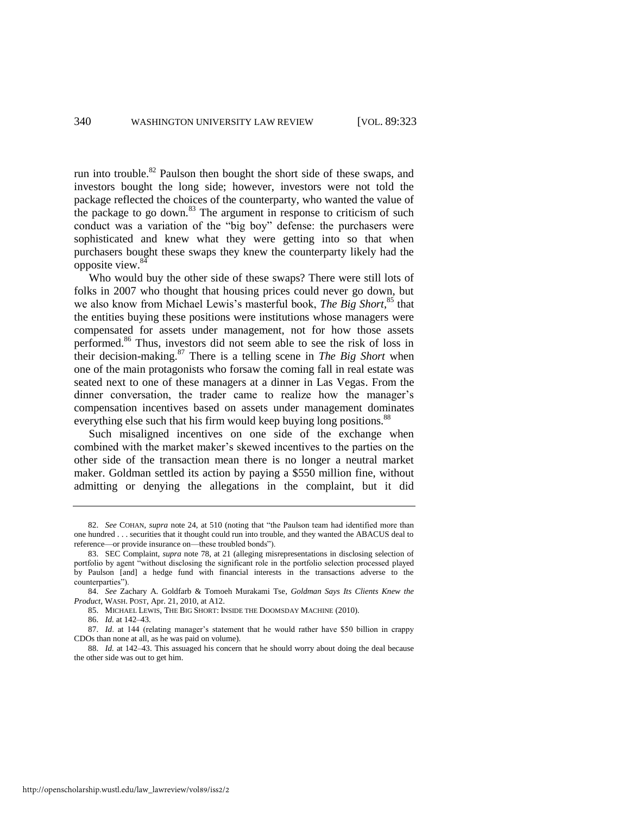<span id="page-18-1"></span>run into trouble.<sup>82</sup> Paulson then bought the short side of these swaps, and investors bought the long side; however, investors were not told the package reflected the choices of the counterparty, who wanted the value of the package to go down.<sup>83</sup> The argument in response to criticism of such conduct was a variation of the "big boy" defense: the purchasers were sophisticated and knew what they were getting into so that when purchasers bought these swaps they knew the counterparty likely had the opposite view.<sup>84</sup>

<span id="page-18-0"></span>Who would buy the other side of these swaps? There were still lots of folks in 2007 who thought that housing prices could never go down, but we also know from Michael Lewis's masterful book, *The Big Short*,<sup>85</sup> that the entities buying these positions were institutions whose managers were compensated for assets under management, not for how those assets performed.<sup>86</sup> Thus, investors did not seem able to see the risk of loss in their decision-making.<sup>87</sup> There is a telling scene in *The Big Short* when one of the main protagonists who forsaw the coming fall in real estate was seated next to one of these managers at a dinner in Las Vegas. From the dinner conversation, the trader came to realize how the manager's compensation incentives based on assets under management dominates everything else such that his firm would keep buying long positions.<sup>88</sup>

Such misaligned incentives on one side of the exchange when combined with the market maker's skewed incentives to the parties on the other side of the transaction mean there is no longer a neutral market maker. Goldman settled its action by paying a \$550 million fine, without admitting or denying the allegations in the complaint, but it did

<sup>82.</sup> *See* COHAN, *supra* note [24,](#page-5-0) at 510 (noting that "the Paulson team had identified more than one hundred . . . securities that it thought could run into trouble, and they wanted the ABACUS deal to reference—or provide insurance on—these troubled bonds").

<sup>83.</sup> SEC Complaint, *supra* note [78,](#page-17-0) at 21 (alleging misrepresentations in disclosing selection of portfolio by agent "without disclosing the significant role in the portfolio selection processed played by Paulson [and] a hedge fund with financial interests in the transactions adverse to the counterparties").

<sup>84.</sup> *See* Zachary A. Goldfarb & Tomoeh Murakami Tse, *Goldman Says Its Clients Knew the Product*, WASH. POST, Apr. 21, 2010, at A12.

<sup>85.</sup> MICHAEL LEWIS, THE BIG SHORT: INSIDE THE DOOMSDAY MACHINE (2010).

<sup>86.</sup> *Id.* at 142–43.

<sup>87.</sup> *Id*. at 144 (relating manager's statement that he would rather have \$50 billion in crappy CDOs than none at all, as he was paid on volume).

<sup>88.</sup> *Id.* at 142–43. This assuaged his concern that he should worry about doing the deal because the other side was out to get him.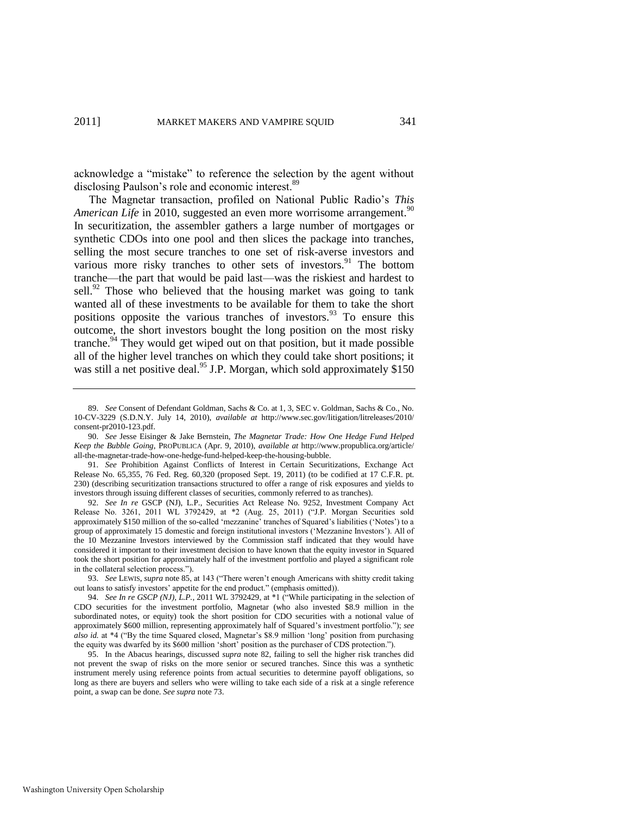acknowledge a "mistake" to reference the selection by the agent without disclosing Paulson's role and economic interest.<sup>89</sup>

The Magnetar transaction, profiled on National Public Radio's *This American Life* in 2010, suggested an even more worrisome arrangement.<sup>90</sup> In securitization, the assembler gathers a large number of mortgages or synthetic CDOs into one pool and then slices the package into tranches, selling the most secure tranches to one set of risk-averse investors and various more risky tranches to other sets of investors.<sup>91</sup> The bottom tranche—the part that would be paid last—was the riskiest and hardest to sell.<sup>92</sup> Those who believed that the housing market was going to tank wanted all of these investments to be available for them to take the short positions opposite the various tranches of investors.<sup>93</sup> To ensure this outcome, the short investors bought the long position on the most risky tranche.<sup>94</sup> They would get wiped out on that position, but it made possible all of the higher level tranches on which they could take short positions; it was still a net positive deal.<sup>95</sup> J.P. Morgan, which sold approximately \$150

92. *See In re* GSCP (NJ), L.P., Securities Act Release No. 9252, Investment Company Act Release No. 3261, 2011 WL 3792429, at \*2 (Aug. 25, 2011) ("J.P. Morgan Securities sold approximately \$150 million of the so-called 'mezzanine' tranches of Squared's liabilities ('Notes') to a group of approximately 15 domestic and foreign institutional investors (‗Mezzanine Investors'). All of the 10 Mezzanine Investors interviewed by the Commission staff indicated that they would have considered it important to their investment decision to have known that the equity investor in Squared took the short position for approximately half of the investment portfolio and played a significant role in the collateral selection process.").

<sup>89.</sup> *See* Consent of Defendant Goldman, Sachs & Co. at 1, 3, SEC v. Goldman, Sachs & Co., No. 10-CV-3229 (S.D.N.Y. July 14, 2010), *available at* http://www.sec.gov/litigation/litreleases/2010/ consent-pr2010-123.pdf.

<sup>90.</sup> *See* Jesse Eisinger & Jake Bernstein, *The Magnetar Trade: How One Hedge Fund Helped Keep the Bubble Going*, PROPUBLICA (Apr. 9, 2010), *available at* http://www.propublica.org/article/ all-the-magnetar-trade-how-one-hedge-fund-helped-keep-the-housing-bubble.

<sup>91.</sup> *See* Prohibition Against Conflicts of Interest in Certain Securitizations, Exchange Act Release No. 65,355, 76 Fed. Reg. 60,320 (proposed Sept. 19, 2011) (to be codified at 17 C.F.R. pt. 230) (describing securitization transactions structured to offer a range of risk exposures and yields to investors through issuing different classes of securities, commonly referred to as tranches).

<sup>93.</sup> See LEWIS, *supra* not[e 85,](#page-18-0) at 143 ("There weren't enough Americans with shitty credit taking out loans to satisfy investors' appetite for the end product." (emphasis omitted)).

<sup>94.</sup> *See In re GSCP* (*NJ*), *L.P.*, 2011 WL 3792429, at \*1 ("While participating in the selection of CDO securities for the investment portfolio, Magnetar (who also invested \$8.9 million in the subordinated notes, or equity) took the short position for CDO securities with a notional value of approximately \$600 million, representing approximately half of Squared's investment portfolio."); see *also id.* at \*4 ("By the time Squared closed, Magnetar's \$8.9 million 'long' position from purchasing the equity was dwarfed by its \$600 million 'short' position as the purchaser of CDS protection.").

<sup>95.</sup> In the Abacus hearings, discussed *supra* note [82,](#page-18-1) failing to sell the higher risk tranches did not prevent the swap of risks on the more senior or secured tranches. Since this was a synthetic instrument merely using reference points from actual securities to determine payoff obligations, so long as there are buyers and sellers who were willing to take each side of a risk at a single reference point, a swap can be done. *See supra* not[e 73.](#page-16-0)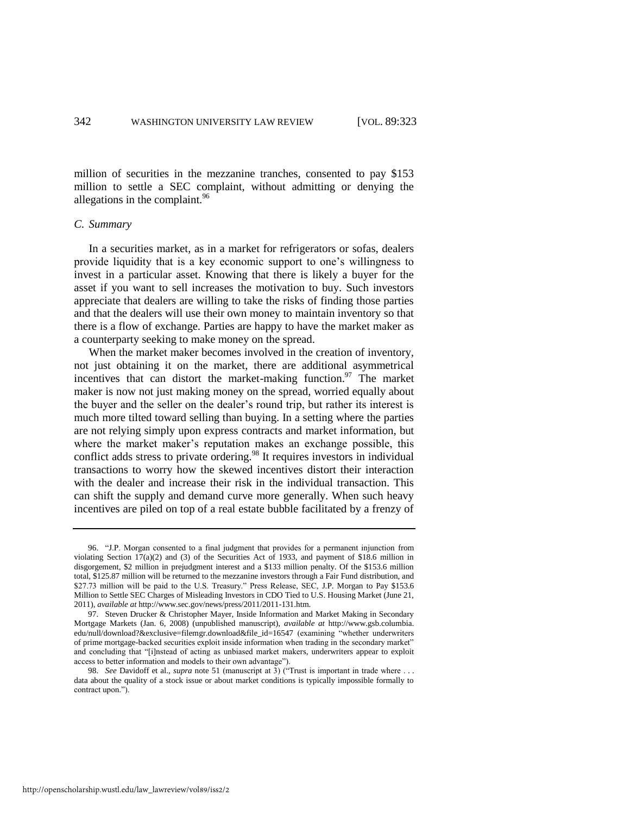million of securities in the mezzanine tranches, consented to pay \$153 million to settle a SEC complaint, without admitting or denying the allegations in the complaint.<sup>96</sup>

# *C. Summary*

In a securities market, as in a market for refrigerators or sofas, dealers provide liquidity that is a key economic support to one's willingness to invest in a particular asset. Knowing that there is likely a buyer for the asset if you want to sell increases the motivation to buy. Such investors appreciate that dealers are willing to take the risks of finding those parties and that the dealers will use their own money to maintain inventory so that there is a flow of exchange. Parties are happy to have the market maker as a counterparty seeking to make money on the spread.

When the market maker becomes involved in the creation of inventory, not just obtaining it on the market, there are additional asymmetrical incentives that can distort the market-making function. $97$  The market maker is now not just making money on the spread, worried equally about the buyer and the seller on the dealer's round trip, but rather its interest is much more tilted toward selling than buying. In a setting where the parties are not relying simply upon express contracts and market information, but where the market maker's reputation makes an exchange possible, this conflict adds stress to private ordering.<sup>98</sup> It requires investors in individual transactions to worry how the skewed incentives distort their interaction with the dealer and increase their risk in the individual transaction. This can shift the supply and demand curve more generally. When such heavy incentives are piled on top of a real estate bubble facilitated by a frenzy of

<sup>96. &</sup>quot;J.P. Morgan consented to a final judgment that provides for a permanent injunction from violating Section 17(a)(2) and (3) of the Securities Act of 1933, and payment of \$18.6 million in disgorgement, \$2 million in prejudgment interest and a \$133 million penalty. Of the \$153.6 million total, \$125.87 million will be returned to the mezzanine investors through a Fair Fund distribution, and \$27.73 million will be paid to the U.S. Treasury." Press Release, SEC, J.P. Morgan to Pay \$153.6 Million to Settle SEC Charges of Misleading Investors in CDO Tied to U.S. Housing Market (June 21, 2011), *available at* http://www.sec.gov/news/press/2011/2011-131.htm.

<sup>97.</sup> Steven Drucker & Christopher Mayer, Inside Information and Market Making in Secondary Mortgage Markets (Jan. 6, 2008) (unpublished manuscript), *available at* http://www.gsb.columbia. edu/null/download?&exclusive=filemgr.download&file\_id=16547 (examining "whether underwriters of prime mortgage-backed securities exploit inside information when trading in the secondary market" and concluding that "[i]nstead of acting as unbiased market makers, underwriters appear to exploit access to better information and models to their own advantage").

<sup>98.</sup> *See* Davidoff et al., *supra* note [51](#page-11-0) (manuscript at 3) ("Trust is important in trade where ... data about the quality of a stock issue or about market conditions is typically impossible formally to contract upon.").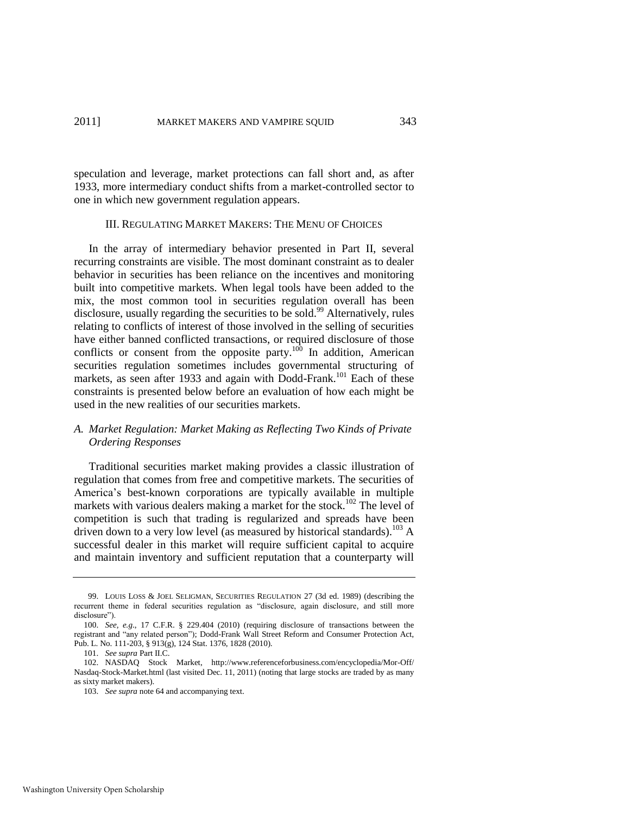speculation and leverage, market protections can fall short and, as after 1933, more intermediary conduct shifts from a market-controlled sector to one in which new government regulation appears.

# <span id="page-21-0"></span>III. REGULATING MARKET MAKERS: THE MENU OF CHOICES

In the array of intermediary behavior presented in Part II, several recurring constraints are visible. The most dominant constraint as to dealer behavior in securities has been reliance on the incentives and monitoring built into competitive markets. When legal tools have been added to the mix, the most common tool in securities regulation overall has been disclosure, usually regarding the securities to be sold.<sup>99</sup> Alternatively, rules relating to conflicts of interest of those involved in the selling of securities have either banned conflicted transactions, or required disclosure of those conflicts or consent from the opposite party.<sup>100</sup> In addition, American securities regulation sometimes includes governmental structuring of markets, as seen after 1933 and again with Dodd-Frank.<sup>101</sup> Each of these constraints is presented below before an evaluation of how each might be used in the new realities of our securities markets.

# *A. Market Regulation: Market Making as Reflecting Two Kinds of Private Ordering Responses*

Traditional securities market making provides a classic illustration of regulation that comes from free and competitive markets. The securities of America's best-known corporations are typically available in multiple markets with various dealers making a market for the stock.<sup>102</sup> The level of competition is such that trading is regularized and spreads have been driven down to a very low level (as measured by historical standards).<sup>103</sup> A successful dealer in this market will require sufficient capital to acquire and maintain inventory and sufficient reputation that a counterparty will

<sup>99.</sup> LOUIS LOSS & JOEL SELIGMAN, SECURITIES REGULATION 27 (3d ed. 1989) (describing the recurrent theme in federal securities regulation as "disclosure, again disclosure, and still more disclosure").

<sup>100.</sup> *See, e.g*., 17 C.F.R. § 229.404 (2010) (requiring disclosure of transactions between the registrant and "any related person"); Dodd-Frank Wall Street Reform and Consumer Protection Act, Pub. L. No. 111-203, § 913(g), 124 Stat. 1376, 1828 (2010).

<sup>101.</sup> *See supra* Part II.C.

<sup>102.</sup> NASDAQ Stock Market, http://www.referenceforbusiness.com/encyclopedia/Mor-Off/ Nasdaq-Stock-Market.html (last visited Dec. 11, 2011) (noting that large stocks are traded by as many as sixty market makers).

<sup>103.</sup> *See supra* not[e 64 a](#page-14-0)nd accompanying text.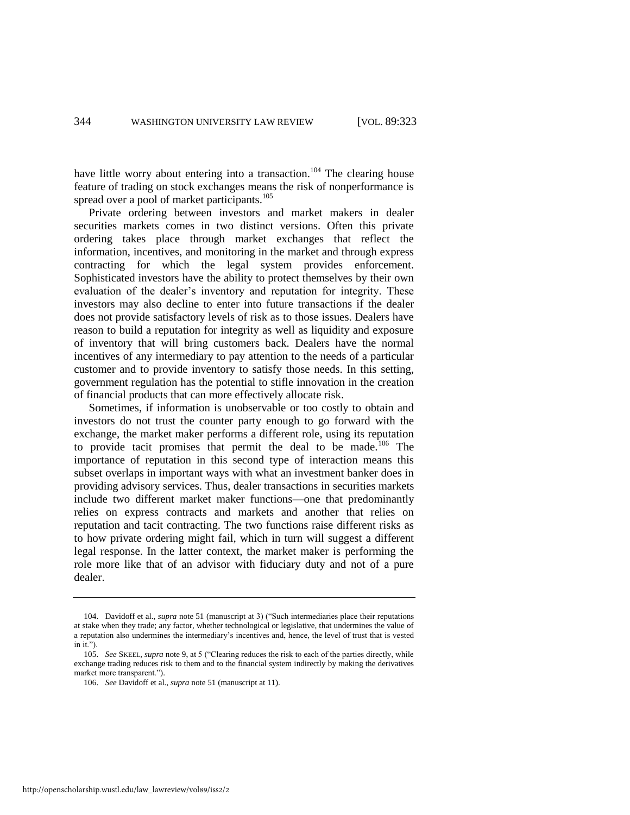have little worry about entering into a transaction.<sup>104</sup> The clearing house feature of trading on stock exchanges means the risk of nonperformance is spread over a pool of market participants.<sup>105</sup>

Private ordering between investors and market makers in dealer securities markets comes in two distinct versions. Often this private ordering takes place through market exchanges that reflect the information, incentives, and monitoring in the market and through express contracting for which the legal system provides enforcement. Sophisticated investors have the ability to protect themselves by their own evaluation of the dealer's inventory and reputation for integrity. These investors may also decline to enter into future transactions if the dealer does not provide satisfactory levels of risk as to those issues. Dealers have reason to build a reputation for integrity as well as liquidity and exposure of inventory that will bring customers back. Dealers have the normal incentives of any intermediary to pay attention to the needs of a particular customer and to provide inventory to satisfy those needs. In this setting, government regulation has the potential to stifle innovation in the creation of financial products that can more effectively allocate risk.

Sometimes, if information is unobservable or too costly to obtain and investors do not trust the counter party enough to go forward with the exchange, the market maker performs a different role, using its reputation to provide tacit promises that permit the deal to be made.<sup>106</sup> The importance of reputation in this second type of interaction means this subset overlaps in important ways with what an investment banker does in providing advisory services. Thus, dealer transactions in securities markets include two different market maker functions—one that predominantly relies on express contracts and markets and another that relies on reputation and tacit contracting. The two functions raise different risks as to how private ordering might fail, which in turn will suggest a different legal response. In the latter context, the market maker is performing the role more like that of an advisor with fiduciary duty and not of a pure dealer.

<sup>104.</sup> Davidoff et al., *supra* not[e 51 \(](#page-11-0)manuscript at 3) ("Such intermediaries place their reputations at stake when they trade; any factor, whether technological or legislative, that undermines the value of a reputation also undermines the intermediary's incentives and, hence, the level of trust that is vested in it." $\lambda$ 

<sup>105.</sup> *See* SKEEL, *supra* note [9,](#page-3-0) at 5 ("Clearing reduces the risk to each of the parties directly, while exchange trading reduces risk to them and to the financial system indirectly by making the derivatives market more transparent.").

<sup>106.</sup> *See* Davidoff et al., *supra* note [51 \(](#page-11-0)manuscript at 11).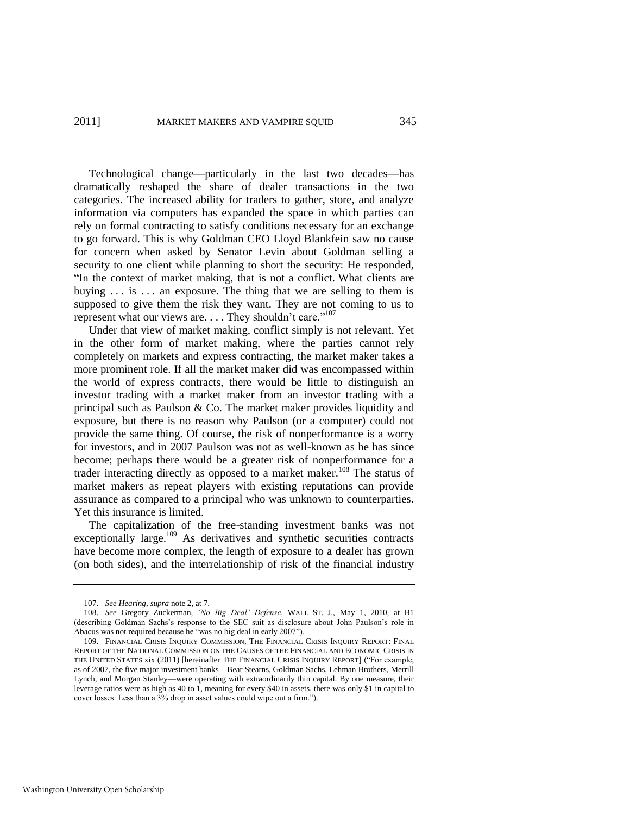Technological change—particularly in the last two decades—has dramatically reshaped the share of dealer transactions in the two categories. The increased ability for traders to gather, store, and analyze information via computers has expanded the space in which parties can rely on formal contracting to satisfy conditions necessary for an exchange to go forward. This is why Goldman CEO Lloyd Blankfein saw no cause for concern when asked by Senator Levin about Goldman selling a security to one client while planning to short the security: He responded, "In the context of market making, that is not a conflict. What clients are buying  $\ldots$  is  $\ldots$  an exposure. The thing that we are selling to them is supposed to give them the risk they want. They are not coming to us to represent what our views are. . . . They shouldn't care."<sup>107</sup>

Under that view of market making, conflict simply is not relevant. Yet in the other form of market making, where the parties cannot rely completely on markets and express contracting, the market maker takes a more prominent role. If all the market maker did was encompassed within the world of express contracts, there would be little to distinguish an investor trading with a market maker from an investor trading with a principal such as Paulson & Co. The market maker provides liquidity and exposure, but there is no reason why Paulson (or a computer) could not provide the same thing. Of course, the risk of nonperformance is a worry for investors, and in 2007 Paulson was not as well-known as he has since become; perhaps there would be a greater risk of nonperformance for a trader interacting directly as opposed to a market maker.<sup>108</sup> The status of market makers as repeat players with existing reputations can provide assurance as compared to a principal who was unknown to counterparties. Yet this insurance is limited.

<span id="page-23-0"></span>The capitalization of the free-standing investment banks was not exceptionally large.<sup>109</sup> As derivatives and synthetic securities contracts have become more complex, the length of exposure to a dealer has grown (on both sides), and the interrelationship of risk of the financial industry

<sup>107.</sup> *See Hearing*, *supra* not[e 2,](#page-2-0) at 7.

<sup>108.</sup> *See* Gregory Zuckerman, *"No Big Deal" Defense*, WALL ST. J., May 1, 2010, at B1 (describing Goldman Sachs's response to the SEC suit as disclosure about John Paulson's role in Abacus was not required because he "was no big deal in early 2007").

<sup>109.</sup> FINANCIAL CRISIS INQUIRY COMMISSION, THE FINANCIAL CRISIS INQUIRY REPORT: FINAL REPORT OF THE NATIONAL COMMISSION ON THE CAUSES OF THE FINANCIAL AND ECONOMIC CRISIS IN THE UNITED STATES xix (2011) [hereinafter THE FINANCIAL CRISIS INQUIRY REPORT] ("For example, as of 2007, the five major investment banks—Bear Stearns, Goldman Sachs, Lehman Brothers, Merrill Lynch, and Morgan Stanley—were operating with extraordinarily thin capital. By one measure, their leverage ratios were as high as 40 to 1, meaning for every \$40 in assets, there was only \$1 in capital to cover losses. Less than a 3% drop in asset values could wipe out a firm.").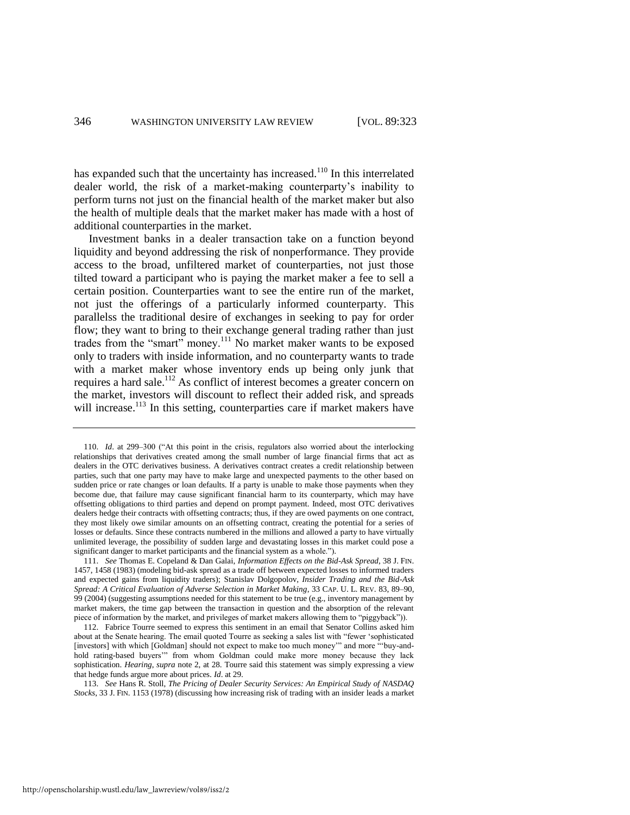has expanded such that the uncertainty has increased.<sup>110</sup> In this interrelated dealer world, the risk of a market-making counterparty's inability to perform turns not just on the financial health of the market maker but also the health of multiple deals that the market maker has made with a host of additional counterparties in the market.

Investment banks in a dealer transaction take on a function beyond liquidity and beyond addressing the risk of nonperformance. They provide access to the broad, unfiltered market of counterparties, not just those tilted toward a participant who is paying the market maker a fee to sell a certain position. Counterparties want to see the entire run of the market, not just the offerings of a particularly informed counterparty. This parallelss the traditional desire of exchanges in seeking to pay for order flow; they want to bring to their exchange general trading rather than just trades from the "smart" money.<sup>111</sup> No market maker wants to be exposed only to traders with inside information, and no counterparty wants to trade with a market maker whose inventory ends up being only junk that requires a hard sale.<sup>112</sup> As conflict of interest becomes a greater concern on the market, investors will discount to reflect their added risk, and spreads will increase.<sup>113</sup> In this setting, counterparties care if market makers have

<sup>110.</sup> *Id.* at 299-300 ("At this point in the crisis, regulators also worried about the interlocking relationships that derivatives created among the small number of large financial firms that act as dealers in the OTC derivatives business. A derivatives contract creates a credit relationship between parties, such that one party may have to make large and unexpected payments to the other based on sudden price or rate changes or loan defaults. If a party is unable to make those payments when they become due, that failure may cause significant financial harm to its counterparty, which may have offsetting obligations to third parties and depend on prompt payment. Indeed, most OTC derivatives dealers hedge their contracts with offsetting contracts; thus, if they are owed payments on one contract, they most likely owe similar amounts on an offsetting contract, creating the potential for a series of losses or defaults. Since these contracts numbered in the millions and allowed a party to have virtually unlimited leverage, the possibility of sudden large and devastating losses in this market could pose a significant danger to market participants and the financial system as a whole.").

<sup>111.</sup> *See* Thomas E. Copeland & Dan Galai, *Information Effects on the Bid-Ask Spread*, 38 J. FIN. 1457, 1458 (1983) (modeling bid-ask spread as a trade off between expected losses to informed traders and expected gains from liquidity traders); Stanislav Dolgopolov, *Insider Trading and the Bid-Ask Spread: A Critical Evaluation of Adverse Selection in Market Making*, 33 CAP. U. L. REV. 83, 89–90, 99 (2004) (suggesting assumptions needed for this statement to be true (e.g., inventory management by market makers, the time gap between the transaction in question and the absorption of the relevant piece of information by the market, and privileges of market makers allowing them to "piggyback")).

<sup>112.</sup> Fabrice Tourre seemed to express this sentiment in an email that Senator Collins asked him about at the Senate hearing. The email quoted Tourre as seeking a sales list with "fewer 'sophisticated [investors] with which [Goldman] should not expect to make too much money" and more "buy-andhold rating-based buyers" from whom Goldman could make more money because they lack sophistication. *Hearing*, *supra* note [2,](#page-2-0) at 28. Tourre said this statement was simply expressing a view that hedge funds argue more about prices. *Id*. at 29.

<sup>113.</sup> *See* Hans R. Stoll, *The Pricing of Dealer Security Services: An Empirical Study of NASDAQ Stocks*, 33 J. FIN. 1153 (1978) (discussing how increasing risk of trading with an insider leads a market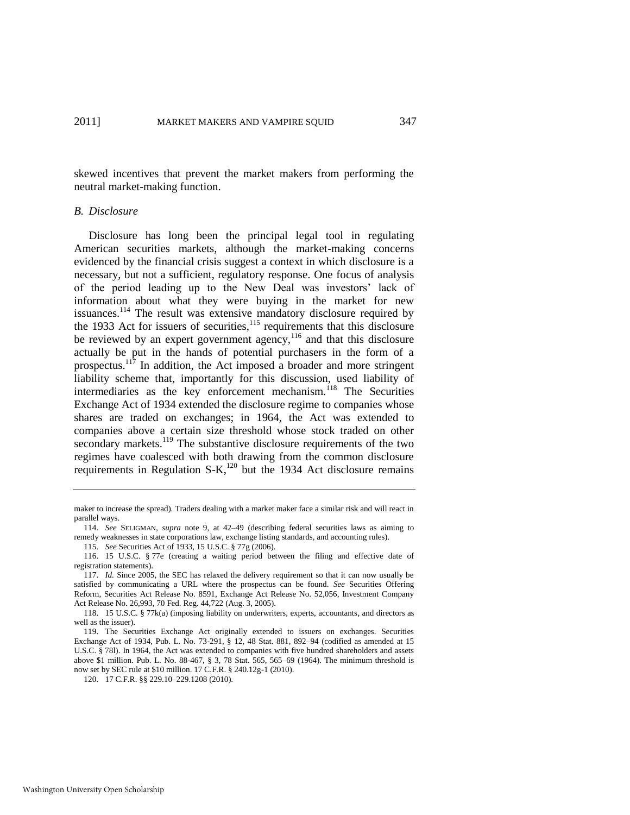skewed incentives that prevent the market makers from performing the neutral market-making function.

# *B. Disclosure*

Disclosure has long been the principal legal tool in regulating American securities markets, although the market-making concerns evidenced by the financial crisis suggest a context in which disclosure is a necessary, but not a sufficient, regulatory response. One focus of analysis of the period leading up to the New Deal was investors' lack of information about what they were buying in the market for new issuances.<sup>114</sup> The result was extensive mandatory disclosure required by the 1933 Act for issuers of securities, $115$  requirements that this disclosure be reviewed by an expert government agency, $116$  and that this disclosure actually be put in the hands of potential purchasers in the form of a prospectus.<sup>117</sup> In addition, the Act imposed a broader and more stringent liability scheme that, importantly for this discussion, used liability of intermediaries as the key enforcement mechanism.<sup>118</sup> The Securities Exchange Act of 1934 extended the disclosure regime to companies whose shares are traded on exchanges; in 1964, the Act was extended to companies above a certain size threshold whose stock traded on other secondary markets.<sup>119</sup> The substantive disclosure requirements of the two regimes have coalesced with both drawing from the common disclosure requirements in Regulation S-K,<sup>120</sup> but the 1934 Act disclosure remains

<span id="page-25-0"></span>maker to increase the spread). Traders dealing with a market maker face a similar risk and will react in parallel ways.

<sup>114.</sup> *See* SELIGMAN, *supra* note [9,](#page-3-0) at 42–49 (describing federal securities laws as aiming to remedy weaknesses in state corporations law, exchange listing standards, and accounting rules).

<sup>115.</sup> *See* Securities Act of 1933, 15 U.S.C. § 77g (2006).

<sup>116. 15</sup> U.S.C. § 77e (creating a waiting period between the filing and effective date of registration statements).

<sup>117.</sup> *Id.* Since 2005, the SEC has relaxed the delivery requirement so that it can now usually be satisfied by communicating a URL where the prospectus can be found. *See* Securities Offering Reform, Securities Act Release No. 8591, Exchange Act Release No. 52,056, Investment Company Act Release No. 26,993, 70 Fed. Reg. 44,722 (Aug. 3, 2005).

<sup>118. 15</sup> U.S.C. § 77k(a) (imposing liability on underwriters, experts, accountants, and directors as well as the issuer).

<sup>119.</sup> The Securities Exchange Act originally extended to issuers on exchanges. Securities Exchange Act of 1934, Pub. L. No. 73-291, § 12, 48 Stat. 881, 892–94 (codified as amended at 15 U.S.C. § 78l). In 1964, the Act was extended to companies with five hundred shareholders and assets above \$1 million. Pub. L. No. 88-467, § 3, 78 Stat. 565, 565–69 (1964). The minimum threshold is now set by SEC rule at \$10 million. 17 C.F.R. § 240.12g-1 (2010).

<sup>120. 17</sup> C.F.R. §§ 229.10–229.1208 (2010).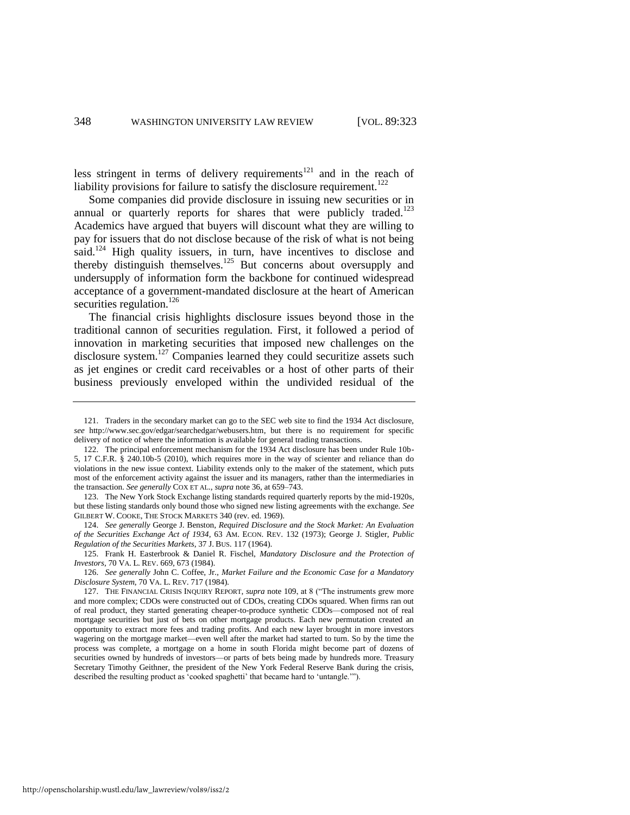less stringent in terms of delivery requirements<sup>121</sup> and in the reach of liability provisions for failure to satisfy the disclosure requirement.<sup>122</sup>

Some companies did provide disclosure in issuing new securities or in annual or quarterly reports for shares that were publicly traded.<sup>123</sup> Academics have argued that buyers will discount what they are willing to pay for issuers that do not disclose because of the risk of what is not being said.<sup>124</sup> High quality issuers, in turn, have incentives to disclose and thereby distinguish themselves.<sup>125</sup> But concerns about oversupply and undersupply of information form the backbone for continued widespread acceptance of a government-mandated disclosure at the heart of American securities regulation.<sup>126</sup>

The financial crisis highlights disclosure issues beyond those in the traditional cannon of securities regulation. First, it followed a period of innovation in marketing securities that imposed new challenges on the disclosure system.<sup>127</sup> Companies learned they could securitize assets such as jet engines or credit card receivables or a host of other parts of their business previously enveloped within the undivided residual of the

123. The New York Stock Exchange listing standards required quarterly reports by the mid-1920s, but these listing standards only bound those who signed new listing agreements with the exchange. *See* GILBERT W. COOKE, THE STOCK MARKETS 340 (rev. ed. 1969).

124. *See generally* George J. Benston, *Required Disclosure and the Stock Market: An Evaluation of the Securities Exchange Act of 1934*, 63 AM. ECON. REV. 132 (1973); George J. Stigler, *Public Regulation of the Securities Markets*, 37 J. BUS. 117 (1964).

125. Frank H. Easterbrook & Daniel R. Fischel, *Mandatory Disclosure and the Protection of Investors*, 70 VA. L. REV. 669, 673 (1984).

126. *See generally* John C. Coffee, Jr., *Market Failure and the Economic Case for a Mandatory Disclosure System*, 70 VA. L. REV. 717 (1984).

<sup>121.</sup> Traders in the secondary market can go to the SEC web site to find the 1934 Act disclosure, *see* http://www.sec.gov/edgar/searchedgar/webusers.htm, but there is no requirement for specific delivery of notice of where the information is available for general trading transactions.

<sup>122.</sup> The principal enforcement mechanism for the 1934 Act disclosure has been under Rule 10b-5, 17 C.F.R. § 240.10b-5 (2010), which requires more in the way of scienter and reliance than do violations in the new issue context. Liability extends only to the maker of the statement, which puts most of the enforcement activity against the issuer and its managers, rather than the intermediaries in the transaction. *See generally* COX ET AL., *supra* not[e 36,](#page-8-0) at 659–743.

<sup>127.</sup> THE FINANCIAL CRISIS INQUIRY REPORT, *supra* note [109,](#page-23-0) at 8 ("The instruments grew more and more complex; CDOs were constructed out of CDOs, creating CDOs squared. When firms ran out of real product, they started generating cheaper-to-produce synthetic CDOs—composed not of real mortgage securities but just of bets on other mortgage products. Each new permutation created an opportunity to extract more fees and trading profits. And each new layer brought in more investors wagering on the mortgage market—even well after the market had started to turn. So by the time the process was complete, a mortgage on a home in south Florida might become part of dozens of securities owned by hundreds of investors—or parts of bets being made by hundreds more. Treasury Secretary Timothy Geithner, the president of the New York Federal Reserve Bank during the crisis, described the resulting product as 'cooked spaghetti' that became hard to 'untangle.'").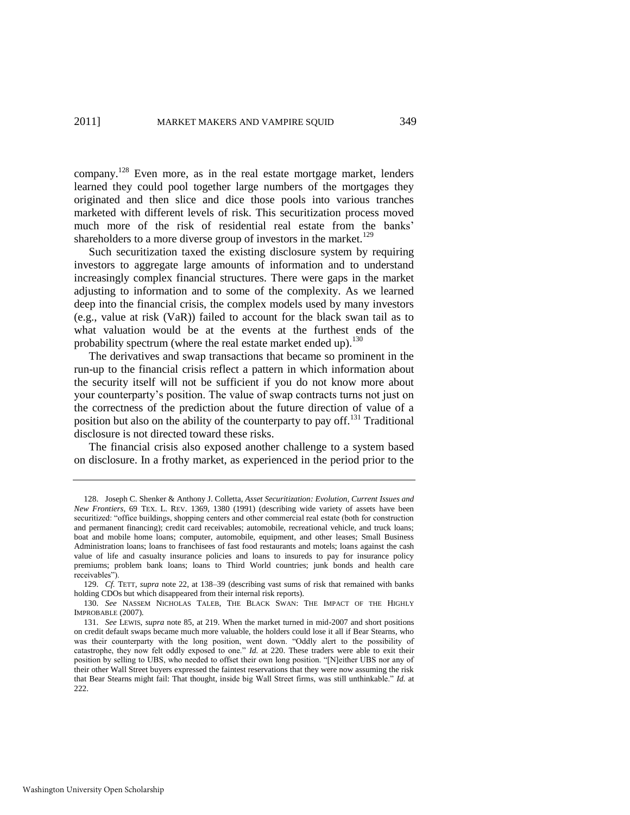company.<sup>128</sup> Even more, as in the real estate mortgage market, lenders learned they could pool together large numbers of the mortgages they originated and then slice and dice those pools into various tranches marketed with different levels of risk. This securitization process moved much more of the risk of residential real estate from the banks' shareholders to a more diverse group of investors in the market.<sup>129</sup>

Such securitization taxed the existing disclosure system by requiring investors to aggregate large amounts of information and to understand increasingly complex financial structures. There were gaps in the market adjusting to information and to some of the complexity. As we learned deep into the financial crisis, the complex models used by many investors (e.g., value at risk (VaR)) failed to account for the black swan tail as to what valuation would be at the events at the furthest ends of the probability spectrum (where the real estate market ended up).<sup>130</sup>

The derivatives and swap transactions that became so prominent in the run-up to the financial crisis reflect a pattern in which information about the security itself will not be sufficient if you do not know more about your counterparty's position. The value of swap contracts turns not just on the correctness of the prediction about the future direction of value of a position but also on the ability of the counterparty to pay off.<sup>131</sup> Traditional disclosure is not directed toward these risks.

The financial crisis also exposed another challenge to a system based on disclosure. In a frothy market, as experienced in the period prior to the

<sup>128.</sup> Joseph C. Shenker & Anthony J. Colletta, *Asset Securitization: Evolution, Current Issues and New Frontiers*, 69 TEX. L. REV. 1369, 1380 (1991) (describing wide variety of assets have been securitized: "office buildings, shopping centers and other commercial real estate (both for construction and permanent financing); credit card receivables; automobile, recreational vehicle, and truck loans; boat and mobile home loans; computer, automobile, equipment, and other leases; Small Business Administration loans; loans to franchisees of fast food restaurants and motels; loans against the cash value of life and casualty insurance policies and loans to insureds to pay for insurance policy premiums; problem bank loans; loans to Third World countries; junk bonds and health care receivables").

<sup>129.</sup> *Cf.* TETT, *supra* not[e 22,](#page-5-1) at 138–39 (describing vast sums of risk that remained with banks holding CDOs but which disappeared from their internal risk reports).

<sup>130.</sup> *See* NASSEM NICHOLAS TALEB, THE BLACK SWAN: THE IMPACT OF THE HIGHLY IMPROBABLE (2007).

<sup>131.</sup> *See* LEWIS, *supra* not[e 85,](#page-18-0) at 219. When the market turned in mid-2007 and short positions on credit default swaps became much more valuable, the holders could lose it all if Bear Stearns, who was their counterparty with the long position, went down. "Oddly alert to the possibility of catastrophe, they now felt oddly exposed to one." *Id.* at 220. These traders were able to exit their position by selling to UBS, who needed to offset their own long position. "[N]either UBS nor any of their other Wall Street buyers expressed the faintest reservations that they were now assuming the risk that Bear Stearns might fail: That thought, inside big Wall Street firms, was still unthinkable." *Id.* at  $222$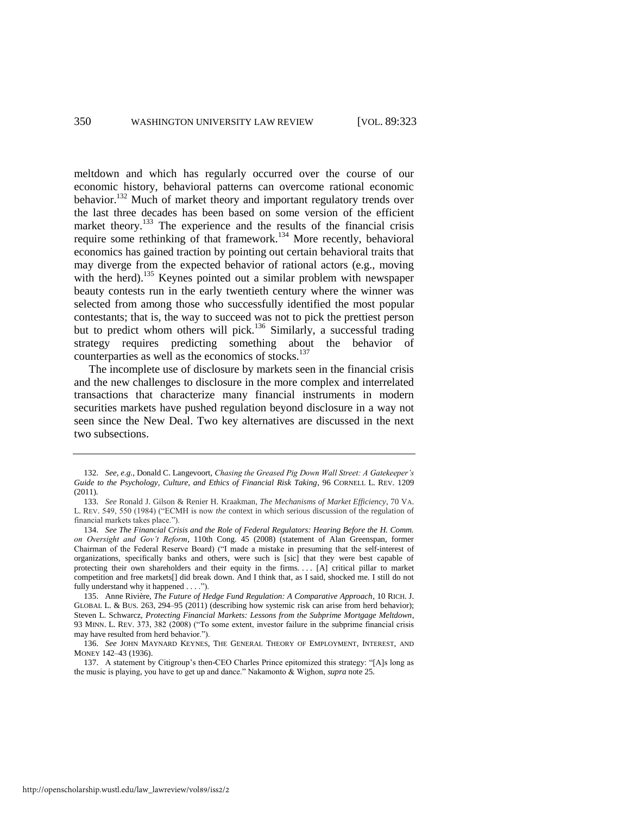meltdown and which has regularly occurred over the course of our economic history, behavioral patterns can overcome rational economic behavior.<sup>132</sup> Much of market theory and important regulatory trends over the last three decades has been based on some version of the efficient market theory.<sup>133</sup> The experience and the results of the financial crisis require some rethinking of that framework.<sup>134</sup> More recently, behavioral economics has gained traction by pointing out certain behavioral traits that may diverge from the expected behavior of rational actors (e.g., moving with the herd).<sup>135</sup> Keynes pointed out a similar problem with newspaper beauty contests run in the early twentieth century where the winner was selected from among those who successfully identified the most popular contestants; that is, the way to succeed was not to pick the prettiest person but to predict whom others will pick.<sup>136</sup> Similarly, a successful trading strategy requires predicting something about the behavior of counterparties as well as the economics of stocks.<sup>137</sup>

The incomplete use of disclosure by markets seen in the financial crisis and the new challenges to disclosure in the more complex and interrelated transactions that characterize many financial instruments in modern securities markets have pushed regulation beyond disclosure in a way not seen since the New Deal. Two key alternatives are discussed in the next two subsections.

<sup>132.</sup> *See, e.g*., Donald C. Langevoort, *Chasing the Greased Pig Down Wall Street: A Gatekeeper"s Guide to the Psychology, Culture, and Ethics of Financial Risk Taking*, 96 CORNELL L. REV. 1209 (2011).

<sup>133.</sup> *See* Ronald J. Gilson & Renier H. Kraakman, *The Mechanisms of Market Efficiency*, 70 VA. L. REV. 549, 550 (1984) ("ECMH is now *the* context in which serious discussion of the regulation of financial markets takes place.").

<sup>134.</sup> *See The Financial Crisis and the Role of Federal Regulators: Hearing Before the H. Comm. on Oversight and Gov"t Reform*, 110th Cong. 45 (2008) (statement of Alan Greenspan, former Chairman of the Federal Reserve Board) ("I made a mistake in presuming that the self-interest of organizations, specifically banks and others, were such is [sic] that they were best capable of protecting their own shareholders and their equity in the firms. . . . [A] critical pillar to market competition and free markets[] did break down. And I think that, as I said, shocked me. I still do not fully understand why it happened  $\dots$ .").

<sup>135.</sup> Anne Rivière, *The Future of Hedge Fund Regulation: A Comparative Approach*, 10 RICH. J. GLOBAL L. & BUS. 263, 294–95 (2011) (describing how systemic risk can arise from herd behavior); Steven L. Schwarcz, *Protecting Financial Markets: Lessons from the Subprime Mortgage Meltdown*, 93 MINN. L. REV. 373, 382 (2008) ("To some extent, investor failure in the subprime financial crisis may have resulted from herd behavior.").

<sup>136.</sup> *See* JOHN MAYNARD KEYNES, THE GENERAL THEORY OF EMPLOYMENT, INTEREST, AND MONEY 142–43 (1936).

<sup>137.</sup> A statement by Citigroup's then-CEO Charles Prince epitomized this strategy: "[A]s long as the music is playing, you have to get up and dance.‖ Nakamonto & Wighon, *supra* not[e 25.](#page-5-2)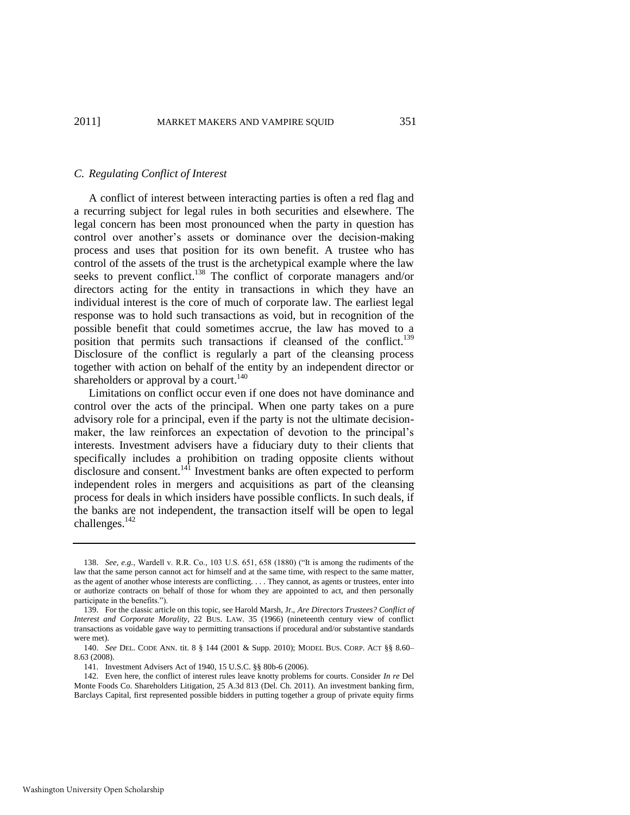### *C. Regulating Conflict of Interest*

A conflict of interest between interacting parties is often a red flag and a recurring subject for legal rules in both securities and elsewhere. The legal concern has been most pronounced when the party in question has control over another's assets or dominance over the decision-making process and uses that position for its own benefit. A trustee who has control of the assets of the trust is the archetypical example where the law seeks to prevent conflict.<sup>138</sup> The conflict of corporate managers and/or directors acting for the entity in transactions in which they have an individual interest is the core of much of corporate law. The earliest legal response was to hold such transactions as void, but in recognition of the possible benefit that could sometimes accrue, the law has moved to a position that permits such transactions if cleansed of the conflict.<sup>139</sup> Disclosure of the conflict is regularly a part of the cleansing process together with action on behalf of the entity by an independent director or shareholders or approval by a court.<sup>140</sup>

Limitations on conflict occur even if one does not have dominance and control over the acts of the principal. When one party takes on a pure advisory role for a principal, even if the party is not the ultimate decisionmaker, the law reinforces an expectation of devotion to the principal's interests. Investment advisers have a fiduciary duty to their clients that specifically includes a prohibition on trading opposite clients without disclosure and consent.<sup>141</sup> Investment banks are often expected to perform independent roles in mergers and acquisitions as part of the cleansing process for deals in which insiders have possible conflicts. In such deals, if the banks are not independent, the transaction itself will be open to legal challenges.<sup>142</sup>

<sup>138.</sup> *See, e.g.*, Wardell v. R.R. Co., 103 U.S. 651, 658 (1880) ("It is among the rudiments of the law that the same person cannot act for himself and at the same time, with respect to the same matter, as the agent of another whose interests are conflicting. . . . They cannot, as agents or trustees, enter into or authorize contracts on behalf of those for whom they are appointed to act, and then personally participate in the benefits.").

<sup>139.</sup> For the classic article on this topic, see Harold Marsh, Jr., *Are Directors Trustees? Conflict of Interest and Corporate Morality*, 22 BUS. LAW. 35 (1966) (nineteenth century view of conflict transactions as voidable gave way to permitting transactions if procedural and/or substantive standards were met).

<sup>140.</sup> *See* DEL. CODE ANN. tit. 8 § 144 (2001 & Supp. 2010); MODEL BUS. CORP. ACT §§ 8.60– 8.63 (2008).

<sup>141.</sup> Investment Advisers Act of 1940, 15 U.S.C. §§ 80b-6 (2006).

<sup>142.</sup> Even here, the conflict of interest rules leave knotty problems for courts. Consider *In re* Del Monte Foods Co. Shareholders Litigation, 25 A.3d 813 (Del. Ch. 2011). An investment banking firm, Barclays Capital, first represented possible bidders in putting together a group of private equity firms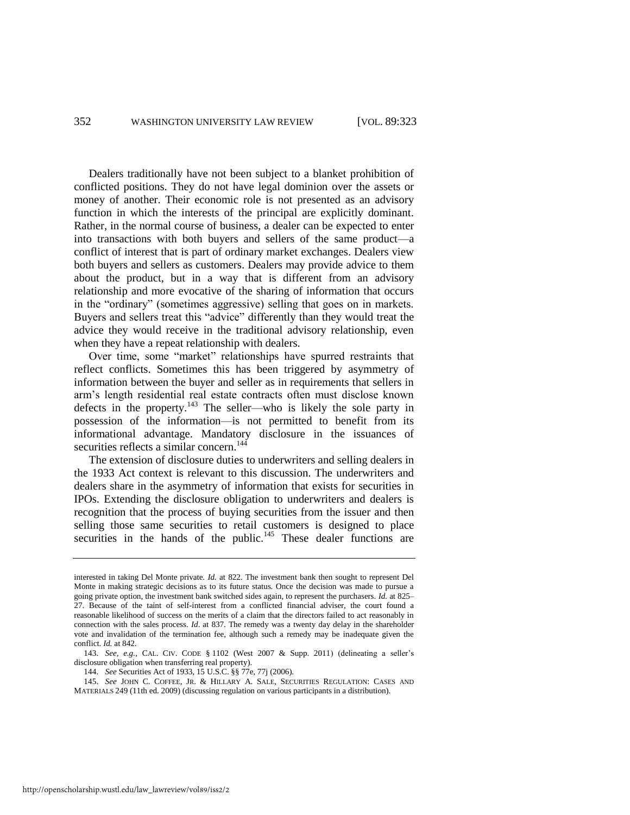Dealers traditionally have not been subject to a blanket prohibition of conflicted positions. They do not have legal dominion over the assets or money of another. Their economic role is not presented as an advisory function in which the interests of the principal are explicitly dominant. Rather, in the normal course of business, a dealer can be expected to enter into transactions with both buyers and sellers of the same product—a conflict of interest that is part of ordinary market exchanges. Dealers view both buyers and sellers as customers. Dealers may provide advice to them about the product, but in a way that is different from an advisory relationship and more evocative of the sharing of information that occurs in the "ordinary" (sometimes aggressive) selling that goes on in markets. Buyers and sellers treat this "advice" differently than they would treat the advice they would receive in the traditional advisory relationship, even when they have a repeat relationship with dealers.

Over time, some "market" relationships have spurred restraints that reflect conflicts. Sometimes this has been triggered by asymmetry of information between the buyer and seller as in requirements that sellers in arm's length residential real estate contracts often must disclose known defects in the property.<sup>143</sup> The seller—who is likely the sole party in possession of the information—is not permitted to benefit from its informational advantage. Mandatory disclosure in the issuances of securities reflects a similar concern.<sup>144</sup>

The extension of disclosure duties to underwriters and selling dealers in the 1933 Act context is relevant to this discussion. The underwriters and dealers share in the asymmetry of information that exists for securities in IPOs. Extending the disclosure obligation to underwriters and dealers is recognition that the process of buying securities from the issuer and then selling those same securities to retail customers is designed to place securities in the hands of the public.<sup>145</sup> These dealer functions are

<span id="page-30-0"></span>interested in taking Del Monte private. *Id.* at 822. The investment bank then sought to represent Del Monte in making strategic decisions as to its future status. Once the decision was made to pursue a going private option, the investment bank switched sides again, to represent the purchasers. *Id.* at 825– 27. Because of the taint of self-interest from a conflicted financial adviser, the court found a reasonable likelihood of success on the merits of a claim that the directors failed to act reasonably in connection with the sales process. *Id*. at 837. The remedy was a twenty day delay in the shareholder vote and invalidation of the termination fee, although such a remedy may be inadequate given the conflict. *Id.* at 842.

<sup>143.</sup> *See, e.g.*, CAL. CIV. CODE § 1102 (West 2007 & Supp. 2011) (delineating a seller's disclosure obligation when transferring real property).

<sup>144.</sup> *See* Securities Act of 1933, 15 U.S.C. §§ 77e, 77j (2006).

<sup>145.</sup> *See* JOHN C. COFFEE, JR. & HILLARY A. SALE, SECURITIES REGULATION: CASES AND MATERIALS 249 (11th ed. 2009) (discussing regulation on various participants in a distribution).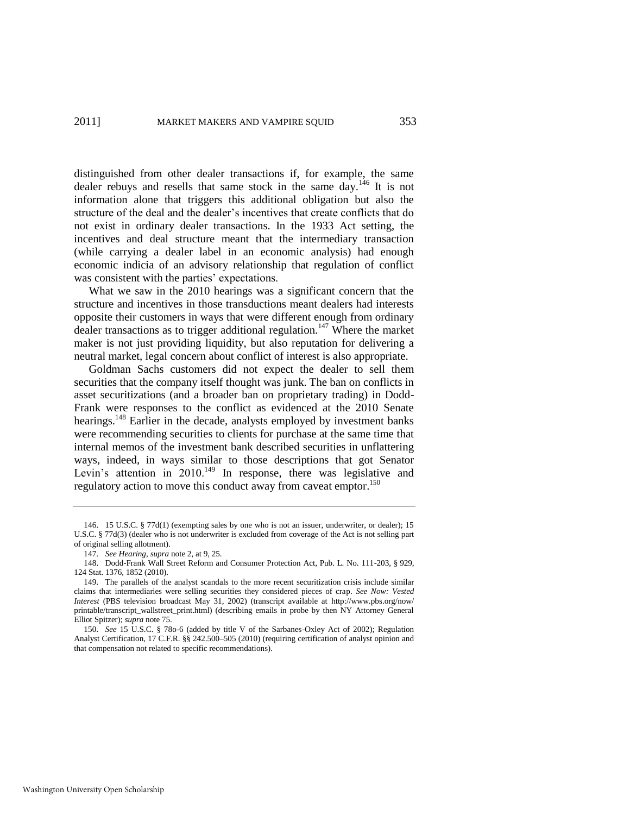distinguished from other dealer transactions if, for example, the same dealer rebuys and resells that same stock in the same day.<sup>146</sup> It is not information alone that triggers this additional obligation but also the structure of the deal and the dealer's incentives that create conflicts that do not exist in ordinary dealer transactions. In the 1933 Act setting, the incentives and deal structure meant that the intermediary transaction (while carrying a dealer label in an economic analysis) had enough economic indicia of an advisory relationship that regulation of conflict was consistent with the parties' expectations.

What we saw in the 2010 hearings was a significant concern that the structure and incentives in those transductions meant dealers had interests opposite their customers in ways that were different enough from ordinary dealer transactions as to trigger additional regulation.<sup>147</sup> Where the market maker is not just providing liquidity, but also reputation for delivering a neutral market, legal concern about conflict of interest is also appropriate.

Goldman Sachs customers did not expect the dealer to sell them securities that the company itself thought was junk. The ban on conflicts in asset securitizations (and a broader ban on proprietary trading) in Dodd-Frank were responses to the conflict as evidenced at the 2010 Senate hearings.<sup>148</sup> Earlier in the decade, analysts employed by investment banks were recommending securities to clients for purchase at the same time that internal memos of the investment bank described securities in unflattering ways, indeed, in ways similar to those descriptions that got Senator Levin's attention in  $2010^{149}$  In response, there was legislative and regulatory action to move this conduct away from caveat emptor.<sup>150</sup>

<sup>146. 15</sup> U.S.C. § 77d(1) (exempting sales by one who is not an issuer, underwriter, or dealer); 15 U.S.C. § 77d(3) (dealer who is not underwriter is excluded from coverage of the Act is not selling part of original selling allotment).

<sup>147.</sup> *See Hearing*, *supra* not[e 2,](#page-2-0) at 9, 25.

<sup>148.</sup> Dodd-Frank Wall Street Reform and Consumer Protection Act, Pub. L. No. 111-203, § 929, 124 Stat. 1376, 1852 (2010).

<sup>149.</sup> The parallels of the analyst scandals to the more recent securitization crisis include similar claims that intermediaries were selling securities they considered pieces of crap. *See Now: Vested Interest* (PBS television broadcast May 31, 2002) (transcript available at http://www.pbs.org/now/ printable/transcript\_wallstreet\_print.html) (describing emails in probe by then NY Attorney General Elliot Spitzer); *supra* not[e 75.](#page-17-1) 

<sup>150.</sup> *See* 15 U.S.C. § 78o-6 (added by title V of the Sarbanes-Oxley Act of 2002); Regulation Analyst Certification, 17 C.F.R. §§ 242.500–505 (2010) (requiring certification of analyst opinion and that compensation not related to specific recommendations).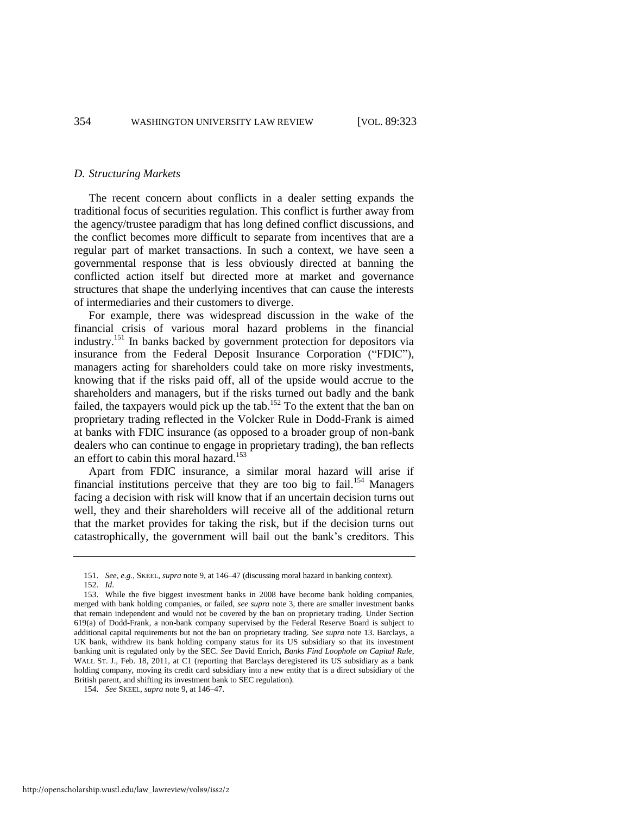#### *D. Structuring Markets*

The recent concern about conflicts in a dealer setting expands the traditional focus of securities regulation. This conflict is further away from the agency/trustee paradigm that has long defined conflict discussions, and the conflict becomes more difficult to separate from incentives that are a regular part of market transactions. In such a context, we have seen a governmental response that is less obviously directed at banning the conflicted action itself but directed more at market and governance structures that shape the underlying incentives that can cause the interests of intermediaries and their customers to diverge.

<span id="page-32-0"></span>For example, there was widespread discussion in the wake of the financial crisis of various moral hazard problems in the financial industry.<sup>151</sup> In banks backed by government protection for depositors via insurance from the Federal Deposit Insurance Corporation ("FDIC"), managers acting for shareholders could take on more risky investments, knowing that if the risks paid off, all of the upside would accrue to the shareholders and managers, but if the risks turned out badly and the bank failed, the taxpayers would pick up the tab.<sup>152</sup> To the extent that the ban on proprietary trading reflected in the Volcker Rule in Dodd-Frank is aimed at banks with FDIC insurance (as opposed to a broader group of non-bank dealers who can continue to engage in proprietary trading), the ban reflects an effort to cabin this moral hazard.<sup>153</sup>

<span id="page-32-1"></span>Apart from FDIC insurance, a similar moral hazard will arise if financial institutions perceive that they are too big to fail.<sup>154</sup> Managers facing a decision with risk will know that if an uncertain decision turns out well, they and their shareholders will receive all of the additional return that the market provides for taking the risk, but if the decision turns out catastrophically, the government will bail out the bank's creditors. This

<sup>151.</sup> *See, e.g.*, SKEEL, *supra* not[e 9,](#page-3-0) at 146–47 (discussing moral hazard in banking context).

<sup>152.</sup> *Id*.

<sup>153.</sup> While the five biggest investment banks in 2008 have become bank holding companies, merged with bank holding companies, or failed, *see supra* note [3,](#page-2-1) there are smaller investment banks that remain independent and would not be covered by the ban on proprietary trading. Under Section 619(a) of Dodd-Frank, a non-bank company supervised by the Federal Reserve Board is subject to additional capital requirements but not the ban on proprietary trading. *See supra* note [13.](#page-3-2) Barclays, a UK bank, withdrew its bank holding company status for its US subsidiary so that its investment banking unit is regulated only by the SEC. *See* David Enrich, *Banks Find Loophole on Capital Rule*, WALL ST. J., Feb. 18, 2011, at C1 (reporting that Barclays deregistered its US subsidiary as a bank holding company, moving its credit card subsidiary into a new entity that is a direct subsidiary of the British parent, and shifting its investment bank to SEC regulation).

<sup>154.</sup> *See* SKEEL, *supra* not[e 9,](#page-3-0) at 146–47.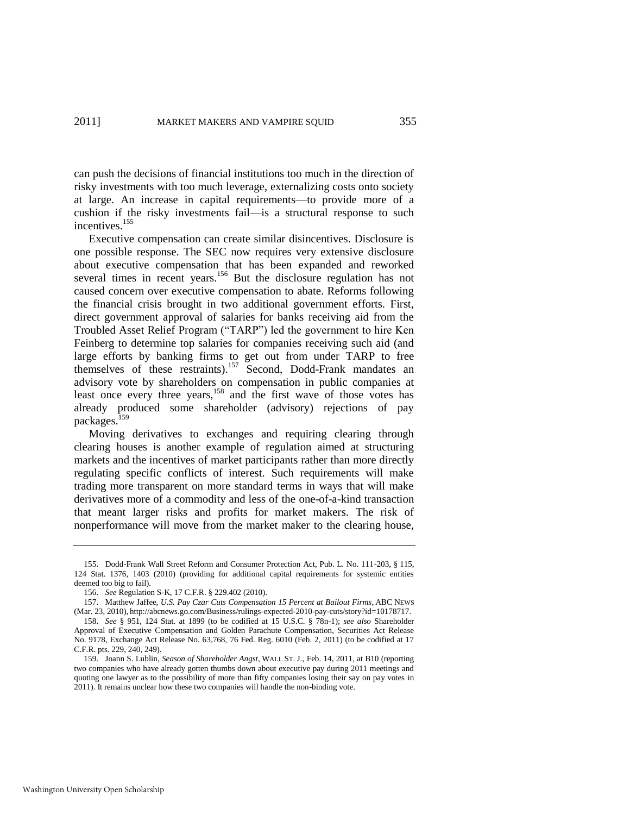can push the decisions of financial institutions too much in the direction of risky investments with too much leverage, externalizing costs onto society at large. An increase in capital requirements—to provide more of a cushion if the risky investments fail—is a structural response to such incentives.<sup>155</sup>

Executive compensation can create similar disincentives. Disclosure is one possible response. The SEC now requires very extensive disclosure about executive compensation that has been expanded and reworked several times in recent years.<sup>156</sup> But the disclosure regulation has not caused concern over executive compensation to abate. Reforms following the financial crisis brought in two additional government efforts. First, direct government approval of salaries for banks receiving aid from the Troubled Asset Relief Program ("TARP") led the government to hire Ken Feinberg to determine top salaries for companies receiving such aid (and large efforts by banking firms to get out from under TARP to free themselves of these restraints).<sup>157</sup> Second, Dodd-Frank mandates an advisory vote by shareholders on compensation in public companies at least once every three years,<sup>158</sup> and the first wave of those votes has already produced some shareholder (advisory) rejections of pay packages.<sup>159</sup>

Moving derivatives to exchanges and requiring clearing through clearing houses is another example of regulation aimed at structuring markets and the incentives of market participants rather than more directly regulating specific conflicts of interest. Such requirements will make trading more transparent on more standard terms in ways that will make derivatives more of a commodity and less of the one-of-a-kind transaction that meant larger risks and profits for market makers. The risk of nonperformance will move from the market maker to the clearing house,

<sup>155.</sup> Dodd-Frank Wall Street Reform and Consumer Protection Act, Pub. L. No. 111-203, § 115, 124 Stat. 1376, 1403 (2010) (providing for additional capital requirements for systemic entities deemed too big to fail).

<sup>156.</sup> *See* Regulation S-K, 17 C.F.R. § 229.402 (2010).

<sup>157.</sup> Matthew Jaffee, *U.S. Pay Czar Cuts Compensation 15 Percent at Bailout Firms*, ABC NEWS (Mar. 23, 2010), http://abcnews.go.com/Business/rulings-expected-2010-pay-cuts/story?id=10178717.

<sup>158.</sup> *See* § 951, 124 Stat. at 1899 (to be codified at [15 U.S.C. § 78n-1\)](http://web2.westlaw.com/find/default.wl?tc=-1&docname=15USCAS78N-1&rp=%2ffind%2fdefault.wl&sv=Split&rs=WLW11.10&db=1000546&tf=-1&findtype=L&fn=_top&mt=Westlaw&vr=2.0&pbc=6AA1272E&ordoc=0367030073); *see also* Shareholder Approval of Executive Compensation and Golden Parachute Compensation, Securities Act Release No. 9178, Exchange Act Release No. 63,768, 76 Fed. Reg. 6010 (Feb. 2, 2011) (to be codified at 17 C.F.R. pts. 229, 240, 249).

<sup>159.</sup> Joann S. Lublin, *Season of Shareholder Angst*, WALL ST. J., Feb. 14, 2011, at B10 (reporting two companies who have already gotten thumbs down about executive pay during 2011 meetings and quoting one lawyer as to the possibility of more than fifty companies losing their say on pay votes in 2011). It remains unclear how these two companies will handle the non-binding vote.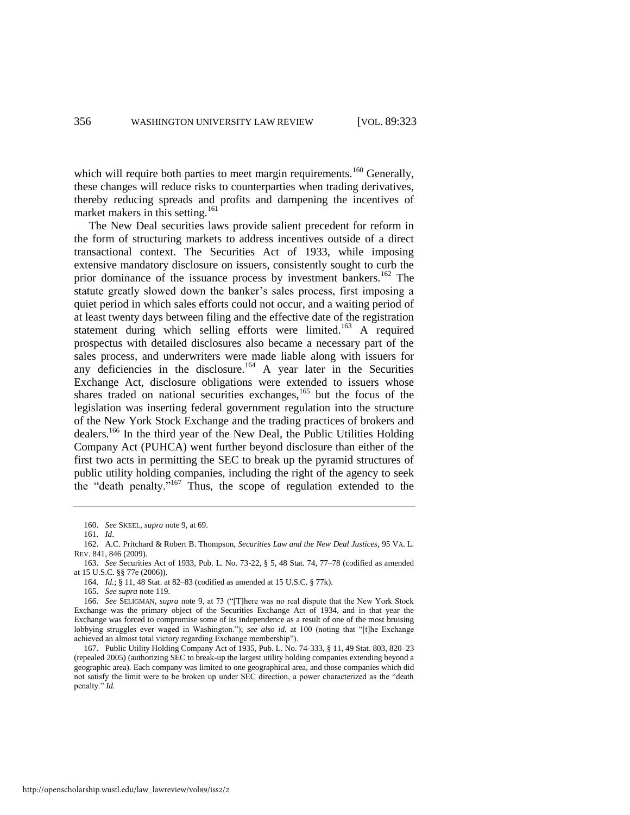which will require both parties to meet margin requirements.<sup>160</sup> Generally, these changes will reduce risks to counterparties when trading derivatives, thereby reducing spreads and profits and dampening the incentives of market makers in this setting.<sup>161</sup>

<span id="page-34-0"></span>The New Deal securities laws provide salient precedent for reform in the form of structuring markets to address incentives outside of a direct transactional context. The Securities Act of 1933, while imposing extensive mandatory disclosure on issuers, consistently sought to curb the prior dominance of the issuance process by investment bankers.<sup>162</sup> The statute greatly slowed down the banker's sales process, first imposing a quiet period in which sales efforts could not occur, and a waiting period of at least twenty days between filing and the effective date of the registration statement during which selling efforts were limited.<sup>163</sup> A required prospectus with detailed disclosures also became a necessary part of the sales process, and underwriters were made liable along with issuers for any deficiencies in the disclosure.<sup>164</sup> A year later in the Securities Exchange Act, disclosure obligations were extended to issuers whose shares traded on national securities exchanges, $165$  but the focus of the legislation was inserting federal government regulation into the structure of the New York Stock Exchange and the trading practices of brokers and dealers.<sup>166</sup> In the third year of the New Deal, the Public Utilities Holding Company Act (PUHCA) went further beyond disclosure than either of the first two acts in permitting the SEC to break up the pyramid structures of public utility holding companies, including the right of the agency to seek the "death penalty."<sup>167</sup> Thus, the scope of regulation extended to the

<sup>160.</sup> *See* SKEEL, *supra* not[e 9,](#page-3-0) at 69.

<sup>161.</sup> *Id*.

<sup>162.</sup> A.C. Pritchard & Robert B. Thompson, *Securities Law and the New Deal Justices*, 95 VA. L. REV. 841, 846 (2009).

<sup>163.</sup> *See* Securities Act of 1933, Pub. L. No. 73-22, § 5, 48 Stat. 74, 77–78 (codified as amended at 15 U.S.C. §§ 77e (2006)).

<sup>164.</sup> *Id.*; § 11, 48 Stat. at 82–83 (codified as amended at 15 U.S.C. § 77k).

<sup>165.</sup> *See supra* not[e 119.](#page-25-0) 

<sup>166.</sup> See SELIGMAN, *supra* not[e 9,](#page-3-0) at 73 ("[T]here was no real dispute that the New York Stock Exchange was the primary object of the Securities Exchange Act of 1934, and in that year the Exchange was forced to compromise some of its independence as a result of one of the most bruising lobbying struggles ever waged in Washington."); *see also id.* at 100 (noting that "[t]he Exchange achieved an almost total victory regarding Exchange membership").

<sup>167.</sup> Public Utility Holding Company Act of 1935, Pub. L. No. 74-333, § 11, 49 Stat. 803, 820–23 (repealed 2005) (authorizing SEC to break-up the largest utility holding companies extending beyond a geographic area). Each company was limited to one geographical area, and those companies which did not satisfy the limit were to be broken up under SEC direction, a power characterized as the "death" penalty." *Id.*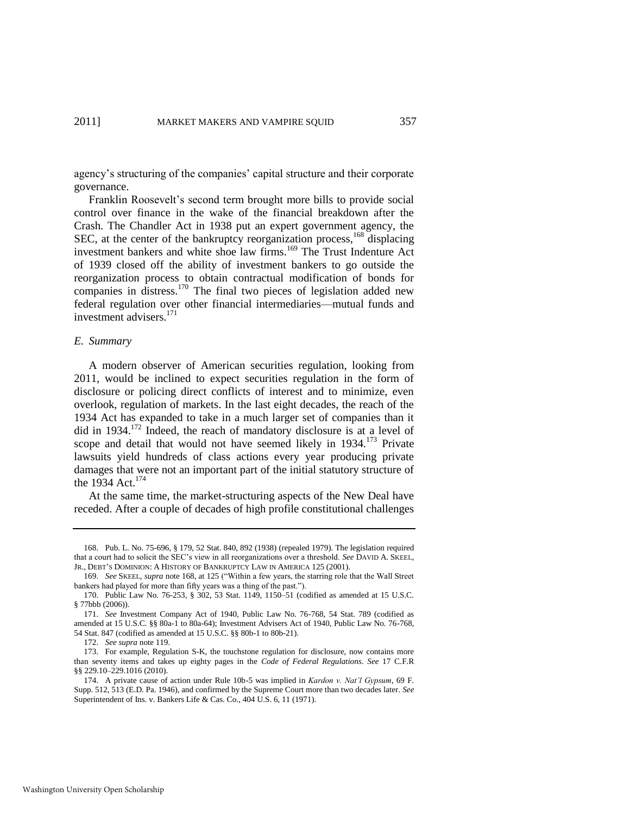agency's structuring of the companies' capital structure and their corporate governance.

<span id="page-35-0"></span>Franklin Roosevelt's second term brought more bills to provide social control over finance in the wake of the financial breakdown after the Crash. The Chandler Act in 1938 put an expert government agency, the SEC, at the center of the bankruptcy reorganization process, <sup>168</sup> displacing investment bankers and white shoe law firms.<sup>169</sup> The Trust Indenture Act of 1939 closed off the ability of investment bankers to go outside the reorganization process to obtain contractual modification of bonds for companies in distress.<sup>170</sup> The final two pieces of legislation added new federal regulation over other financial intermediaries—mutual funds and investment advisers.<sup>171</sup>

# *E. Summary*

A modern observer of American securities regulation, looking from 2011, would be inclined to expect securities regulation in the form of disclosure or policing direct conflicts of interest and to minimize, even overlook, regulation of markets. In the last eight decades, the reach of the 1934 Act has expanded to take in a much larger set of companies than it did in  $1934$ <sup> $172$ </sup> Indeed, the reach of mandatory disclosure is at a level of scope and detail that would not have seemed likely in  $1934$ <sup>173</sup> Private lawsuits yield hundreds of class actions every year producing private damages that were not an important part of the initial statutory structure of the 1934 Act.<sup>174</sup>

At the same time, the market-structuring aspects of the New Deal have receded. After a couple of decades of high profile constitutional challenges

Washington University Open Scholarship

<sup>168.</sup> Pub. L. No. 75-696, § 179, 52 Stat. 840, 892 (1938) (repealed 1979). The legislation required that a court had to solicit the SEC's view in all reorganizations over a threshold. *See* DAVID A. SKEEL, JR., DEBT'S DOMINION: A HISTORY OF BANKRUPTCY LAW IN AMERICA 125 (2001).

<sup>169.</sup> *See* SKEEL, *supra* note [168,](#page-35-0) at 125 ("Within a few years, the starring role that the Wall Street bankers had played for more than fifty years was a thing of the past.").

<sup>170.</sup> Public Law No. 76-253, § 302, 53 Stat. 1149, 1150–51 (codified as amended at 15 U.S.C. § 77bbb (2006)).

<sup>171.</sup> *See* Investment Company Act of 1940, Public Law No. 76-768, 54 Stat. 789 (codified as amended at 15 U.S.C. §§ 80a-1 to 80a-64); Investment Advisers Act of 1940, Public Law No. 76-768, 54 Stat. 847 (codified as amended at 15 U.S.C. §§ 80b-1 to 80b-21).

<sup>172.</sup> *See supra* not[e 119.](#page-25-0) 

<sup>173.</sup> For example, Regulation S-K, the touchstone regulation for disclosure, now contains more than seventy items and takes up eighty pages in the *Code of Federal Regulations*. *See* 17 C.F.R §§ 229.10–229.1016 (2010).

<sup>174.</sup> A private cause of action under Rule 10b-5 was implied in *Kardon v. Nat"l Gypsum*, 69 F. Supp. 512, 513 (E.D. Pa. 1946), and confirmed by the Supreme Court more than two decades later*. See* Superintendent of Ins. v. Bankers Life & Cas. Co., 404 U.S. 6, 11 (1971).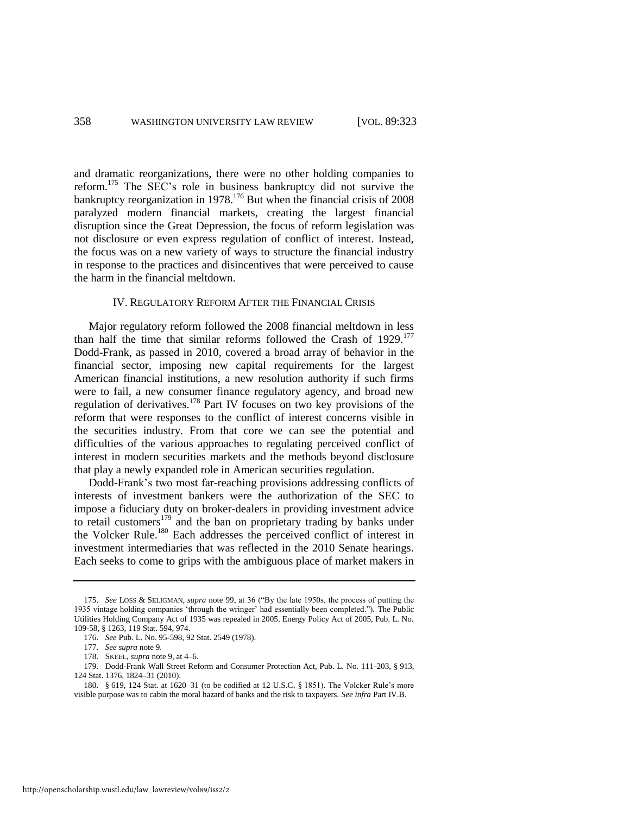and dramatic reorganizations, there were no other holding companies to reform.<sup>175</sup> The SEC's role in business bankruptcy did not survive the bankruptcy reorganization in 1978.<sup>176</sup> But when the financial crisis of 2008 paralyzed modern financial markets, creating the largest financial disruption since the Great Depression, the focus of reform legislation was not disclosure or even express regulation of conflict of interest. Instead, the focus was on a new variety of ways to structure the financial industry in response to the practices and disincentives that were perceived to cause the harm in the financial meltdown.

# IV. REGULATORY REFORM AFTER THE FINANCIAL CRISIS

Major regulatory reform followed the 2008 financial meltdown in less than half the time that similar reforms followed the Crash of  $1929$ .<sup>177</sup> Dodd-Frank, as passed in 2010, covered a broad array of behavior in the financial sector, imposing new capital requirements for the largest American financial institutions, a new resolution authority if such firms were to fail, a new consumer finance regulatory agency, and broad new regulation of derivatives.<sup>178</sup> Part IV focuses on two key provisions of the reform that were responses to the conflict of interest concerns visible in the securities industry. From that core we can see the potential and difficulties of the various approaches to regulating perceived conflict of interest in modern securities markets and the methods beyond disclosure that play a newly expanded role in American securities regulation.

Dodd-Frank's two most far-reaching provisions addressing conflicts of interests of investment bankers were the authorization of the SEC to impose a fiduciary duty on broker-dealers in providing investment advice to retail customers<sup>179</sup> and the ban on proprietary trading by banks under the Volcker Rule.<sup>180</sup> Each addresses the perceived conflict of interest in investment intermediaries that was reflected in the 2010 Senate hearings. Each seeks to come to grips with the ambiguous place of market makers in

<sup>175.</sup> See LOSS & SELIGMAN, *supra* note [99,](#page-21-0) at 36 ("By the late 1950s, the process of putting the 1935 vintage holding companies ‗through the wringer' had essentially been completed.‖). The Public Utilities Holding Company Act of 1935 was repealed in 2005. Energy Policy Act of 2005, Pub. L. No. 109-58, § 1263, 119 Stat. 594, 974.

<sup>176.</sup> *See* Pub. L. No. 95-598, 92 Stat. 2549 (1978).

<sup>177.</sup> *See supra* not[e 9.](#page-3-0) 

<sup>178.</sup> SKEEL, *supra* not[e 9,](#page-3-0) at 4–6.

<sup>179.</sup> Dodd-Frank Wall Street Reform and Consumer Protection Act, Pub. L. No. 111-203, § 913, 124 Stat. 1376, 1824–31 (2010).

<sup>180. § 619, 124</sup> Stat. at 1620–31 (to be codified at 12 U.S.C. § 1851). The Volcker Rule's more visible purpose was to cabin the moral hazard of banks and the risk to taxpayers. *See infra* Part IV.B.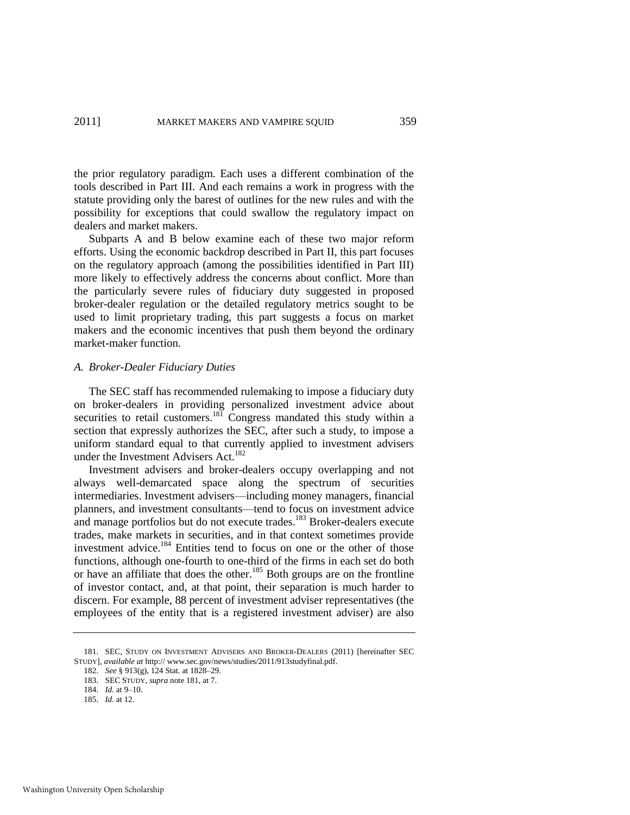the prior regulatory paradigm. Each uses a different combination of the tools described in Part III. And each remains a work in progress with the statute providing only the barest of outlines for the new rules and with the possibility for exceptions that could swallow the regulatory impact on dealers and market makers.

Subparts A and B below examine each of these two major reform efforts. Using the economic backdrop described in Part II, this part focuses on the regulatory approach (among the possibilities identified in Part III) more likely to effectively address the concerns about conflict. More than the particularly severe rules of fiduciary duty suggested in proposed broker-dealer regulation or the detailed regulatory metrics sought to be used to limit proprietary trading, this part suggests a focus on market makers and the economic incentives that push them beyond the ordinary market-maker function.

# *A. Broker-Dealer Fiduciary Duties*

<span id="page-37-0"></span>The SEC staff has recommended rulemaking to impose a fiduciary duty on broker-dealers in providing personalized investment advice about securities to retail customers.<sup>181</sup> Congress mandated this study within a section that expressly authorizes the SEC, after such a study, to impose a uniform standard equal to that currently applied to investment advisers under the Investment Advisers Act.<sup>182</sup>

Investment advisers and broker-dealers occupy overlapping and not always well-demarcated space along the spectrum of securities intermediaries. Investment advisers—including money managers, financial planners, and investment consultants—tend to focus on investment advice and manage portfolios but do not execute trades.<sup>183</sup> Broker-dealers execute trades, make markets in securities, and in that context sometimes provide investment advice.<sup>184</sup> Entities tend to focus on one or the other of those functions, although one-fourth to one-third of the firms in each set do both or have an affiliate that does the other.<sup>185</sup> Both groups are on the frontline of investor contact, and, at that point, their separation is much harder to discern. For example, 88 percent of investment adviser representatives (the employees of the entity that is a registered investment adviser) are also

<sup>181.</sup> SEC, STUDY ON INVESTMENT ADVISERS AND BROKER-DEALERS (2011) [hereinafter SEC STUDY], *available at* http:// www.sec.gov/news/studies/2011/913studyfinal.pdf.

<sup>182.</sup> *See* § 913(g), 124 Stat. at 1828–29.

<sup>183.</sup> SEC STUDY, *supra* not[e 181,](#page-37-0) at 7.

<sup>184.</sup> *Id.* at 9–10.

<sup>185.</sup> *Id.* at 12.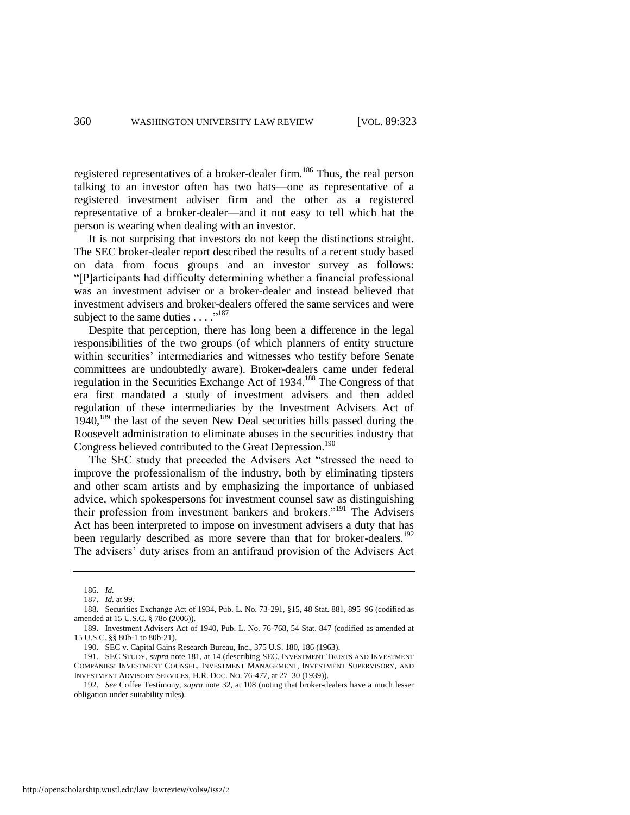registered representatives of a broker-dealer firm.<sup>186</sup> Thus, the real person talking to an investor often has two hats—one as representative of a registered investment adviser firm and the other as a registered representative of a broker-dealer—and it not easy to tell which hat the person is wearing when dealing with an investor.

It is not surprising that investors do not keep the distinctions straight. The SEC broker-dealer report described the results of a recent study based on data from focus groups and an investor survey as follows: ―[P]articipants had difficulty determining whether a financial professional was an investment adviser or a broker-dealer and instead believed that investment advisers and broker-dealers offered the same services and were subject to the same duties  $\dots$ ."<sup>187</sup>

Despite that perception, there has long been a difference in the legal responsibilities of the two groups (of which planners of entity structure within securities' intermediaries and witnesses who testify before Senate committees are undoubtedly aware). Broker-dealers came under federal regulation in the Securities Exchange Act of 1934.<sup>188</sup> The Congress of that era first mandated a study of investment advisers and then added regulation of these intermediaries by the Investment Advisers Act of  $1940$ ,  $^{189}$  the last of the seven New Deal securities bills passed during the Roosevelt administration to eliminate abuses in the securities industry that Congress believed contributed to the Great Depression.<sup>190</sup>

The SEC study that preceded the Advisers Act "stressed the need to improve the professionalism of the industry, both by eliminating tipsters and other scam artists and by emphasizing the importance of unbiased advice, which spokespersons for investment counsel saw as distinguishing their profession from investment bankers and brokers."<sup>191</sup> The Advisers Act has been interpreted to impose on investment advisers a duty that has been regularly described as more severe than that for broker-dealers.<sup>192</sup> The advisers' duty arises from an antifraud provision of the Advisers Act

<sup>186.</sup> *Id.*

<sup>187.</sup> *Id.* at 99.

<sup>188.</sup> Securities Exchange Act of 1934, Pub. L. No. 73-291, §15, 48 Stat. 881, 895–96 (codified as amended at 15 U.S.C. § 78o (2006)).

<sup>189.</sup> Investment Advisers Act of 1940, Pub. L. No. 76-768, 54 Stat. 847 (codified as amended at 15 U.S.C. §§ 80b-1 to 80b-21).

<sup>190.</sup> SEC v. Capital Gains Research Bureau, Inc., 375 U.S. 180, 186 (1963).

<sup>191.</sup> SEC STUDY, *supra* note [181,](#page-37-0) at 14 (describing SEC, INVESTMENT TRUSTS AND INVESTMENT COMPANIES: INVESTMENT COUNSEL, INVESTMENT MANAGEMENT, INVESTMENT SUPERVISORY, AND INVESTMENT ADVISORY SERVICES, H.R. DOC. NO. 76-477, at 27–30 (1939)).

<sup>192.</sup> *See* Coffee Testimony, *supra* note [32,](#page-6-0) at 108 (noting that broker-dealers have a much lesser obligation under suitability rules).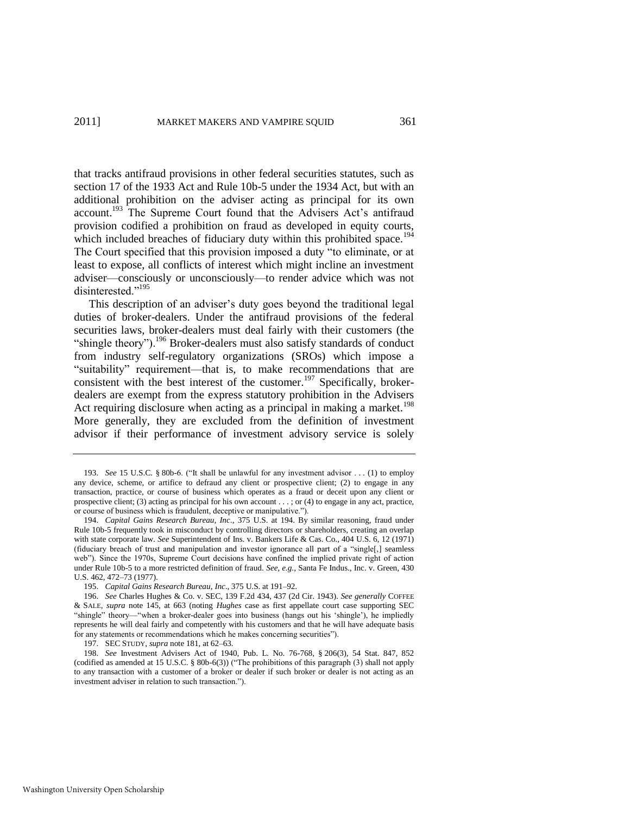that tracks antifraud provisions in other federal securities statutes, such as section 17 of the 1933 Act and Rule 10b-5 under the 1934 Act, but with an additional prohibition on the adviser acting as principal for its own account.<sup>193</sup> The Supreme Court found that the Advisers Act's antifraud provision codified a prohibition on fraud as developed in equity courts, which included breaches of fiduciary duty within this prohibited space.<sup>194</sup> The Court specified that this provision imposed a duty "to eliminate, or at least to expose, all conflicts of interest which might incline an investment adviser—consciously or unconsciously—to render advice which was not disinterested<sup>",195</sup>

This description of an adviser's duty goes beyond the traditional legal duties of broker-dealers. Under the antifraud provisions of the federal securities laws, broker-dealers must deal fairly with their customers (the "shingle theory").<sup>196</sup> Broker-dealers must also satisfy standards of conduct from industry self-regulatory organizations (SROs) which impose a "suitability" requirement—that is, to make recommendations that are consistent with the best interest of the customer.<sup>197</sup> Specifically, brokerdealers are exempt from the express statutory prohibition in the Advisers Act requiring disclosure when acting as a principal in making a market.<sup>198</sup> More generally, they are excluded from the definition of investment advisor if their performance of investment advisory service is solely

197. SEC STUDY, *supra* not[e 181,](#page-37-0) at 62–63.

<sup>193.</sup> *See* 15 U.S.C. § 80b-6. ("It shall be unlawful for any investment advisor . . . (1) to employ any device, scheme, or artifice to defraud any client or prospective client; (2) to engage in any transaction, practice, or course of business which operates as a fraud or deceit upon any client or prospective client; (3) acting as principal for his own account . . . ; or (4) to engage in any act, practice, or course of business which is fraudulent, deceptive or manipulative.").

<sup>194.</sup> *Capital Gains Research Bureau, Inc*., 375 U.S. at 194. By similar reasoning, fraud under Rule 10b-5 frequently took in misconduct by controlling directors or shareholders, creating an overlap with state corporate law. *See* Superintendent of Ins. v. Bankers Life & Cas. Co., 404 U.S. 6, 12 (1971) (fiduciary breach of trust and manipulation and investor ignorance all part of a "single[,] seamless web"). Since the 1970s, Supreme Court decisions have confined the implied private right of action under Rule 10b-5 to a more restricted definition of fraud. *See, e.g.*, Santa Fe Indus., Inc. v. Green, 430 U.S. 462, 472–73 (1977).

<sup>195.</sup> *Capital Gains Research Bureau*, *Inc*., 375 U.S. at 191–92.

<sup>196.</sup> *See* Charles Hughes & Co. v. SEC, 139 F.2d 434, 437 (2d Cir. 1943). *See generally* COFFEE & SALE, *supra* note [145,](#page-30-0) at 663 (noting *Hughes* case as first appellate court case supporting SEC "shingle" theory—"when a broker-dealer goes into business (hangs out his 'shingle'), he impliedly represents he will deal fairly and competently with his customers and that he will have adequate basis for any statements or recommendations which he makes concerning securities").

<sup>198.</sup> *See* Investment Advisers Act of 1940, Pub. L. No. 76-768, § 206(3), 54 Stat. 847, 852 (codified as amended at 15 U.S.C. § 80b-6(3)) ("The prohibitions of this paragraph (3) shall not apply to any transaction with a customer of a broker or dealer if such broker or dealer is not acting as an investment adviser in relation to such transaction.").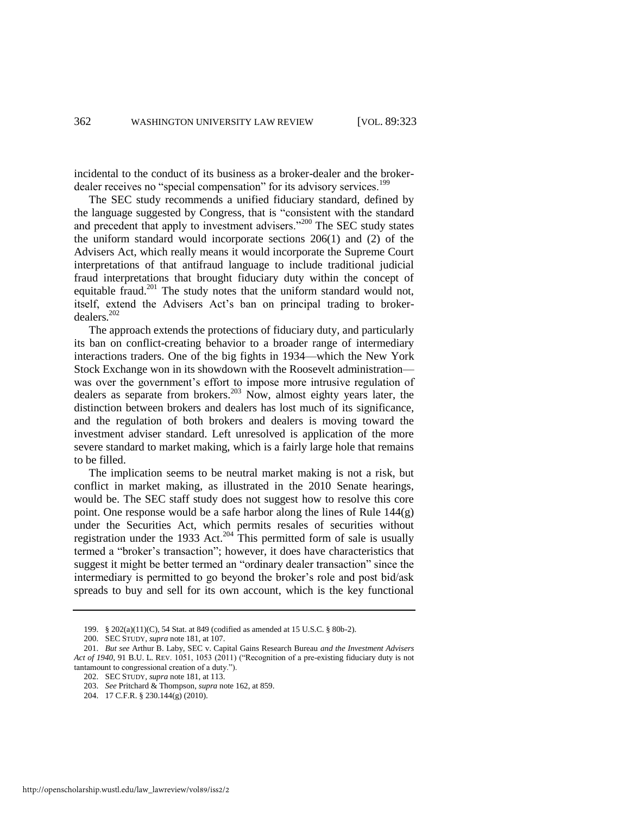incidental to the conduct of its business as a broker-dealer and the brokerdealer receives no "special compensation" for its advisory services.<sup>199</sup>

The SEC study recommends a unified fiduciary standard, defined by the language suggested by Congress, that is "consistent with the standard and precedent that apply to investment advisers."<sup>200</sup> The SEC study states the uniform standard would incorporate sections 206(1) and (2) of the Advisers Act, which really means it would incorporate the Supreme Court interpretations of that antifraud language to include traditional judicial fraud interpretations that brought fiduciary duty within the concept of equitable fraud.<sup>201</sup> The study notes that the uniform standard would not, itself, extend the Advisers Act's ban on principal trading to brokerdealers.<sup>202</sup>

The approach extends the protections of fiduciary duty, and particularly its ban on conflict-creating behavior to a broader range of intermediary interactions traders. One of the big fights in 1934—which the New York Stock Exchange won in its showdown with the Roosevelt administration was over the government's effort to impose more intrusive regulation of dealers as separate from brokers.<sup>203</sup> Now, almost eighty years later, the distinction between brokers and dealers has lost much of its significance, and the regulation of both brokers and dealers is moving toward the investment adviser standard. Left unresolved is application of the more severe standard to market making, which is a fairly large hole that remains to be filled.

The implication seems to be neutral market making is not a risk, but conflict in market making, as illustrated in the 2010 Senate hearings, would be. The SEC staff study does not suggest how to resolve this core point. One response would be a safe harbor along the lines of Rule 144(g) under the Securities Act, which permits resales of securities without registration under the 1933 Act.<sup>204</sup> This permitted form of sale is usually termed a "broker's transaction"; however, it does have characteristics that suggest it might be better termed an "ordinary dealer transaction" since the intermediary is permitted to go beyond the broker's role and post bid/ask spreads to buy and sell for its own account, which is the key functional

<sup>199. § 202(</sup>a)(11)(C), 54 Stat. at 849 (codified as amended at 15 U.S.C. § 80b-2).

<sup>200.</sup> SEC STUDY, *supra* not[e 181,](#page-37-0) at 107.

<sup>201.</sup> *But see* Arthur B. Laby, SEC v. Capital Gains Research Bureau *and the Investment Advisers*  Act of 1940, 91 B.U. L. REV. 1051, 1053 (2011) ("Recognition of a pre-existing fiduciary duty is not tantamount to congressional creation of a duty.").

<sup>202.</sup> SEC STUDY, *supra* not[e 181,](#page-37-0) at 113.

<sup>203.</sup> *See* Pritchard & Thompson, *supra* not[e 162,](#page-34-0) at 859.

<sup>204. 17</sup> C.F.R. § 230.144(g) (2010).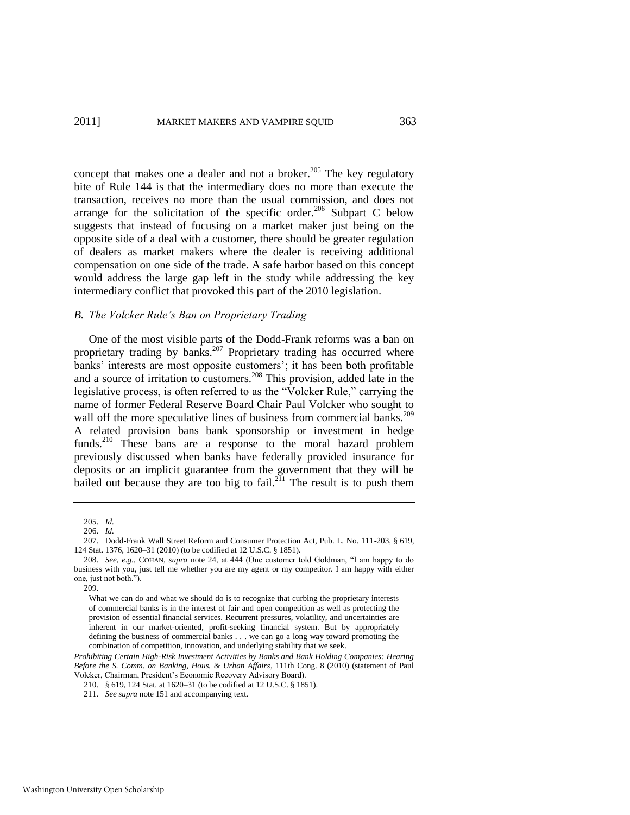<span id="page-41-0"></span>concept that makes one a dealer and not a broker. $205$  The key regulatory bite of Rule 144 is that the intermediary does no more than execute the transaction, receives no more than the usual commission, and does not arrange for the solicitation of the specific order.<sup>206</sup> Subpart C below suggests that instead of focusing on a market maker just being on the opposite side of a deal with a customer, there should be greater regulation of dealers as market makers where the dealer is receiving additional compensation on one side of the trade. A safe harbor based on this concept would address the large gap left in the study while addressing the key intermediary conflict that provoked this part of the 2010 legislation.

# *B. The Volcker Rule"s Ban on Proprietary Trading*

One of the most visible parts of the Dodd-Frank reforms was a ban on proprietary trading by banks.<sup>207</sup> Proprietary trading has occurred where banks' interests are most opposite customers'; it has been both profitable and a source of irritation to customers.<sup>208</sup> This provision, added late in the legislative process, is often referred to as the "Volcker Rule," carrying the name of former Federal Reserve Board Chair Paul Volcker who sought to wall off the more speculative lines of business from commercial banks.<sup>209</sup> A related provision bans bank sponsorship or investment in hedge funds.<sup>210</sup> These bans are a response to the moral hazard problem previously discussed when banks have federally provided insurance for deposits or an implicit guarantee from the government that they will be bailed out because they are too big to fail.<sup>211</sup> The result is to push them

<sup>205.</sup> *Id.*

<sup>206.</sup> *Id.*

<sup>207.</sup> Dodd-Frank Wall Street Reform and Consumer Protection Act, Pub. L. No. 111-203, § 619, 124 Stat. 1376, 1620–31 (2010) (to be codified at 12 U.S.C. § 1851).

<sup>208.</sup> *See, e.g.*, COHAN, *supra* note [24,](#page-5-0) at 444 (One customer told Goldman, "I am happy to do business with you, just tell me whether you are my agent or my competitor. I am happy with either one, just not both.").

<sup>209.</sup> 

What we can do and what we should do is to recognize that curbing the proprietary interests of commercial banks is in the interest of fair and open competition as well as protecting the provision of essential financial services. Recurrent pressures, volatility, and uncertainties are inherent in our market-oriented, profit-seeking financial system. But by appropriately defining the business of commercial banks . . . we can go a long way toward promoting the combination of competition, innovation, and underlying stability that we seek.

*Prohibiting Certain High-Risk Investment Activities by Banks and Bank Holding Companies: Hearing Before the S. Comm. on Banking, Hous. & Urban Affairs*, 111th Cong. 8 (2010) (statement of Paul Volcker, Chairman, President's Economic Recovery Advisory Board).

<sup>210. § 619, 124</sup> Stat. at 1620–31 (to be codified at 12 U.S.C. § 1851).

<sup>211.</sup> *See supra* not[e 151 a](#page-32-0)nd accompanying text.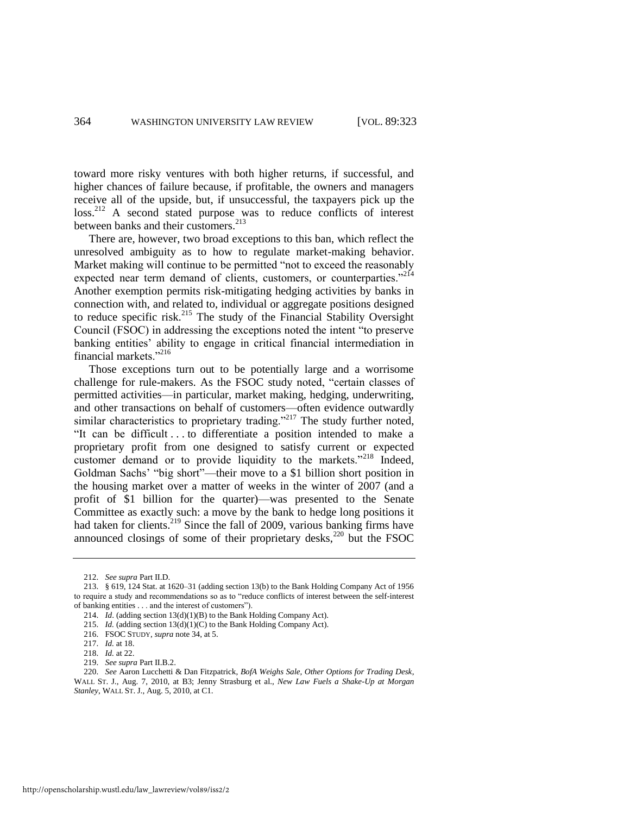toward more risky ventures with both higher returns, if successful, and higher chances of failure because, if profitable, the owners and managers receive all of the upside, but, if unsuccessful, the taxpayers pick up the loss.<sup>212</sup> A second stated purpose was to reduce conflicts of interest between banks and their customers.<sup>213</sup>

There are, however, two broad exceptions to this ban, which reflect the unresolved ambiguity as to how to regulate market-making behavior. Market making will continue to be permitted "not to exceed the reasonably expected near term demand of clients, customers, or counterparties."<sup>214</sup> Another exemption permits risk-mitigating hedging activities by banks in connection with, and related to, individual or aggregate positions designed to reduce specific risk.<sup>215</sup> The study of the Financial Stability Oversight Council (FSOC) in addressing the exceptions noted the intent "to preserve banking entities' ability to engage in critical financial intermediation in financial markets." $^{216}$ 

Those exceptions turn out to be potentially large and a worrisome challenge for rule-makers. As the FSOC study noted, "certain classes of permitted activities—in particular, market making, hedging, underwriting, and other transactions on behalf of customers—often evidence outwardly similar characteristics to proprietary trading."<sup>217</sup> The study further noted, "It can be difficult . . . to differentiate a position intended to make a proprietary profit from one designed to satisfy current or expected customer demand or to provide liquidity to the markets."<sup>218</sup> Indeed, Goldman Sachs' "big short"—their move to a \$1 billion short position in the housing market over a matter of weeks in the winter of 2007 (and a profit of \$1 billion for the quarter)—was presented to the Senate Committee as exactly such: a move by the bank to hedge long positions it had taken for clients.<sup>219</sup> Since the fall of 2009, various banking firms have announced closings of some of their proprietary desks, $220$  but the FSOC

<sup>212.</sup> *See supra* Part II.D.

<sup>213. § 619, 124</sup> Stat. at 1620–31 (adding section 13(b) to the Bank Holding Company Act of 1956 to require a study and recommendations so as to "reduce conflicts of interest between the self-interest of banking entities . . . and the interest of customers").

<sup>214.</sup> *Id*. (adding section 13(d)(1)(B) to the Bank Holding Company Act).

<sup>215.</sup> *Id.* (adding section  $13(d)(1)(C)$  to the Bank Holding Company Act).

<sup>216.</sup> FSOC STUDY, *supra* not[e 34,](#page-7-0) at 5.

<sup>217.</sup> *Id.* at 18.

<sup>218.</sup> *Id.* at 22.

<sup>219.</sup> *See supra* Part II.B.2.

<sup>220.</sup> *See* Aaron Lucchetti & Dan Fitzpatrick, *BofA Weighs Sale, Other Options for Trading Desk*, WALL ST. J., Aug. 7, 2010, at B3; Jenny Strasburg et al., *New Law Fuels a Shake-Up at Morgan Stanley*, WALL ST. J., Aug. 5, 2010, at C1.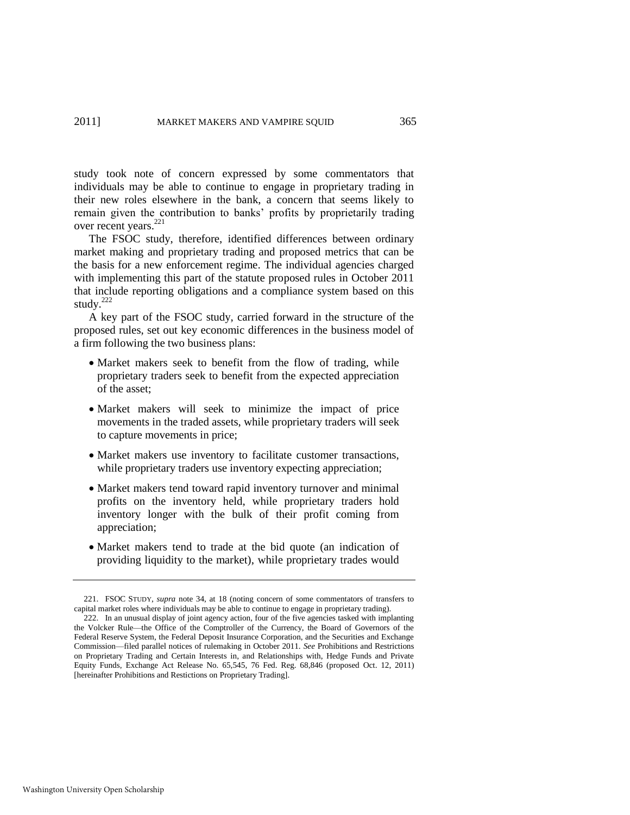study took note of concern expressed by some commentators that individuals may be able to continue to engage in proprietary trading in their new roles elsewhere in the bank, a concern that seems likely to remain given the contribution to banks' profits by proprietarily trading over recent years.<sup>221</sup>

The FSOC study, therefore, identified differences between ordinary market making and proprietary trading and proposed metrics that can be the basis for a new enforcement regime. The individual agencies charged with implementing this part of the statute proposed rules in October 2011 that include reporting obligations and a compliance system based on this study. $222$ 

<span id="page-43-0"></span>A key part of the FSOC study, carried forward in the structure of the proposed rules, set out key economic differences in the business model of a firm following the two business plans:

- Market makers seek to benefit from the flow of trading, while proprietary traders seek to benefit from the expected appreciation of the asset;
- Market makers will seek to minimize the impact of price movements in the traded assets, while proprietary traders will seek to capture movements in price;
- Market makers use inventory to facilitate customer transactions, while proprietary traders use inventory expecting appreciation;
- Market makers tend toward rapid inventory turnover and minimal profits on the inventory held, while proprietary traders hold inventory longer with the bulk of their profit coming from appreciation;
- Market makers tend to trade at the bid quote (an indication of providing liquidity to the market), while proprietary trades would

<sup>221.</sup> FSOC STUDY, *supra* note [34,](#page-7-0) at 18 (noting concern of some commentators of transfers to capital market roles where individuals may be able to continue to engage in proprietary trading).

<sup>222.</sup> In an unusual display of joint agency action, four of the five agencies tasked with implanting the Volcker Rule—the Office of the Comptroller of the Currency, the Board of Governors of the Federal Reserve System, the Federal Deposit Insurance Corporation, and the Securities and Exchange Commission—filed parallel notices of rulemaking in October 2011. *See* Prohibitions and Restrictions on Proprietary Trading and Certain Interests in, and Relationships with, Hedge Funds and Private Equity Funds, Exchange Act Release No. 65,545, 76 Fed. Reg. 68,846 (proposed Oct. 12, 2011) [hereinafter Prohibitions and Restictions on Proprietary Trading].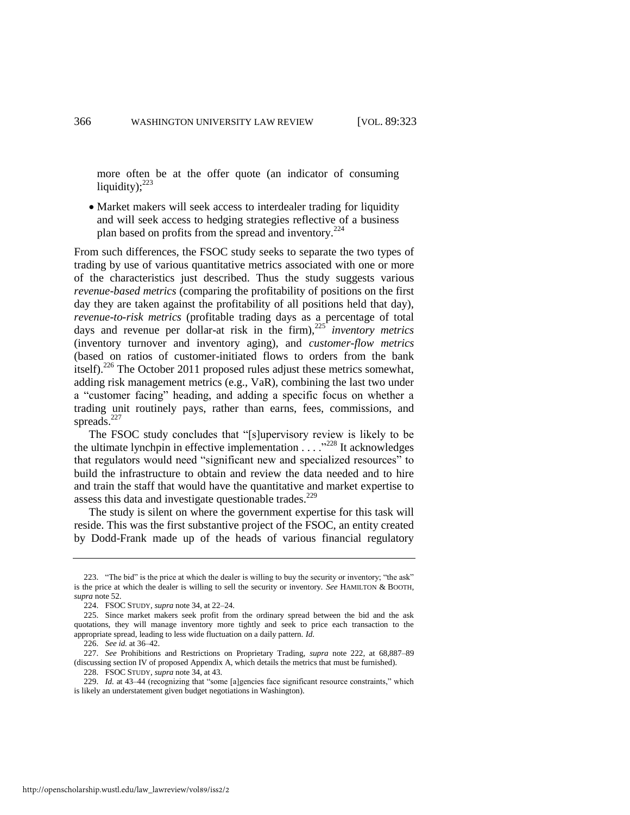more often be at the offer quote (an indicator of consuming liquidity); $^{223}$ 

 Market makers will seek access to interdealer trading for liquidity and will seek access to hedging strategies reflective of a business plan based on profits from the spread and inventory.<sup>224</sup>

From such differences, the FSOC study seeks to separate the two types of trading by use of various quantitative metrics associated with one or more of the characteristics just described. Thus the study suggests various *revenue-based metrics* (comparing the profitability of positions on the first day they are taken against the profitability of all positions held that day), *revenue-to-risk metrics* (profitable trading days as a percentage of total days and revenue per dollar-at risk in the firm),<sup>225</sup> *inventory metrics*  (inventory turnover and inventory aging), and *customer-flow metrics*  (based on ratios of customer-initiated flows to orders from the bank itself).<sup>226</sup> The October 2011 proposed rules adjust these metrics somewhat, adding risk management metrics (e.g., VaR), combining the last two under a "customer facing" heading, and adding a specific focus on whether a trading unit routinely pays, rather than earns, fees, commissions, and spreads.<sup>227</sup>

The FSOC study concludes that "[s]upervisory review is likely to be the ultimate lynchpin in effective implementation  $\ldots$ <sup>228</sup> It acknowledges that regulators would need "significant new and specialized resources" to build the infrastructure to obtain and review the data needed and to hire and train the staff that would have the quantitative and market expertise to assess this data and investigate questionable trades.<sup>229</sup>

The study is silent on where the government expertise for this task will reside. This was the first substantive project of the FSOC, an entity created by Dodd-Frank made up of the heads of various financial regulatory

<sup>223. &</sup>quot;The bid" is the price at which the dealer is willing to buy the security or inventory; "the ask" is the price at which the dealer is willing to sell the security or inventory. *See* HAMILTON & BOOTH, *supra* not[e 52.](#page-12-1) 

<sup>224.</sup> FSOC STUDY, *supra* not[e 34,](#page-7-0) at 22–24.

<sup>225.</sup> Since market makers seek profit from the ordinary spread between the bid and the ask quotations, they will manage inventory more tightly and seek to price each transaction to the appropriate spread, leading to less wide fluctuation on a daily pattern. *Id*.

<sup>226.</sup> *See id.* at 36–42.

<sup>227.</sup> *See* Prohibitions and Restrictions on Proprietary Trading, *supra* note [222,](#page-43-0) at 68,887–89 (discussing section IV of proposed Appendix A, which details the metrics that must be furnished).

<sup>228.</sup> FSOC STUDY, *supra* not[e 34,](#page-7-0) at 43.

<sup>229.</sup> *Id.* at 43–44 (recognizing that "some [a]gencies face significant resource constraints," which is likely an understatement given budget negotiations in Washington).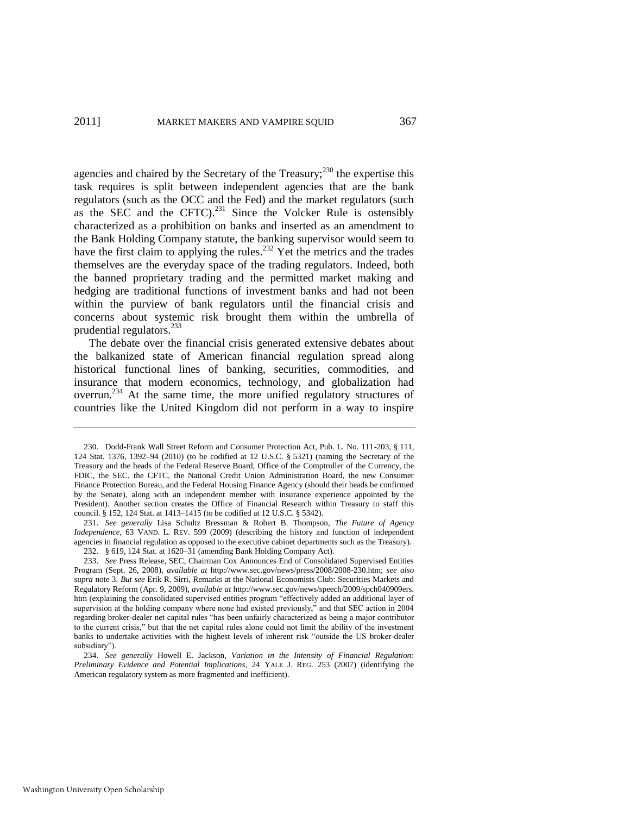agencies and chaired by the Secretary of the Treasury; $^{230}$  the expertise this task requires is split between independent agencies that are the bank regulators (such as the OCC and the Fed) and the market regulators (such as the SEC and the CFTC).<sup>231</sup> Since the Volcker Rule is ostensibly characterized as a prohibition on banks and inserted as an amendment to the Bank Holding Company statute, the banking supervisor would seem to have the first claim to applying the rules.<sup>232</sup> Yet the metrics and the trades themselves are the everyday space of the trading regulators. Indeed, both the banned proprietary trading and the permitted market making and hedging are traditional functions of investment banks and had not been within the purview of bank regulators until the financial crisis and concerns about systemic risk brought them within the umbrella of prudential regulators.<sup>233</sup>

The debate over the financial crisis generated extensive debates about the balkanized state of American financial regulation spread along historical functional lines of banking, securities, commodities, and insurance that modern economics, technology, and globalization had overrun.<sup>234</sup> At the same time, the more unified regulatory structures of countries like the United Kingdom did not perform in a way to inspire

<sup>230.</sup> Dodd-Frank Wall Street Reform and Consumer Protection Act, Pub. L. No. 111-203, § 111, 124 Stat. 1376, 1392–94 (2010) (to be codified at 12 U.S.C. § 5321) (naming the Secretary of the Treasury and the heads of the Federal Reserve Board, Office of the Comptroller of the Currency, the FDIC, the SEC, the CFTC, the National Credit Union Administration Board, the new Consumer Finance Protection Bureau, and the Federal Housing Finance Agency (should their heads be confirmed by the Senate), along with an independent member with insurance experience appointed by the President). Another section creates the Office of Financial Research within Treasury to staff this council. § 152, 124 Stat. at 1413–1415 (to be codified at 12 U.S.C. § 5342).

<sup>231.</sup> *See generally* Lisa Schultz Bressman & Robert B. Thompson, *The Future of Agency Independence*, 63 VAND. L. REV. 599 (2009) (describing the history and function of independent agencies in financial regulation as opposed to the executive cabinet departments such as the Treasury). 232. § 619, 124 Stat. at 1620–31 (amending Bank Holding Company Act).

<sup>233.</sup> *See* Press Release, SEC, Chairman Cox Announces End of Consolidated Supervised Entities Program (Sept. 26, 2008), *available at* http://www.sec.gov/news/press/2008/2008-230.htm; *see also supra* not[e 3.](#page-2-1) *But see* Erik R. Sirri, Remarks at the National Economists Club: Securities Markets and Regulatory Reform (Apr. 9, 2009), *available at* http://www.sec.gov/news/speech/2009/spch040909ers. htm (explaining the consolidated supervised entities program "effectively added an additional layer of supervision at the holding company where none had existed previously," and that SEC action in 2004 regarding broker-dealer net capital rules "has been unfairly characterized as being a major contributor to the current crisis," but that the net capital rules alone could not limit the ability of the investment banks to undertake activities with the highest levels of inherent risk "outside the US broker-dealer subsidiary").

<sup>234.</sup> *See generally* Howell E. Jackson, *Variation in the Intensity of Financial Regulation: Preliminary Evidence and Potential Implications*, 24 YALE J. REG. 253 (2007) (identifying the American regulatory system as more fragmented and inefficient).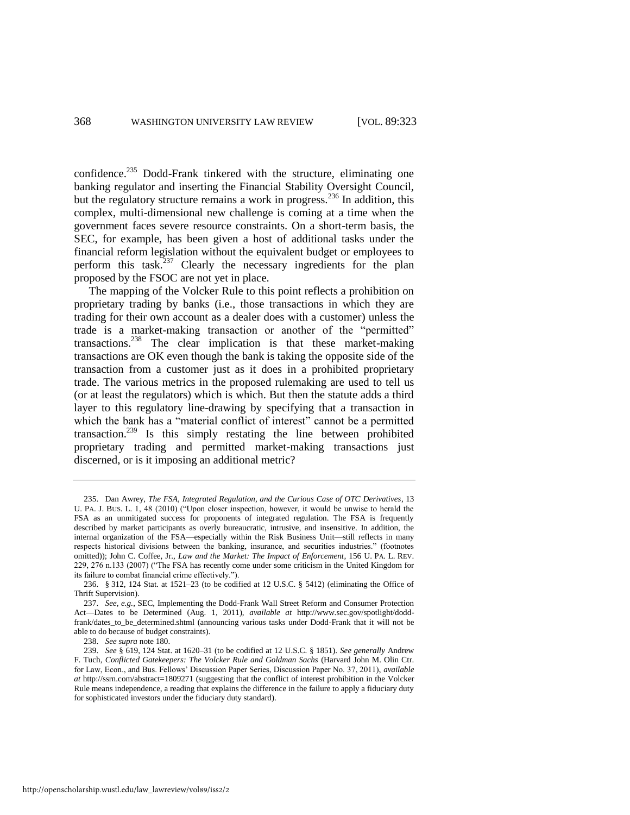confidence.<sup>235</sup> Dodd-Frank tinkered with the structure, eliminating one banking regulator and inserting the Financial Stability Oversight Council, but the regulatory structure remains a work in progress.<sup>236</sup> In addition, this complex, multi-dimensional new challenge is coming at a time when the government faces severe resource constraints. On a short-term basis, the SEC, for example, has been given a host of additional tasks under the financial reform legislation without the equivalent budget or employees to perform this task.<sup>237</sup> Clearly the necessary ingredients for the plan proposed by the FSOC are not yet in place.

The mapping of the Volcker Rule to this point reflects a prohibition on proprietary trading by banks (i.e., those transactions in which they are trading for their own account as a dealer does with a customer) unless the trade is a market-making transaction or another of the "permitted" transactions.<sup>238</sup> The clear implication is that these market-making transactions are OK even though the bank is taking the opposite side of the transaction from a customer just as it does in a prohibited proprietary trade. The various metrics in the proposed rulemaking are used to tell us (or at least the regulators) which is which. But then the statute adds a third layer to this regulatory line-drawing by specifying that a transaction in which the bank has a "material conflict of interest" cannot be a permitted transaction.<sup>239</sup> Is this simply restating the line between prohibited proprietary trading and permitted market-making transactions just discerned, or is it imposing an additional metric?

238. *See supra* note 180.

<sup>235.</sup> Dan Awrey, *The FSA, Integrated Regulation, and the Curious Case of OTC Derivatives*, 13 U. PA. J. BUS. L. 1, 48 (2010) ("Upon closer inspection, however, it would be unwise to herald the FSA as an unmitigated success for proponents of integrated regulation. The FSA is frequently described by market participants as overly bureaucratic, intrusive, and insensitive. In addition, the internal organization of the FSA—especially within the Risk Business Unit—still reflects in many respects historical divisions between the banking, insurance, and securities industries." (footnotes omitted)); John C. Coffee, Jr., *Law and the Market: The Impact of Enforcement*, 156 U. PA. L. REV. 229, 276 n.133 (2007) ("The FSA has recently come under some criticism in the United Kingdom for its failure to combat financial crime effectively.").

<sup>236. § 312, 124</sup> Stat. at 1521–23 (to be codified at 12 U.S.C. § 5412) (eliminating the Office of Thrift Supervision).

<sup>237.</sup> *See, e.g.*, SEC, Implementing the Dodd-Frank Wall Street Reform and Consumer Protection Act—Dates to be Determined (Aug. 1, 2011), *available at* http://www.sec.gov/spotlight/doddfrank/dates\_to\_be\_determined.shtml (announcing various tasks under Dodd-Frank that it will not be able to do because of budget constraints).

<sup>239.</sup> *See* § 619, 124 Stat. at 1620–31 (to be codified at 12 U.S.C. § 1851). *See generally* Andrew F. Tuch, *Conflicted Gatekeepers: The Volcker Rule and Goldman Sachs* (Harvard John M. Olin Ctr. for Law, Econ., and Bus. Fellows' Discussion Paper Series, Discussion Paper No. 37, 2011), *available at* http://ssrn.com/abstract=1809271 (suggesting that the conflict of interest prohibition in the Volcker Rule means independence, a reading that explains the difference in the failure to apply a fiduciary duty for sophisticated investors under the fiduciary duty standard).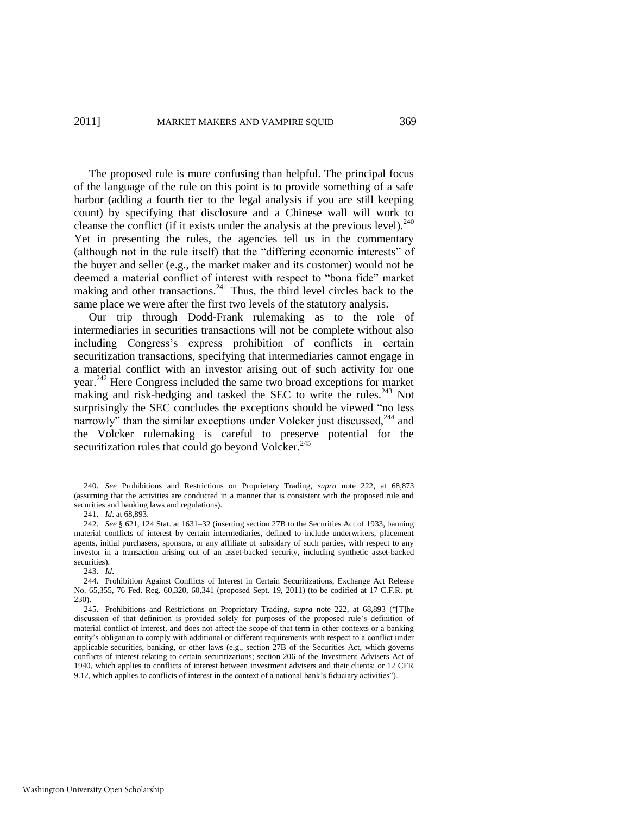The proposed rule is more confusing than helpful. The principal focus of the language of the rule on this point is to provide something of a safe harbor (adding a fourth tier to the legal analysis if you are still keeping count) by specifying that disclosure and a Chinese wall will work to cleanse the conflict (if it exists under the analysis at the previous level).<sup>240</sup> Yet in presenting the rules, the agencies tell us in the commentary (although not in the rule itself) that the "differing economic interests" of the buyer and seller (e.g., the market maker and its customer) would not be deemed a material conflict of interest with respect to "bona fide" market making and other transactions. $^{241}$  Thus, the third level circles back to the same place we were after the first two levels of the statutory analysis.

Our trip through Dodd-Frank rulemaking as to the role of intermediaries in securities transactions will not be complete without also including Congress's express prohibition of conflicts in certain securitization transactions, specifying that intermediaries cannot engage in a material conflict with an investor arising out of such activity for one year.<sup>242</sup> Here Congress included the same two broad exceptions for market making and risk-hedging and tasked the SEC to write the rules.<sup>243</sup> Not surprisingly the SEC concludes the exceptions should be viewed "no less narrowly" than the similar exceptions under Volcker just discussed,  $244$  and the Volcker rulemaking is careful to preserve potential for the securitization rules that could go beyond Volcker.<sup>245</sup>

<sup>240.</sup> *See* Prohibitions and Restrictions on Proprietary Trading, *supra* note [222,](#page-43-0) at 68,873 (assuming that the activities are conducted in a manner that is consistent with the proposed rule and securities and banking laws and regulations).

<sup>241.</sup> *Id*. at 68,893.

<sup>242.</sup> *See* § 621, 124 Stat. at 1631–32 (inserting section 27B to the Securities Act of 1933, banning material conflicts of interest by certain intermediaries, defined to include underwriters, placement agents, initial purchasers, sponsors, or any affiliate of subsidary of such parties, with respect to any investor in a transaction arising out of an asset-backed security, including synthetic asset-backed securities).

<sup>243.</sup> *Id*.

<sup>244.</sup> Prohibition Against Conflicts of Interest in Certain Securitizations, Exchange Act Release No. 65,355, 76 Fed. Reg. 60,320, 60,341 (proposed Sept. 19, 2011) (to be codified at 17 C.F.R. pt. 230).

<sup>245.</sup> Prohibitions and Restrictions on Proprietary Trading, *supra* note [222,](#page-43-0) at 68,893 ("[T]he discussion of that definition is provided solely for purposes of the proposed rule's definition of material conflict of interest, and does not affect the scope of that term in other contexts or a banking entity's obligation to comply with additional or different requirements with respect to a conflict under applicable securities, banking, or other laws (e.g., section 27B of the Securities Act, which governs conflicts of interest relating to certain securitizations; section 206 of the Investment Advisers Act of 1940, which applies to conflicts of interest between investment advisers and their clients; or 12 CFR 9.12, which applies to conflicts of interest in the context of a national bank's fiduciary activities").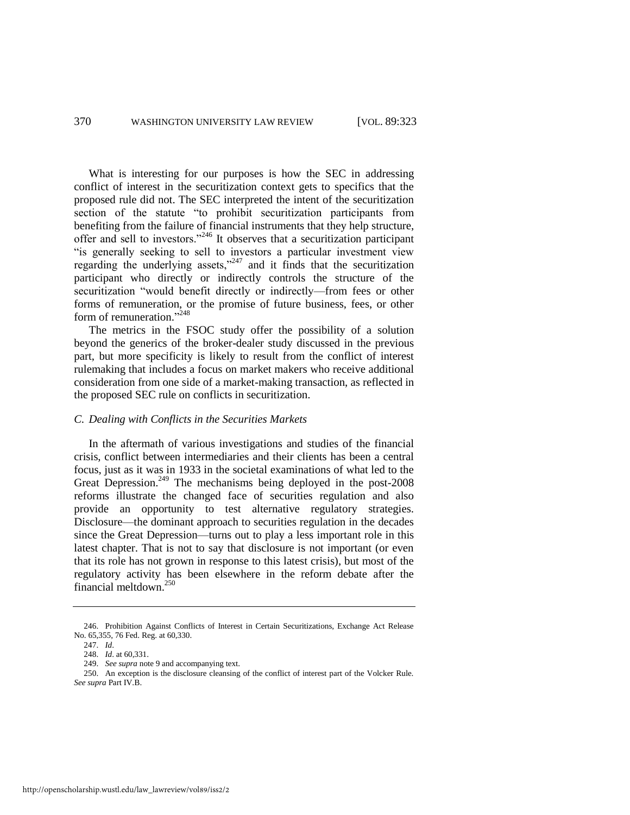What is interesting for our purposes is how the SEC in addressing conflict of interest in the securitization context gets to specifics that the proposed rule did not. The SEC interpreted the intent of the securitization section of the statute "to prohibit securitization participants from benefiting from the failure of financial instruments that they help structure, offer and sell to investors."<sup>246</sup> It observes that a securitization participant "is generally seeking to sell to investors a particular investment view regarding the underlying assets," $247$  and it finds that the securitization participant who directly or indirectly controls the structure of the securitization "would benefit directly or indirectly—from fees or other forms of remuneration, or the promise of future business, fees, or other form of remuneration."<sup>248</sup>

The metrics in the FSOC study offer the possibility of a solution beyond the generics of the broker-dealer study discussed in the previous part, but more specificity is likely to result from the conflict of interest rulemaking that includes a focus on market makers who receive additional consideration from one side of a market-making transaction, as reflected in the proposed SEC rule on conflicts in securitization.

# *C. Dealing with Conflicts in the Securities Markets*

In the aftermath of various investigations and studies of the financial crisis, conflict between intermediaries and their clients has been a central focus, just as it was in 1933 in the societal examinations of what led to the Great Depression.<sup>249</sup> The mechanisms being deployed in the post- $2008$ reforms illustrate the changed face of securities regulation and also provide an opportunity to test alternative regulatory strategies. Disclosure—the dominant approach to securities regulation in the decades since the Great Depression—turns out to play a less important role in this latest chapter. That is not to say that disclosure is not important (or even that its role has not grown in response to this latest crisis), but most of the regulatory activity has been elsewhere in the reform debate after the financial meltdown.<sup>250</sup>

<sup>246.</sup> Prohibition Against Conflicts of Interest in Certain Securitizations, Exchange Act Release No. 65,355, 76 Fed. Reg. at 60,330.

<sup>247.</sup> *Id*.

<sup>248.</sup> *Id*. at 60,331.

<sup>249.</sup> *See supra* not[e 9 a](#page-3-0)nd accompanying text.

<sup>250.</sup> An exception is the disclosure cleansing of the conflict of interest part of the Volcker Rule. *See supra* Part IV.B.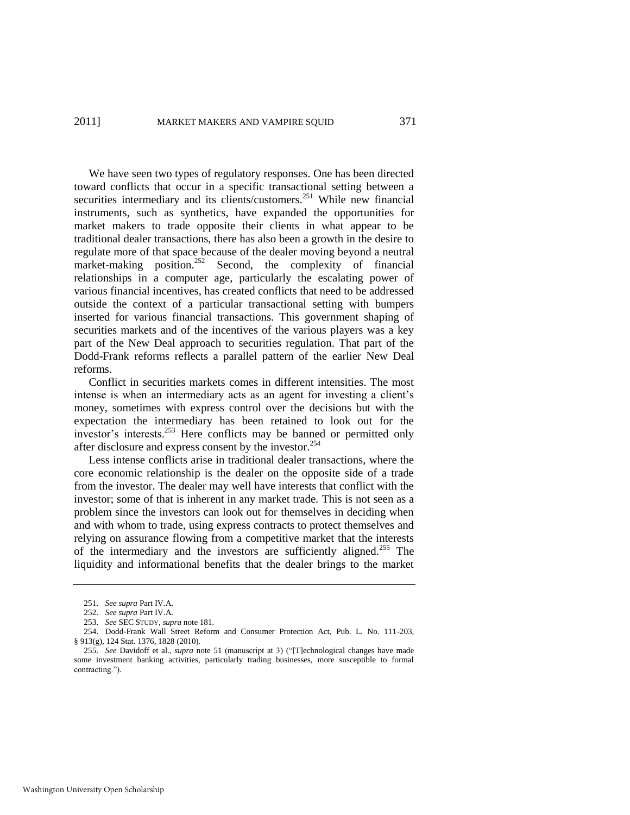# 2011] MARKET MAKERS AND VAMPIRE SOUID 371

We have seen two types of regulatory responses. One has been directed toward conflicts that occur in a specific transactional setting between a securities intermediary and its clients/customers.<sup>251</sup> While new financial instruments, such as synthetics, have expanded the opportunities for market makers to trade opposite their clients in what appear to be traditional dealer transactions, there has also been a growth in the desire to regulate more of that space because of the dealer moving beyond a neutral market-making position.<sup>252</sup> Second, the complexity of financial relationships in a computer age, particularly the escalating power of various financial incentives, has created conflicts that need to be addressed outside the context of a particular transactional setting with bumpers inserted for various financial transactions. This government shaping of securities markets and of the incentives of the various players was a key part of the New Deal approach to securities regulation. That part of the Dodd-Frank reforms reflects a parallel pattern of the earlier New Deal reforms.

Conflict in securities markets comes in different intensities. The most intense is when an intermediary acts as an agent for investing a client's money, sometimes with express control over the decisions but with the expectation the intermediary has been retained to look out for the investor's interests.<sup>253</sup> Here conflicts may be banned or permitted only after disclosure and express consent by the investor.<sup>254</sup>

Less intense conflicts arise in traditional dealer transactions, where the core economic relationship is the dealer on the opposite side of a trade from the investor. The dealer may well have interests that conflict with the investor; some of that is inherent in any market trade. This is not seen as a problem since the investors can look out for themselves in deciding when and with whom to trade, using express contracts to protect themselves and relying on assurance flowing from a competitive market that the interests of the intermediary and the investors are sufficiently aligned.<sup>255</sup> The liquidity and informational benefits that the dealer brings to the market

<sup>251.</sup> *See supra* Part IV.A.

<sup>252.</sup> *See supra* Part IV.A.

<sup>253.</sup> *See* SEC STUDY, *supra* not[e 181.](#page-37-0)

<sup>254.</sup> Dodd-Frank Wall Street Reform and Consumer Protection Act, Pub. L. No. 111-203, § 913(g), 124 Stat. 1376, 1828 (2010).

<sup>255.</sup> See Davidoff et al., *supra* note [51](#page-11-0) (manuscript at 3) ("[T]echnological changes have made some investment banking activities, particularly trading businesses, more susceptible to formal contracting.").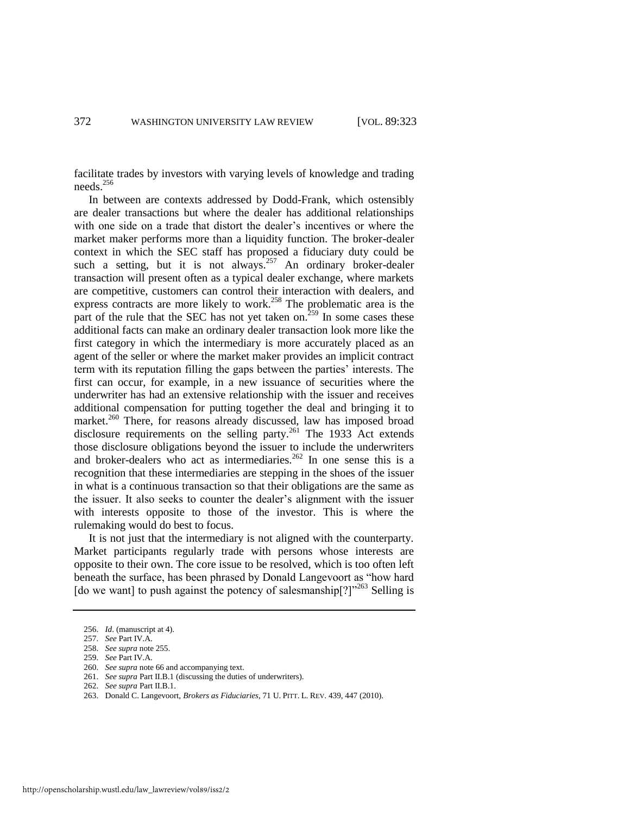facilitate trades by investors with varying levels of knowledge and trading needs.<sup>256</sup>

In between are contexts addressed by Dodd-Frank, which ostensibly are dealer transactions but where the dealer has additional relationships with one side on a trade that distort the dealer's incentives or where the market maker performs more than a liquidity function. The broker-dealer context in which the SEC staff has proposed a fiduciary duty could be such a setting, but it is not always.<sup>257</sup> An ordinary broker-dealer transaction will present often as a typical dealer exchange, where markets are competitive, customers can control their interaction with dealers, and express contracts are more likely to work.<sup>258</sup> The problematic area is the part of the rule that the SEC has not yet taken on.<sup>259</sup> In some cases these additional facts can make an ordinary dealer transaction look more like the first category in which the intermediary is more accurately placed as an agent of the seller or where the market maker provides an implicit contract term with its reputation filling the gaps between the parties' interests. The first can occur, for example, in a new issuance of securities where the underwriter has had an extensive relationship with the issuer and receives additional compensation for putting together the deal and bringing it to market.<sup>260</sup> There, for reasons already discussed, law has imposed broad disclosure requirements on the selling party.<sup>261</sup> The 1933 Act extends those disclosure obligations beyond the issuer to include the underwriters and broker-dealers who act as intermediaries.<sup>262</sup> In one sense this is a recognition that these intermediaries are stepping in the shoes of the issuer in what is a continuous transaction so that their obligations are the same as the issuer. It also seeks to counter the dealer's alignment with the issuer with interests opposite to those of the investor. This is where the rulemaking would do best to focus.

It is not just that the intermediary is not aligned with the counterparty. Market participants regularly trade with persons whose interests are opposite to their own. The core issue to be resolved, which is too often left beneath the surface, has been phrased by Donald Langevoort as "how hard [do we want] to push against the potency of salesmanship[?]"<sup>263</sup> Selling is

- 260. *See supra* note 66 and accompanying text.
- 261. *See supra* Part II.B.1 (discussing the duties of underwriters).

<sup>256.</sup> *Id*. (manuscript at 4).

<sup>257.</sup> *See* Part IV.A.

<sup>258.</sup> *See supra* note 255.

<sup>259.</sup> *See* Part IV.A.

<sup>262.</sup> *See supra* Part II.B.1.

<sup>263.</sup> Donald C. Langevoort, *Brokers as Fiduciaries*, 71 U. PITT. L. REV. 439, 447 (2010).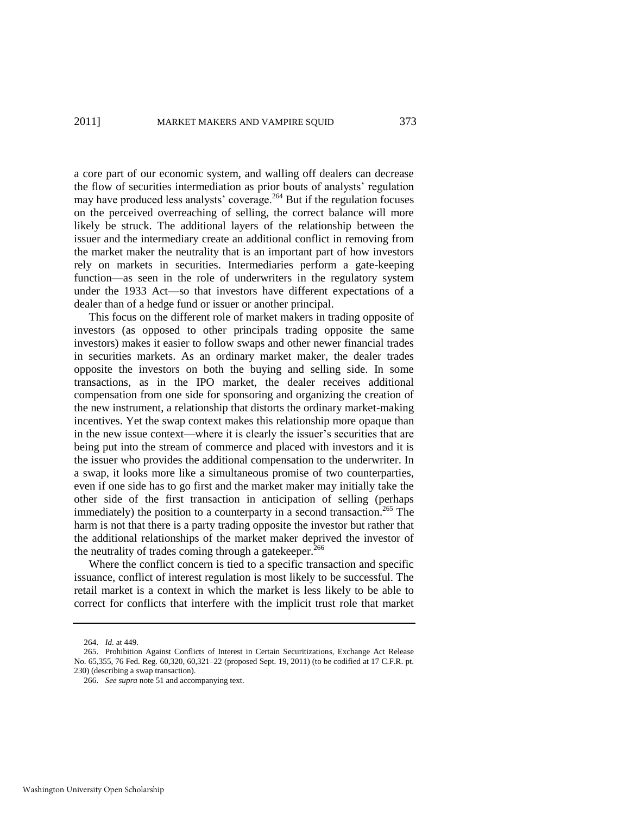a core part of our economic system, and walling off dealers can decrease the flow of securities intermediation as prior bouts of analysts' regulation may have produced less analysts' coverage.<sup>264</sup> But if the regulation focuses on the perceived overreaching of selling, the correct balance will more likely be struck. The additional layers of the relationship between the issuer and the intermediary create an additional conflict in removing from the market maker the neutrality that is an important part of how investors rely on markets in securities. Intermediaries perform a gate-keeping function—as seen in the role of underwriters in the regulatory system under the 1933 Act—so that investors have different expectations of a dealer than of a hedge fund or issuer or another principal.

This focus on the different role of market makers in trading opposite of investors (as opposed to other principals trading opposite the same investors) makes it easier to follow swaps and other newer financial trades in securities markets. As an ordinary market maker, the dealer trades opposite the investors on both the buying and selling side. In some transactions, as in the IPO market, the dealer receives additional compensation from one side for sponsoring and organizing the creation of the new instrument, a relationship that distorts the ordinary market-making incentives. Yet the swap context makes this relationship more opaque than in the new issue context—where it is clearly the issuer's securities that are being put into the stream of commerce and placed with investors and it is the issuer who provides the additional compensation to the underwriter. In a swap, it looks more like a simultaneous promise of two counterparties, even if one side has to go first and the market maker may initially take the other side of the first transaction in anticipation of selling (perhaps immediately) the position to a counterparty in a second transaction.<sup>265</sup> The harm is not that there is a party trading opposite the investor but rather that the additional relationships of the market maker deprived the investor of the neutrality of trades coming through a gatekeeper.<sup>266</sup>

Where the conflict concern is tied to a specific transaction and specific issuance, conflict of interest regulation is most likely to be successful. The retail market is a context in which the market is less likely to be able to correct for conflicts that interfere with the implicit trust role that market

<sup>264.</sup> *Id.* at 449.

<sup>265.</sup> Prohibition Against Conflicts of Interest in Certain Securitizations, Exchange Act Release No. 65,355, 76 Fed. Reg. 60,320, 60,321–22 (proposed Sept. 19, 2011) (to be codified at 17 C.F.R. pt. 230) (describing a swap transaction).

<sup>266.</sup> *See supra* note 51 and accompanying text.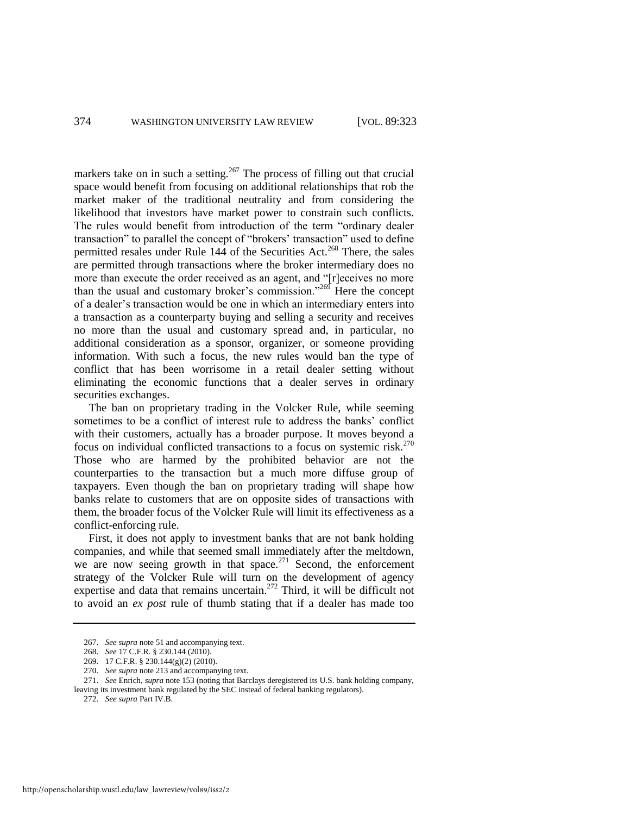markers take on in such a setting.<sup>267</sup> The process of filling out that crucial space would benefit from focusing on additional relationships that rob the market maker of the traditional neutrality and from considering the likelihood that investors have market power to constrain such conflicts. The rules would benefit from introduction of the term "ordinary dealer transaction" to parallel the concept of "brokers' transaction" used to define permitted resales under Rule  $144$  of the Securities Act.<sup>268</sup> There, the sales are permitted through transactions where the broker intermediary does no more than execute the order received as an agent, and "[r]eceives no more than the usual and customary broker's commission. $1269$  Here the concept of a dealer's transaction would be one in which an intermediary enters into a transaction as a counterparty buying and selling a security and receives no more than the usual and customary spread and, in particular, no additional consideration as a sponsor, organizer, or someone providing information. With such a focus, the new rules would ban the type of conflict that has been worrisome in a retail dealer setting without eliminating the economic functions that a dealer serves in ordinary securities exchanges.

The ban on proprietary trading in the Volcker Rule, while seeming sometimes to be a conflict of interest rule to address the banks' conflict with their customers, actually has a broader purpose. It moves beyond a focus on individual conflicted transactions to a focus on systemic risk.<sup>270</sup> Those who are harmed by the prohibited behavior are not the counterparties to the transaction but a much more diffuse group of taxpayers. Even though the ban on proprietary trading will shape how banks relate to customers that are on opposite sides of transactions with them, the broader focus of the Volcker Rule will limit its effectiveness as a conflict-enforcing rule.

First, it does not apply to investment banks that are not bank holding companies, and while that seemed small immediately after the meltdown, we are now seeing growth in that space. $271$  Second, the enforcement strategy of the Volcker Rule will turn on the development of agency expertise and data that remains uncertain.<sup>272</sup> Third, it will be difficult not to avoid an *ex post* rule of thumb stating that if a dealer has made too

<sup>267.</sup> *See supra* note 51 and accompanying text.

<sup>268.</sup> *See* 17 C.F.R. § 230.144 (2010).

<sup>269. 17</sup> C.F.R. § 230.144(g)(2) (2010).

<sup>270.</sup> *See supra* note 213 and accompanying text.

<sup>271.</sup> *See* Enrich, *supra* note [153](#page-32-1) (noting that Barclays deregistered its U.S. bank holding company, leaving its investment bank regulated by the SEC instead of federal banking regulators).

<sup>272.</sup> *See supra* Part IV.B.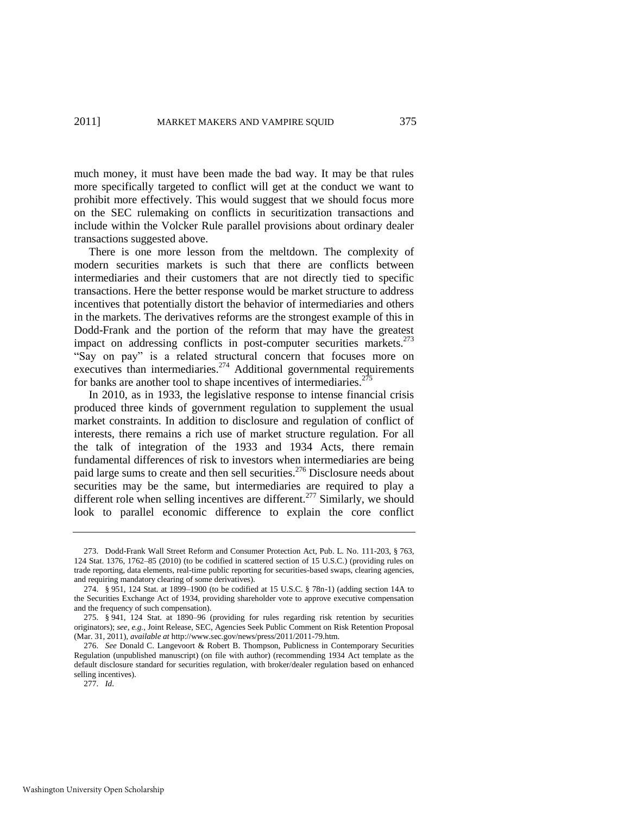much money, it must have been made the bad way. It may be that rules more specifically targeted to conflict will get at the conduct we want to prohibit more effectively. This would suggest that we should focus more on the SEC rulemaking on conflicts in securitization transactions and include within the Volcker Rule parallel provisions about ordinary dealer transactions suggested above.

There is one more lesson from the meltdown. The complexity of modern securities markets is such that there are conflicts between intermediaries and their customers that are not directly tied to specific transactions. Here the better response would be market structure to address incentives that potentially distort the behavior of intermediaries and others in the markets. The derivatives reforms are the strongest example of this in Dodd-Frank and the portion of the reform that may have the greatest impact on addressing conflicts in post-computer securities markets.<sup>273</sup> "Say on pay" is a related structural concern that focuses more on executives than intermediaries.<sup>274</sup> Additional governmental requirements for banks are another tool to shape incentives of intermediaries.<sup>27</sup>

In 2010, as in 1933, the legislative response to intense financial crisis produced three kinds of government regulation to supplement the usual market constraints. In addition to disclosure and regulation of conflict of interests, there remains a rich use of market structure regulation. For all the talk of integration of the 1933 and 1934 Acts, there remain fundamental differences of risk to investors when intermediaries are being paid large sums to create and then sell securities.<sup>276</sup> Disclosure needs about securities may be the same, but intermediaries are required to play a different role when selling incentives are different.<sup>277</sup> Similarly, we should look to parallel economic difference to explain the core conflict

<sup>273.</sup> Dodd-Frank Wall Street Reform and Consumer Protection Act, Pub. L. No. 111-203, § 763, 124 Stat. 1376, 1762–85 (2010) (to be codified in scattered section of 15 U.S.C.) (providing rules on trade reporting, data elements, real-time public reporting for securities-based swaps, clearing agencies, and requiring mandatory clearing of some derivatives).

<sup>274. § 951, 124</sup> Stat. at 1899–1900 (to be codified at 15 U.S.C. § 78n-1) (adding section 14A to the Securities Exchange Act of 1934, providing shareholder vote to approve executive compensation and the frequency of such compensation).

<sup>275. § 941, 124</sup> Stat. at 1890–96 (providing for rules regarding risk retention by securities originators); *see, e.g.*, Joint Release, SEC, Agencies Seek Public Comment on Risk Retention Proposal (Mar. 31, 2011), *available at* http://www.sec.gov/news/press/2011/2011-79.htm.

<sup>276.</sup> *See* Donald C. Langevoort & Robert B. Thompson, Publicness in Contemporary Securities Regulation (unpublished manuscript) (on file with author) (recommending 1934 Act template as the default disclosure standard for securities regulation, with broker/dealer regulation based on enhanced selling incentives).

<sup>277.</sup> *Id*.